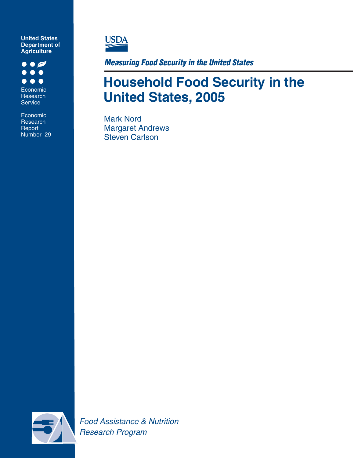**Department of Agriculture United States**

 $\bullet$   $\bullet$  $\bullet\bullet\bullet$  $\bullet$ Economic Research Service

Research Report **Number** Number 29 Economic



*Measuring Food Security in the United States*

## **Household Food Security in the United States, 2005**

Mark Nord Margaret Andrews Steven Carlson



 *Food Assistance & Nutrition Research Program*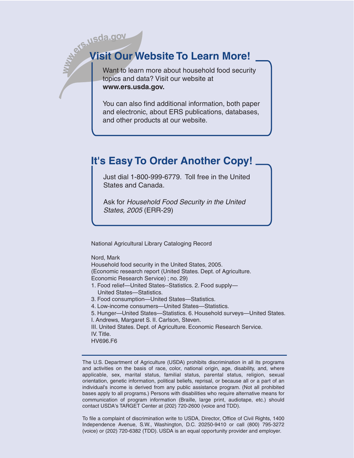# **b**. **15 Visit Our Website To Learn More!**

Want to learn more about household food security topics and data? Visit our website at **www.ers.usda.gov.**

You can also find additional information, both paper and electronic, about ERS publications, databases, and other products at our website.

## **It's Easy To Order Another Copy!**

Just dial 1-800-999-6779. Toll free in the United States and Canada.

Ask for *Household Food Security in the United States, 2005* (ERR-29)

National Agricultural Library Cataloging Record

Nord, Mark

 Household food security in the United States, 2005. (Economic research report (United States. Dept. of Agriculture. Economic Research Service) ; no. 29) 1. Food relief—United States--Statistics. 2. Food supply—

- United States—Statistics.
- 3. Food consumption—United States—Statistics.
- 4. Low-income consumers—United States—Statistics.

5. Hunger—United States—Statistics. 6. Household surveys—United States.

I. Andrews, Margaret S. II. Carlson, Steven.

III. United States. Dept. of Agriculture. Economic Research Service.

IV. Title.

HV696.F6

The U.S. Department of Agriculture (USDA) prohibits discrimination in all its programs and activities on the basis of race, color, national origin, age, disability, and, where applicable, sex, marital status, familial status, parental status, religion, sexual orientation, genetic information, political beliefs, reprisal, or because all or a part of an individual's income is derived from any public assistance program. (Not all prohibited bases apply to all programs.) Persons with disabilities who require alternative means for communication of program information (Braille, large print, audiotape, etc.) should contact USDA's TARGET Center at (202) 720-2600 (voice and TDD).

To file a complaint of discrimination write to USDA, Director, Office of Civil Rights, 1400 Independence Avenue, S.W., Washington, D.C. 20250-9410 or call (800) 795-3272 (voice) or (202) 720-6382 (TDD). USDA is an equal opportunity provider and employer.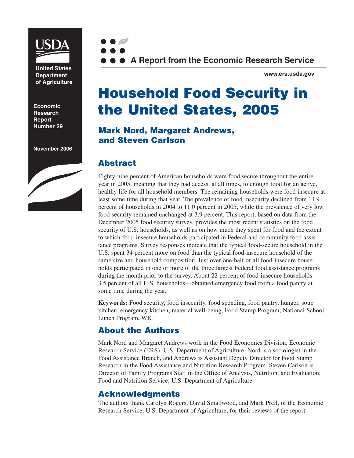

**United States Department of Agriculture**

**Economic Research Report Number 29** 

**November 2006**





**www.ers.usda.gov**

## **Household Food Security in the United States, 2005**

## **Mark Nord, Margaret Andrews, and Steven Carlson**

## **Abstract**

Eighty-nine percent of American households were food secure throughout the entire year in 2005, meaning that they had access, at all times, to enough food for an active, healthy life for all household members. The remaining households were food insecure at least some time during that year. The prevalence of food insecurity declined from 11.9 percent of households in 2004 to 11.0 percent in 2005, while the prevalence of very low food security remained unchanged at 3.9 percent. This report, based on data from the December 2005 food security survey, provides the most recent statistics on the food security of U.S. households, as well as on how much they spent for food and the extent to which food-insecure households participated in Federal and community food assistance programs. Survey responses indicate that the typical food-secure household in the U.S. spent 34 percent more on food than the typical food-insecure household of the same size and household composition. Just over one-half of all food-insecure households participated in one or more of the three largest Federal food assistance programs during the month prior to the survey. About 22 percent of food-insecure households— 3.5 percent of all U.S. households—obtained emergency food from a food pantry at some time during the year.

**Keywords:** Food security, food insecurity, food spending, food pantry, hunger, soup kitchen, emergency kitchen, material well-being, Food Stamp Program, National School Lunch Program, WIC

## **About the Authors**

Mark Nord and Margaret Andrews work in the Food Economics Division, Economic Research Service (ERS), U.S. Department of Agriculture. Nord is a sociologist in the Food Assistance Branch, and Andrews is Assistant Deputy Director for Food Stamp Research in the Food Assistance and Nutrition Research Program. Steven Carlson is Director of Family Programs Staff in the Office of Analysis, Nutrition, and Evaluation; Food and Nutrition Service; U.S. Department of Agriculture.

## **Acknowledgments**

The authors thank Carolyn Rogers, David Smallwood, and Mark Prell, of the Economic Research Service, U.S. Department of Agriculture, for their reviews of the report.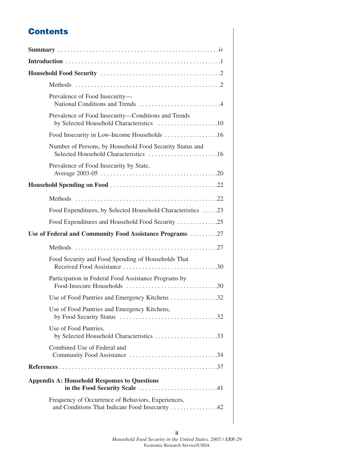## **Contents**

| Prevalence of Food Insecurity-                                                                    |
|---------------------------------------------------------------------------------------------------|
| Prevalence of Food Insecurity-Conditions and Trends<br>by Selected Household Characteristics 10   |
| Food Insecurity in Low-Income Households 16                                                       |
| Number of Persons, by Household Food Security Status and<br>Selected Household Characteristics 16 |
| Prevalence of Food Insecurity by State,                                                           |
|                                                                                                   |
|                                                                                                   |
| Food Expenditures, by Selected Household Characteristics 23                                       |
| Food Expenditures and Household Food Security 25                                                  |
|                                                                                                   |
| Use of Federal and Community Food Assistance Programs 27                                          |
|                                                                                                   |
| Food Security and Food Spending of Households That                                                |
| Participation in Federal Food Assistance Programs by                                              |
| Use of Food Pantries and Emergency Kitchens 32                                                    |
| Use of Food Pantries and Emergency Kitchens,                                                      |
| Use of Food Pantries,<br>by Selected Household Characteristics 33                                 |
| Combined Use of Federal and<br>Community Food Assistance 34                                       |
|                                                                                                   |
| <b>Appendix A: Household Responses to Questions</b>                                               |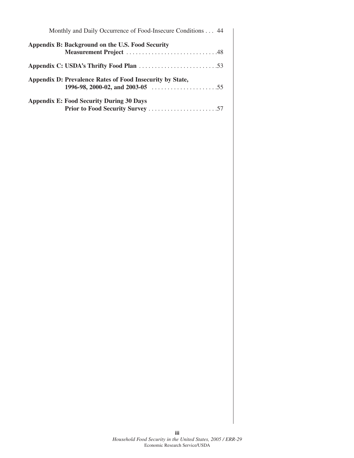| Monthly and Daily Occurrence of Food-Insecure Conditions 44                                                      |
|------------------------------------------------------------------------------------------------------------------|
| Appendix B: Background on the U.S. Food Security                                                                 |
|                                                                                                                  |
|                                                                                                                  |
| Appendix D: Prevalence Rates of Food Insecurity by State,                                                        |
| 1996-98, 2000-02, and 2003-05 $\dots \dots \dots \dots \dots \dots \dots \dots \dots \dots \dots \dots \dots 55$ |
| <b>Appendix E: Food Security During 30 Days</b>                                                                  |
|                                                                                                                  |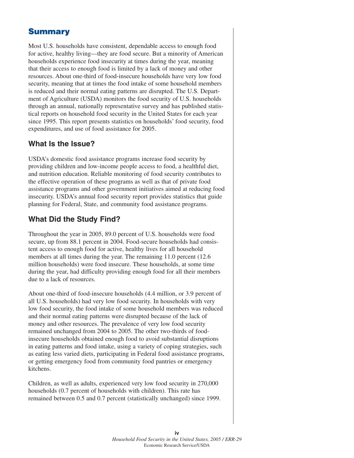## **Summary**

Most U.S. households have consistent, dependable access to enough food for active, healthy living—they are food secure. But a minority of American households experience food insecurity at times during the year, meaning that their access to enough food is limited by a lack of money and other resources. About one-third of food-insecure households have very low food security, meaning that at times the food intake of some household members is reduced and their normal eating patterns are disrupted. The U.S. Department of Agriculture (USDA) monitors the food security of U.S. households through an annual, nationally representative survey and has published statistical reports on household food security in the United States for each year since 1995. This report presents statistics on households' food security, food expenditures, and use of food assistance for 2005.

## **What Is the Issue?**

USDA's domestic food assistance programs increase food security by providing children and low-income people access to food, a healthful diet, and nutrition education. Reliable monitoring of food security contributes to the effective operation of these programs as well as that of private food assistance programs and other government initiatives aimed at reducing food insecurity. USDA's annual food security report provides statistics that guide planning for Federal, State, and community food assistance programs.

## **What Did the Study Find?**

Throughout the year in 2005, 89.0 percent of U.S. households were food secure, up from 88.1 percent in 2004. Food-secure households had consistent access to enough food for active, healthy lives for all household members at all times during the year. The remaining 11.0 percent (12.6) million households) were food insecure. These households, at some time during the year, had difficulty providing enough food for all their members due to a lack of resources.

About one-third of food-insecure households (4.4 million, or 3.9 percent of all U.S. households) had very low food security. In households with very low food security, the food intake of some household members was reduced and their normal eating patterns were disrupted because of the lack of money and other resources. The prevalence of very low food security remained unchanged from 2004 to 2005. The other two-thirds of foodinsecure households obtained enough food to avoid substantial disruptions in eating patterns and food intake, using a variety of coping strategies, such as eating less varied diets, participating in Federal food assistance programs, or getting emergency food from community food pantries or emergency kitchens.

Children, as well as adults, experienced very low food security in 270,000 households (0.7 percent of households with children). This rate has remained between 0.5 and 0.7 percent (statistically unchanged) since 1999.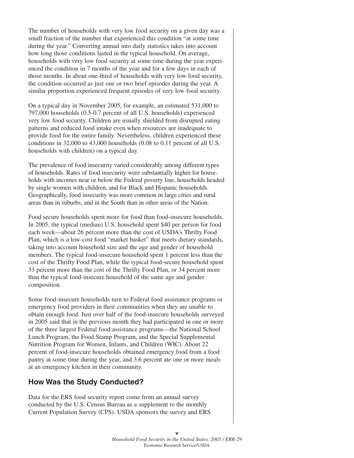The number of households with very low food security on a given day was a small fraction of the number that experienced this condition "at some time during the year." Converting annual into daily statistics takes into account how long those conditions lasted in the typical household. On average, households with very low food security at some time during the year experienced the condition in 7 months of the year and for a few days in each of those months. In about one-third of households with very low food security, the condition occurred as just one or two brief episodes during the year. A similar proportion experienced frequent episodes of very low food security.

On a typical day in November 2005, for example, an estimated 531,000 to 797,000 households (0.5-0.7 percent of all U.S. households) experienced very low food security. Children are usually shielded from disrupted eating patterns and reduced food intake even when resources are inadequate to provide food for the entire family. Nevertheless, children experienced these conditions in 32,000 to 43,000 households (0.08 to 0.11 percent of all U.S. households with children) on a typical day.

The prevalence of food insecurity varied considerably among different types of households. Rates of food insecurity were substantially higher for households with incomes near or below the Federal poverty line, households headed by single women with children, and for Black and Hispanic households. Geographically, food insecurity was more common in large cities and rural areas than in suburbs, and in the South than in other areas of the Nation.

Food secure households spent more for food than food-insecure households. In 2005, the typical (median) U.S. household spent \$40 per person for food each week—about 26 percent more than the cost of USDA's Thrifty Food Plan, which is a low-cost food "market basket" that meets dietary standards, taking into account household size and the age and gender of household members. The typical food-insecure household spent 1 percent less than the cost of the Thrifty Food Plan, while the typical food-secure household spent 33 percent more than the cost of the Thrifty Food Plan, or 34 percent more than the typical food-insecure household of the same age and gender composition.

Some food-insecure households turn to Federal food assistance programs or emergency food providers in their communities when they are unable to obtain enough food. Just over half of the food-insecure households surveyed in 2005 said that in the previous month they had participated in one or more of the three largest Federal food assistance programs—the National School Lunch Program, the Food Stamp Program, and the Special Supplemental Nutrition Program for Women, Infants, and Children (WIC). About 22 percent of food-insecure households obtained emergency food from a food pantry at some time during the year, and 3.6 percent ate one or more meals at an emergency kitchen in their community.

## **How Was the Study Conducted?**

Data for the ERS food security report come from an annual survey conducted by the U.S. Census Bureau as a supplement to the monthly Current Population Survey (CPS). USDA sponsors the survey and ERS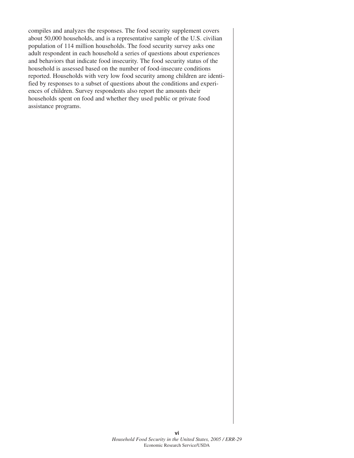compiles and analyzes the responses. The food security supplement covers about 50,000 households, and is a representative sample of the U.S. civilian population of 114 million households. The food security survey asks one adult respondent in each household a series of questions about experiences and behaviors that indicate food insecurity. The food security status of the household is assessed based on the number of food-insecure conditions reported. Households with very low food security among children are identified by responses to a subset of questions about the conditions and experiences of children. Survey respondents also report the amounts their households spent on food and whether they used public or private food assistance programs.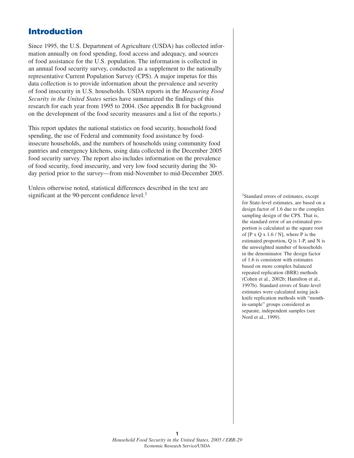## **Introduction**

Since 1995, the U.S. Department of Agriculture (USDA) has collected information annually on food spending, food access and adequacy, and sources of food assistance for the U.S. population. The information is collected in an annual food security survey, conducted as a supplement to the nationally representative Current Population Survey (CPS). A major impetus for this data collection is to provide information about the prevalence and severity of food insecurity in U.S. households. USDA reports in the *Measuring Food Security in the United States* series have summarized the findings of this research for each year from 1995 to 2004. (See appendix B for background on the development of the food security measures and a list of the reports.)

This report updates the national statistics on food security, household food spending, the use of Federal and community food assistance by foodinsecure households, and the numbers of households using community food pantries and emergency kitchens, using data collected in the December 2005 food security survey. The report also includes information on the prevalence of food security, food insecurity, and very low food security during the 30 day period prior to the survey—from mid-November to mid-December 2005.

Unless otherwise noted, statistical differences described in the text are significant at the 90-percent confidence level.<sup>1</sup>

1Standard errors of estimates, except for State-level estimates, are based on a design factor of 1.6 due to the complex sampling design of the CPS. That is, the standard error of an estimated proportion is calculated as the square root of  $[P \times Q \times 1.6 / N]$ , where P is the estimated proportion, Q is 1-P, and N is the unweighted number of households in the denominator. The design factor of 1.6 is consistent with estimates based on more complex balanced repeated replication (BRR) methods (Cohen et al., 2002b; Hamilton et al., 1997b). Standard errors of State-level estimates were calculated using jackknife replication methods with "monthin-sample" groups considered as separate, independent samples (see Nord et al., 1999).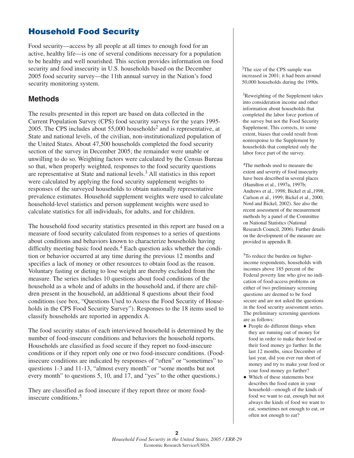## **Household Food Security**

Food security—access by all people at all times to enough food for an active, healthy life—is one of several conditions necessary for a population to be healthy and well nourished. This section provides information on food security and food insecurity in U.S. households based on the December 2005 food security survey—the 11th annual survey in the Nation's food security monitoring system.

### **Methods**

The results presented in this report are based on data collected in the Current Population Survey (CPS) food security surveys for the years 1995- 2005. The CPS includes about  $55,000$  households<sup>2</sup> and is representative, at State and national levels, of the civilian, non-institutionalized population of the United States. About 47,500 households completed the food security section of the survey in December 2005; the remainder were unable or unwilling to do so. Weighting factors were calculated by the Census Bureau so that, when properly weighted, responses to the food security questions are representative at State and national levels.3 All statistics in this report were calculated by applying the food security supplement weights to responses of the surveyed households to obtain nationally representative prevalence estimates. Household supplement weights were used to calculate household-level statistics and person supplement weights were used to calculate statistics for all individuals, for adults, and for children.

The household food security statistics presented in this report are based on a measure of food security calculated from responses to a series of questions about conditions and behaviors known to characterize households having difficulty meeting basic food needs.<sup>4</sup> Each question asks whether the condition or behavior occurred at any time during the previous 12 months and specifies a lack of money or other resources to obtain food as the reason. Voluntary fasting or dieting to lose weight are thereby excluded from the measure. The series includes 10 questions about food conditions of the household as a whole and of adults in the household and, if there are children present in the household, an additional 8 questions about their food conditions (see box, "Questions Used to Assess the Food Security of Households in the CPS Food Security Survey"). Responses to the 18 items used to classify households are reported in appendix A.

The food security status of each interviewed household is determined by the number of food-insecure conditions and behaviors the household reports. Households are classified as food secure if they report no food-insecure conditions or if they report only one or two food-insecure conditions. (Foodinsecure conditions are indicated by responses of "often" or "sometimes" to questions 1-3 and 11-13, "almost every month" or "some months but not every month" to questions 5, 10, and 17, and "yes" to the other questions.)

They are classified as food insecure if they report three or more foodinsecure conditions.<sup>5</sup>

2The size of the CPS sample was increased in 2001; it had been around 50,000 households during the 1990s.

<sup>3</sup>Reweighting of the Supplement takes into consideration income and other information about households that completed the labor force portion of the survey but not the Food Security Supplement. This corrects, to some extent, biases that could result from nonresponse to the Supplement by households that completed only the labor force part of the survey.

4The methods used to measure the extent and severity of food insecurity have been described in several places (Hamilton et al., 1997a, 1997b; Andrews et al., 1998; Bickel et al.,1998; Carlson et al., 1999; Bickel et al., 2000; Nord and Bickel, 2002). See also the recent assessment of the measurement methods by a panel of the Committee on National Statistics (National Research Council, 2006). Further details on the development of the measure are provided in appendix B.

5To reduce the burden on higherincome respondents, households with incomes above 185 percent of the Federal poverty line who give no indication of food-access problems on either of two preliminary screening questions are deemed to be food secure and are not asked the questions in the food security assessment series. The preliminary screening questions are as follows:

- People do different things when they are running out of money for food in order to make their food or their food money go further. In the last 12 months, since December of last year, did you ever run short of money and try to make your food or your food money go further?
- Which of these statements best describes the food eaten in your household—enough of the kinds of food we want to eat, enough but not always the kinds of food we want to eat, sometimes not enough to eat, or often not enough to eat?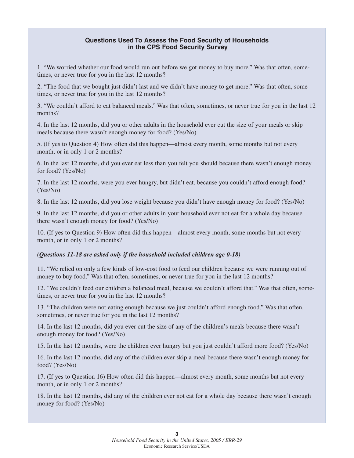#### **Questions Used To Assess the Food Security of Households in the CPS Food Security Survey**

1. "We worried whether our food would run out before we got money to buy more." Was that often, sometimes, or never true for you in the last 12 months?

2. "The food that we bought just didn't last and we didn't have money to get more." Was that often, sometimes, or never true for you in the last 12 months?

3. "We couldn't afford to eat balanced meals." Was that often, sometimes, or never true for you in the last 12 months?

4. In the last 12 months, did you or other adults in the household ever cut the size of your meals or skip meals because there wasn't enough money for food? (Yes/No)

5. (If yes to Question 4) How often did this happen—almost every month, some months but not every month, or in only 1 or 2 months?

6. In the last 12 months, did you ever eat less than you felt you should because there wasn't enough money for food? (Yes/No)

7. In the last 12 months, were you ever hungry, but didn't eat, because you couldn't afford enough food? (Yes/No)

8. In the last 12 months, did you lose weight because you didn't have enough money for food? (Yes/No)

9. In the last 12 months, did you or other adults in your household ever not eat for a whole day because there wasn't enough money for food? (Yes/No)

10. (If yes to Question 9) How often did this happen—almost every month, some months but not every month, or in only 1 or 2 months?

#### *(Questions 11-18 are asked only if the household included children age 0-18)*

11. "We relied on only a few kinds of low-cost food to feed our children because we were running out of money to buy food." Was that often, sometimes, or never true for you in the last 12 months?

12. "We couldn't feed our children a balanced meal, because we couldn't afford that." Was that often, sometimes, or never true for you in the last 12 months?

13. "The children were not eating enough because we just couldn't afford enough food." Was that often, sometimes, or never true for you in the last 12 months?

14. In the last 12 months, did you ever cut the size of any of the children's meals because there wasn't enough money for food? (Yes/No)

15. In the last 12 months, were the children ever hungry but you just couldn't afford more food? (Yes/No)

16. In the last 12 months, did any of the children ever skip a meal because there wasn't enough money for food? (Yes/No)

17. (If yes to Question 16) How often did this happen—almost every month, some months but not every month, or in only 1 or 2 months?

18. In the last 12 months, did any of the children ever not eat for a whole day because there wasn't enough money for food? (Yes/No)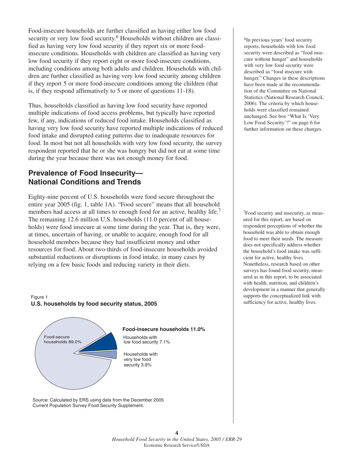Food-insecure households are further classified as having either low food security or very low food security.<sup>6</sup> Households without children are classified as having very low food security if they report six or more foodinsecure conditions. Households with children are classified as having very low food security if they report eight or more food-insecure conditions, including conditions among both adults and children. Households with children are further classified as having very low food security among children if they report 5 or more food-insecure conditions among the children (that is, if they respond affirmatively to 5 or more of questions 11-18).

Thus, households classified as having low food security have reported multiple indications of food access problems, but typically have reported few, if any, indications of reduced food intake. Households classified as having very low food security have reported multiple indications of reduced food intake and disrupted eating patterns due to inadequate resources for food. In most but not all households with very low food security, the survey respondent reported that he or she was hungry but did not eat at some time during the year because there was not enough money for food.

## **Prevalence of Food Insecurity— National Conditions and Trends**

Eighty-nine percent of U.S. households were food secure throughout the entire year 2005 (fig. 1, table 1A). "Food secure" means that all household members had access at all times to enough food for an active, healthy life.<sup>7</sup> The remaining 12.6 million U.S. households (11.0 percent of all households) were food insecure at some time during the year. That is, they were, at times, uncertain of having, or unable to acquire, enough food for all household members because they had insufficient money and other resources for food. About two-thirds of food-insecure households avoided substantial reductions or disruptions in food intake, in many cases by relying on a few basic foods and reducing variety in their diets.

#### **U.S. households by food security status, 2005** Figure 1



Source: Calculated by ERS using data from the December 2005 Current Population Survey Food Security Supplement.

<sup>6</sup>In previous years' food security reports, households with low food security were described as "food insecure without hunger" and households with very low food security were described as "food insecure with hunger." Changes in these descriptions have been made at the recommendation of the Committee on National Statistics (National Research Council, 2006). The criteria by which households were classified remained unchanged. See box "What Is 'Very Low Food Security'?" on page 6 for further information on these changes.

7Food security and insecurity, as measured for this report, are based on respondent perceptions of whether the household was able to obtain enough food to meet their needs. The measure does not specifically address whether the household's food intake was sufficient for active, healthy lives. Nonetheless, research based on other surveys has found food security, measured as in this report, to be associated with health, nutrition, and children's development in a manner that generally supports the conceptualized link with sufficiency for active, healthy lives.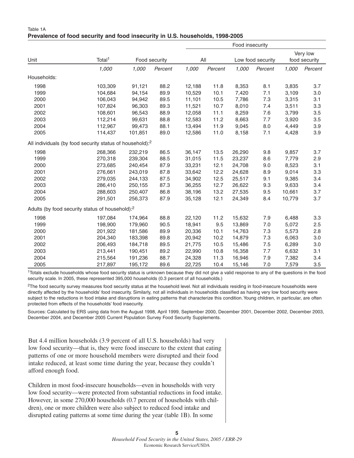| Table 1A                                                                      |  |  |
|-------------------------------------------------------------------------------|--|--|
| Prevalence of food security and food insecurity in U.S. households, 1998-2005 |  |  |

|                                                                      |                    |         |               | Food insecurity |         |        |                   |          |               |  |  |
|----------------------------------------------------------------------|--------------------|---------|---------------|-----------------|---------|--------|-------------------|----------|---------------|--|--|
|                                                                      |                    |         |               |                 |         |        |                   | Very low |               |  |  |
| Unit                                                                 | Total <sup>1</sup> |         | Food security | All             |         |        | Low food security |          | food security |  |  |
|                                                                      | 1,000              | 1,000   | Percent       | 1,000           | Percent | 1,000  | Percent           | 1,000    | Percent       |  |  |
| Households:                                                          |                    |         |               |                 |         |        |                   |          |               |  |  |
| 1998                                                                 | 103,309            | 91,121  | 88.2          | 12,188          | 11.8    | 8,353  | 8.1               | 3,835    | 3.7           |  |  |
| 1999                                                                 | 104,684            | 94,154  | 89.9          | 10,529          | 10.1    | 7,420  | 7.1               | 3,109    | 3.0           |  |  |
| 2000                                                                 | 106,043            | 94,942  | 89.5          | 11,101          | 10.5    | 7,786  | 7.3               | 3,315    | 3.1           |  |  |
| 2001                                                                 | 107,824            | 96,303  | 89.3          | 11,521          | 10.7    | 8,010  | 7.4               | 3,511    | 3.3           |  |  |
| 2002                                                                 | 108,601            | 96,543  | 88.9          | 12,058          | 11.1    | 8,259  | 7.6               | 3,799    | 3.5           |  |  |
| 2003                                                                 | 112,214            | 99,631  | 88.8          | 12,583          | 11.2    | 8,663  | 7.7               | 3,920    | 3.5           |  |  |
| 2004                                                                 | 112,967            | 99,473  | 88.1          | 13,494          | 11.9    | 9,045  | 8.0               | 4,449    | 3.9           |  |  |
| 2005                                                                 | 114,437            | 101,851 | 89.0          | 12,586          | 11.0    | 8,158  | 7.1               | 4,428    | 3.9           |  |  |
| All individuals (by food security status of household): <sup>2</sup> |                    |         |               |                 |         |        |                   |          |               |  |  |
| 1998                                                                 | 268,366            | 232,219 | 86.5          | 36,147          | 13.5    | 26,290 | 9.8               | 9,857    | 3.7           |  |  |
| 1999                                                                 | 270,318            | 239,304 | 88.5          | 31,015          | 11.5    | 23,237 | 8.6               | 7,779    | 2.9           |  |  |
| 2000                                                                 | 273,685            | 240,454 | 87.9          | 33,231          | 12.1    | 24,708 | 9.0               | 8,523    | 3.1           |  |  |
| 2001                                                                 | 276,661            | 243,019 | 87.8          | 33,642          | 12.2    | 24,628 | 8.9               | 9,014    | 3.3           |  |  |
| 2002                                                                 | 279,035            | 244,133 | 87.5          | 34,902          | 12.5    | 25,517 | 9.1               | 9,385    | 3.4           |  |  |
| 2003                                                                 | 286,410            | 250,155 | 87.3          | 36,255          | 12.7    | 26,622 | 9.3               | 9,633    | 3.4           |  |  |
| 2004                                                                 | 288,603            | 250,407 | 86.8          | 38,196          | 13.2    | 27,535 | 9.5               | 10,661   | 3.7           |  |  |
| 2005                                                                 | 291,501            | 256,373 | 87.9          | 35,128          | 12.1    | 24,349 | 8.4               | 10,779   | 3.7           |  |  |
| Adults (by food security status of household): <sup>2</sup>          |                    |         |               |                 |         |        |                   |          |               |  |  |
| 1998                                                                 | 197,084            | 174,964 | 88.8          | 22,120          | 11.2    | 15,632 | 7.9               | 6,488    | 3.3           |  |  |
| 1999                                                                 | 198,900            | 179,960 | 90.5          | 18,941          | 9.5     | 13,869 | 7.0               | 5,072    | 2.5           |  |  |
| 2000                                                                 | 201,922            | 181,586 | 89.9          | 20,336          | 10.1    | 14,763 | 7.3               | 5,573    | 2.8           |  |  |
| 2001                                                                 | 204,340            | 183,398 | 89.8          | 20,942          | 10.2    | 14,879 | 7.3               | 6,063    | 3.0           |  |  |
| 2002                                                                 | 206,493            | 184,718 | 89.5          | 21,775          | 10.5    | 15,486 | 7.5               | 6,289    | 3.0           |  |  |
| 2003                                                                 | 213,441            | 190,451 | 89.2          | 22,990          | 10.8    | 16,358 | 7.7               | 6,632    | 3.1           |  |  |
| 2004                                                                 | 215,564            | 191,236 | 88.7          | 24,328          | 11.3    | 16,946 | 7.9               | 7,382    | 3.4           |  |  |
| 2005                                                                 | 217,897            | 195,172 | 89.6          | 22,725          | 10.4    | 15,146 | 7.0               | 7,579    | 3.5           |  |  |

1Totals exclude households whose food security status is unknown because they did not give a valid response to any of the questions in the food security scale. In 2005, these represented 395,000 households (0.3 percent of all households.)

<sup>2</sup>The food security survey measures food security status at the household level. Not all individuals residing in food-insecure households were directly affected by the households' food insecurity. Similarly, not all individuals in households classified as having very low food security were subject to the reductions in food intake and disruptions in eating patterns that characterize this condition. Young children, in particular, are often protected from effects of the households' food insecurity.

Sources: Calculated by ERS using data from the August 1998, April 1999, September 2000, December 2001, December 2002, December 2003, December 2004, and December 2005 Current Population Survey Food Security Supplements.

But 4.4 million households (3.9 percent of all U.S. households) had very low food security—that is, they were food insecure to the extent that eating patterns of one or more household members were disrupted and their food intake reduced, at least some time during the year, because they couldn't afford enough food.

Children in most food-insecure households—even in households with very low food security—were protected from substantial reductions in food intake. However, in some 270,000 households (0.7 percent of households with children), one or more children were also subject to reduced food intake and disrupted eating patterns at some time during the year (table 1B). In some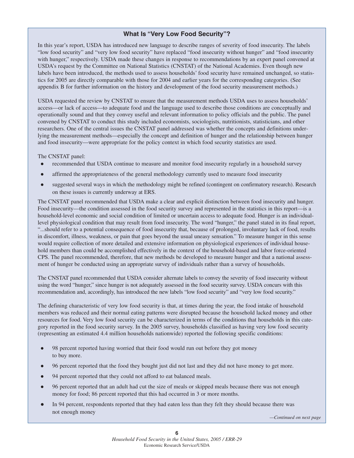#### **What Is "Very Low Food Security"?**

In this year's report, USDA has introduced new language to describe ranges of severity of food insecurity. The labels "low food security" and "very low food security" have replaced "food insecurity without hunger" and "food insecurity with hunger," respectively. USDA made these changes in response to recommendations by an expert panel convened at USDA's request by the Committee on National Statistics (CNSTAT) of the National Academies. Even though new labels have been introduced, the methods used to assess households' food security have remained unchanged, so statistics for 2005 are directly comparable with those for 2004 and earlier years for the corresponding categories. (See appendix B for further information on the history and development of the food security measurement methods.)

USDA requested the review by CNSTAT to ensure that the measurement methods USDA uses to assess households' access—or lack of access—to adequate food and the language used to describe those conditions are conceptually and operationally sound and that they convey useful and relevant information to policy officials and the public. The panel convened by CNSTAT to conduct this study included economists, sociologists, nutritionists, statisticians, and other researchers. One of the central issues the CNSTAT panel addressed was whether the concepts and definitions underlying the measurement methods—especially the concept and definition of hunger and the relationship between hunger and food insecurity—were appropriate for the policy context in which food security statistics are used.

The CNSTAT panel:

- $\bullet$ recommended that USDA continue to measure and monitor food insecurity regularly in a household survey
- $\bullet$ affirmed the appropriateness of the general methodology currently used to measure food insecurity
- $\bullet$  suggested several ways in which the methodology might be refined (contingent on confirmatory research). Research on these issues is currently underway at ERS.

The CNSTAT panel recommended that USDA make a clear and explicit distinction between food insecurity and hunger. Food insecurity—the condition assessed in the food security survey and represented in the statistics in this report—is a household-level economic and social condition of limited or uncertain access to adequate food. Hunger is an individuallevel physiological condition that may result from food insecurity. The word "hunger," the panel stated in its final report, "...should refer to a potential consequence of food insecurity that, because of prolonged, involuntary lack of food, results in discomfort, illness, weakness, or pain that goes beyond the usual uneasy sensation." To measure hunger in this sense would require collection of more detailed and extensive information on physiological experiences of individual household members than could be accomplished effectively in the context of the household-based and labor force-oriented CPS. The panel recommended, therefore, that new methods be developed to measure hunger and that a national assessment of hunger be conducted using an appropriate survey of individuals rather than a survey of households.

The CNSTAT panel recommended that USDA consider alternate labels to convey the severity of food insecurity without using the word "hunger," since hunger is not adequately assessed in the food security survey. USDA concurs with this recommendation and, accordingly, has introduced the new labels "low food security" and "very low food security."

The defining characteristic of very low food security is that, at times during the year, the food intake of household members was reduced and their normal eating patterns were disrupted because the household lacked money and other resources for food. Very low food security can be characterized in terms of the conditions that households in this category reported in the food security survey. In the 2005 survey, households classified as having very low food security (representing an estimated 4.4 million households nationwide) reported the following specific conditions:

- $\bullet$  98 percent reported having worried that their food would run out before they got money to buy more.
- $\bullet$ 96 percent reported that the food they bought just did not last and they did not have money to get more.
- $\bullet$ 94 percent reported that they could not afford to eat balanced meals.
- $\bullet$  96 percent reported that an adult had cut the size of meals or skipped meals because there was not enough money for food; 86 percent reported that this had occurred in 3 or more months.
- $\bullet$  In 94 percent, respondents reported that they had eaten less than they felt they should because there was not enough money

*—Continued on next page*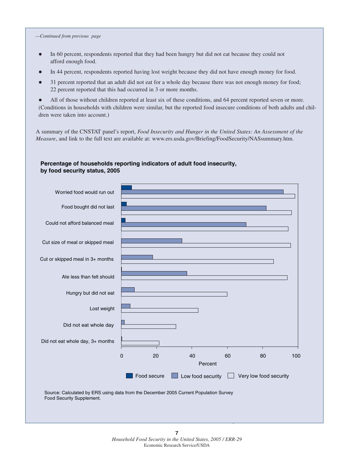#### *—Continued from previous page*

- $\bullet$  In 60 percent, respondents reported that they had been hungry but did not eat because they could not afford enough food.
- $\bullet$ In 44 percent, respondents reported having lost weight because they did not have enough money for food.
- $\bullet$  31 percent reported that an adult did not eat for a whole day because there was not enough money for food; 22 percent reported that this had occurred in 3 or more months.

 $\bullet$  All of those without children reported at least six of these conditions, and 64 percent reported seven or more. (Conditions in households with children were similar, but the reported food insecure conditions of both adults and children were taken into account.)

A summary of the CNSTAT panel's report, *Food Insecurity and Hunger in the United States: An Assessment of the Measure*, and link to the full text are available at: www.ers.usda.gov/Briefing/FoodSecurity/NASsummary.htm.

#### **Percentage of households reporting indicators of adult food insecurity, by food security status, 2005**



Food Security Supplement.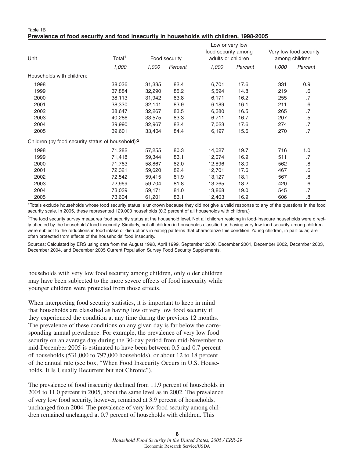#### Table 1B **Prevalence of food security and food insecurity in households with children, 1998-2005**

|                                                               | Low or very low    |        |               |                     |                    |       |                        |  |  |  |
|---------------------------------------------------------------|--------------------|--------|---------------|---------------------|--------------------|-------|------------------------|--|--|--|
|                                                               |                    |        |               | food security among |                    |       | Very low food security |  |  |  |
| Unit                                                          | Total <sup>1</sup> |        | Food security |                     | adults or children |       | among children         |  |  |  |
|                                                               | 1,000              | 1,000  | Percent       | 1,000               | Percent            | 1,000 | Percent                |  |  |  |
| Households with children:                                     |                    |        |               |                     |                    |       |                        |  |  |  |
| 1998                                                          | 38,036             | 31,335 | 82.4          | 6,701               | 17.6               | 331   | 0.9                    |  |  |  |
| 1999                                                          | 37,884             | 32,290 | 85.2          | 5,594               | 14.8               | 219   | .6                     |  |  |  |
| 2000                                                          | 38,113             | 31,942 | 83.8          | 6,171               | 16.2               | 255   | .7                     |  |  |  |
| 2001                                                          | 38,330             | 32,141 | 83.9          | 6,189               | 16.1               | 211   | $\cdot 6$              |  |  |  |
| 2002                                                          | 38,647             | 32,267 | 83.5          | 6,380               | 16.5               | 265   | .7                     |  |  |  |
| 2003                                                          | 40,286             | 33,575 | 83.3          | 6,711               | 16.7               | 207   | .5                     |  |  |  |
| 2004                                                          | 39,990             | 32,967 | 82.4          | 7,023               | 17.6               | 274   | .7                     |  |  |  |
| 2005                                                          | 39,601             | 33,404 | 84.4          | 6,197               | 15.6               | 270   | .7                     |  |  |  |
| Children (by food security status of household): <sup>2</sup> |                    |        |               |                     |                    |       |                        |  |  |  |
| 1998                                                          | 71,282             | 57,255 | 80.3          | 14,027              | 19.7               | 716   | 1.0                    |  |  |  |
| 1999                                                          | 71,418             | 59,344 | 83.1          | 12,074              | 16.9               | 511   | .7                     |  |  |  |
| 2000                                                          | 71,763             | 58,867 | 82.0          | 12,896              | 18.0               | 562   | .8                     |  |  |  |
| 2001                                                          | 72,321             | 59,620 | 82.4          | 12,701              | 17.6               | 467   | .6                     |  |  |  |
| 2002                                                          | 72,542             | 59,415 | 81.9          | 13,127              | 18.1               | 567   | .8                     |  |  |  |
| 2003                                                          | 72,969             | 59,704 | 81.8          | 13,265              | 18.2               | 420   | .6                     |  |  |  |
| 2004                                                          | 73,039             | 59,171 | 81.0          | 13,868              | 19.0               | 545   | .7                     |  |  |  |
| 2005                                                          | 73,604             | 61,201 | 83.1          | 12,403              | 16.9               | 606   | .8                     |  |  |  |

1Totals exclude households whose food security status is unknown because they did not give a valid response to any of the questions in the food security scale. In 2005, these represented 129,000 households (0.3 percent of all households with children.)

<sup>2</sup>The food security survey measures food security status at the household level. Not all children residing in food-insecure households were directly affected by the households' food insecurity. Similarly, not all children in households classified as having very low food security among children were subject to the reductions in food intake or disruptions in eating patterns that characterize this condition. Young children, in particular, are often protected from effects of the households' food insecurity.

Sources: Calculated by ERS using data from the August 1998, April 1999, September 2000, December 2001, December 2002, December 2003, December 2004, and December 2005 Current Population Survey Food Security Supplements.

households with very low food security among children, only older children may have been subjected to the more severe effects of food insecurity while younger children were protected from those effects.

When interpreting food security statistics, it is important to keep in mind that households are classified as having low or very low food security if they experienced the condition at any time during the previous 12 months. The prevalence of these conditions on any given day is far below the corresponding annual prevalence. For example, the prevalence of very low food security on an average day during the 30-day period from mid-November to mid-December 2005 is estimated to have been between 0.5 and 0.7 percent of households (531,000 to 797,000 households), or about 12 to 18 percent of the annual rate (see box, "When Food Insecurity Occurs in U.S. Households, It Is Usually Recurrent but not Chronic").

The prevalence of food insecurity declined from 11.9 percent of households in 2004 to 11.0 percent in 2005, about the same level as in 2002. The prevalence of very low food security, however, remained at 3.9 percent of households, unchanged from 2004. The prevalence of very low food security among children remained unchanged at 0.7 percent of households with children. This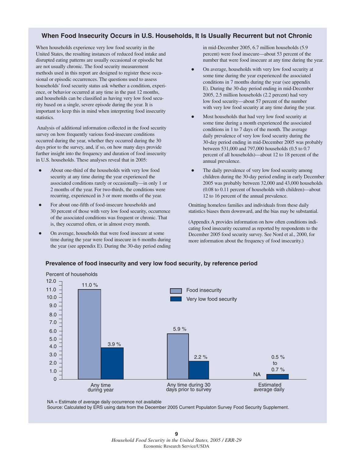#### **When Food Insecurity Occurs in U.S. Households, It Is Usually Recurrent but not Chronic**

When households experience very low food security in the United States, the resulting instances of reduced food intake and disrupted eating patterns are usually occasional or episodic but are not usually chronic. The food security measurement methods used in this report are designed to register these occasional or episodic occurrences. The questions used to assess households' food security status ask whether a condition, experience, or behavior occurred at any time in the past 12 months, and households can be classified as having very low food security based on a single, severe episode during the year. It is important to keep this in mind when interpreting food insecurity statistics.

Analysis of additional information collected in the food security survey on how frequently various food-insecure conditions occurred during the year, whether they occurred during the 30 days prior to the survey, and, if so, on how many days provide further insight into the frequency and duration of food insecurity in U.S. households. These analyses reveal that in 2005:

- $\bullet$  About one-third of the households with very low food security at any time during the year experienced the associated conditions rarely or occasionally—in only 1 or 2 months of the year. For two-thirds, the conditions were recurring, experienced in 3 or more months of the year.
- $\bullet$  For about one-fifth of food-insecure households and 30 percent of those with very low food security, occurrence of the associated conditions was frequent or chronic. That is, they occurred often, or in almost every month.
- $\bullet$  On average, households that were food insecure at some time during the year were food insecure in 6 months during the year (see appendix E). During the 30-day period ending

in mid-December 2005, 6.7 million households (5.9 percent) were food insecure—about 53 percent of the number that were food insecure at any time during the year.

- $\bullet$  On average, households with very low food security at some time during the year experienced the associated conditions in 7 months during the year (see appendix E). During the 30-day period ending in mid-December 2005, 2.5 million households (2.2 percent) had very low food security—about 57 percent of the number with very low food security at any time during the year.
- $\bullet$  Most households that had very low food security at some time during a month experienced the associated conditions in 1 to 7 days of the month. The average daily prevalence of very low food security during the 30-day period ending in mid-December 2005 was probably between 531,000 and 797,000 households (0.5 to 0.7 percent of all households)—about 12 to 18 percent of the annual prevalence.
- $\bullet$  The daily prevalence of very low food security among children during the 30-day period ending in early December 2005 was probably between 32,000 and 43,000 households (0.08 to 0.11 percent of households with children)—about 12 to 16 percent of the annual prevalence.

Omitting homeless families and individuals from these daily statistics biases them downward, and the bias may be substantial.

(Appendix A provides information on how often conditions indicating food insecurity occurred as reported by respondents to the December 2005 food security survey. See Nord et al., 2000, for more information about the frequency of food insecurity.)



#### **Prevalence of food insecurity and very low food security, by reference period**

NA = Estimate of average daily occurrence not available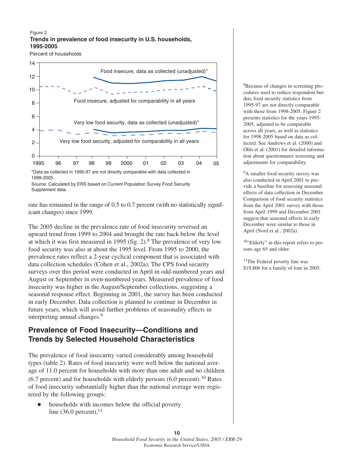#### **Trends in prevalence of food insecurity in U.S. households, 1995-2005** Figure 2

Percent of households



Source: Calculated by ERS based on Current Population Survey Food Security Supplement data.

rate has remained in the range of 0.5 to 0.7 percent (with no statistically significant changes) since 1999.

The 2005 decline in the prevalence rate of food insecurity reversed an upward trend from 1999 to 2004 and brought the rate back below the level at which it was first measured in 1995 (fig. 2).<sup>8</sup> The prevalence of very low food security was also at about the 1995 level. From 1995 to 2000, the prevalence rates reflect a 2-year cyclical component that is associated with data collection schedules (Cohen et al., 2002a). The CPS food security surveys over this period were conducted in April in odd-numbered years and August or September in even-numbered years. Measured prevalence of food insecurity was higher in the August/September collections, suggesting a seasonal response effect. Beginning in 2001, the survey has been conducted in early December. Data collection is planned to continue in December in future years, which will avoid further problems of seasonality effects in interpreting annual changes.<sup>9</sup>

## **Prevalence of Food Insecurity—Conditions and Trends by Selected Household Characteristics**

The prevalence of food insecurity varied considerably among household types (table 2). Rates of food insecurity were well below the national average of 11.0 percent for households with more than one adult and no children  $(6.7 \text{ percent})$  and for households with elderly persons  $(6.0 \text{ percent})$ .<sup>10</sup> Rates of food insecurity substantially higher than the national average were registered by the following groups:

 $\bullet$  households with incomes below the official poverty line  $(36.0 \text{ percent})$ ,<sup>11</sup>

8Because of changes in screening procedures used to reduce respondent burden, food security statistics from 1995-97 are not directly comparable with those from 1998-2005. Figure 2 presents statistics for the years 1995- 2005, adjusted to be comparable across all years, as well as statistics for 1998-2005 based on data as collected. See Andrews et al. (2000) and Ohls et al. (2001) for detailed information about questionnaire screening and adjustments for comparability.

<sup>9</sup>A smaller food security survey was also conducted in April 2001 to provide a baseline for assessing seasonal effects of data collection in December. Comparison of food security statistics from the April 2001 survey with those from April 1999 and December 2001 suggest that seasonal effects in early December were similar to those in April (Nord et al., 2002a).

10"Elderly" in this report refers to persons age 65 and older.

11The Federal poverty line was \$19,806 for a family of four in 2005.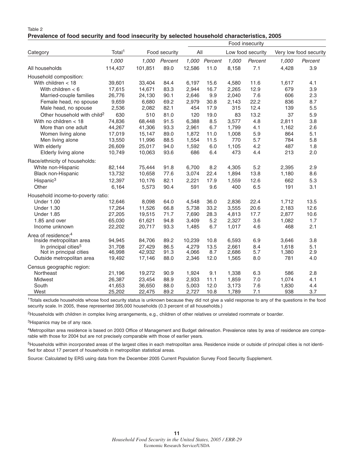| Table 2                                                                                     |  |  |
|---------------------------------------------------------------------------------------------|--|--|
| Prevalence of food security and food insecurity by selected household characteristics, 2005 |  |  |

|                                         |                    |         |               | Food insecurity |         |       |                   |       |                        |
|-----------------------------------------|--------------------|---------|---------------|-----------------|---------|-------|-------------------|-------|------------------------|
| Category                                | Total <sup>1</sup> |         | Food security |                 | All     |       | Low food security |       | Very low food security |
|                                         | 1,000              | 1,000   | Percent       | 1,000           | Percent | 1,000 | Percent           | 1,000 | Percent                |
| All households                          | 114,437            | 101,851 | 89.0          | 12,586          | 11.0    | 8,158 | 7.1               | 4,428 | 3.9                    |
| Household composition:                  |                    |         |               |                 |         |       |                   |       |                        |
| With children $<$ 18                    | 39,601             | 33,404  | 84.4          | 6,197           | 15.6    | 4,580 | 11.6              | 1,617 | 4.1                    |
| With children $<$ 6                     | 17,615             | 14,671  | 83.3          | 2,944           | 16.7    | 2,265 | 12.9              | 679   | 3.9                    |
| Married-couple families                 | 26,776             | 24,130  | 90.1          | 2,646           | 9.9     | 2,040 | 7.6               | 606   | 2.3                    |
| Female head, no spouse                  | 9,659              | 6,680   | 69.2          | 2,979           | 30.8    | 2,143 | 22.2              | 836   | 8.7                    |
| Male head, no spouse                    | 2,536              | 2,082   | 82.1          | 454             | 17.9    | 315   | 12.4              | 139   | 5.5                    |
| Other household with child <sup>2</sup> | 630                | 510     | 81.0          | 120             | 19.0    | 83    | 13.2              | 37    | 5.9                    |
| With no children $<$ 18                 | 74,836             | 68,448  | 91.5          | 6,388           | 8.5     | 3,577 | 4.8               | 2,811 | 3.8                    |
| More than one adult                     | 44,267             | 41,306  | 93.3          | 2,961           | 6.7     | 1,799 | 4.1               | 1,162 | 2.6                    |
| Women living alone                      | 17,019             | 15,147  | 89.0          | 1,872           | 11.0    | 1,008 | 5.9               | 864   | 5.1                    |
| Men living alone                        | 13,550             | 11,996  | 88.5          | 1,554           | 11.5    | 770   | 5.7               | 784   | 5.8                    |
| With elderly                            | 26,609             | 25,017  | 94.0          | 1,592           | 6.0     | 1,105 | 4.2               | 487   | 1.8                    |
| Elderly living alone                    | 10,749             | 10,063  | 93.6          | 686             | 6.4     | 473   | 4.4               | 213   | 2.0                    |
| Race/ethnicity of households:           |                    |         |               |                 |         |       |                   |       |                        |
| White non-Hispanic                      | 82,144             | 75,444  | 91.8          | 6,700           | 8.2     | 4,305 | 5.2               | 2,395 | 2.9                    |
| Black non-Hispanic                      | 13,732             | 10,658  | 77.6          | 3,074           | 22.4    | 1,894 | 13.8              | 1,180 | 8.6                    |
| Hispanic <sup>3</sup>                   | 12,397             | 10,176  | 82.1          | 2,221           | 17.9    | 1,559 | 12.6              | 662   | 5.3                    |
| Other                                   | 6,164              | 5,573   | 90.4          | 591             | 9.6     | 400   | 6.5               | 191   | 3.1                    |
| Household income-to-poverty ratio:      |                    |         |               |                 |         |       |                   |       |                        |
| Under 1.00                              | 12,646             | 8,098   | 64.0          | 4,548           | 36.0    | 2,836 | 22.4              | 1,712 | 13.5                   |
| <b>Under 1.30</b>                       | 17,264             | 11,526  | 66.8          | 5,738           | 33.2    | 3,555 | 20.6              | 2,183 | 12.6                   |
| Under 1.85                              | 27,205             | 19,515  | 71.7          | 7,690           | 28.3    | 4,813 | 17.7              | 2,877 | 10.6                   |
| 1.85 and over                           | 65,030             | 61,621  | 94.8          | 3,409           | 5.2     | 2,327 | 3.6               | 1,082 | 1.7                    |
| Income unknown                          | 22,202             | 20,717  | 93.3          | 1,485           | 6.7     | 1,017 | 4.6               | 468   | 2.1                    |
| Area of residence: <sup>4</sup>         |                    |         |               |                 |         |       |                   |       |                        |
| Inside metropolitan area                | 94,945             | 84,706  | 89.2          | 10,239          | 10.8    | 6,593 | 6.9               | 3,646 | 3.8                    |
| In principal cities <sup>5</sup>        | 31,708             | 27,429  | 86.5          | 4,279           | 13.5    | 2,661 | 8.4               | 1,618 | 5.1                    |
| Not in principal cities                 | 46,998             | 42,932  | 91.3          | 4,066           | 8.7     | 2,686 | 5.7               | 1,380 | 2.9                    |
| Outside metropolitan area               | 19,492             | 17,146  | 88.0          | 2,346           | 12.0    | 1,565 | 8.0               | 781   | 4.0                    |
| Census geographic region:               |                    |         |               |                 |         |       |                   |       |                        |
| Northeast                               | 21,196             | 19,272  | 90.9          | 1,924           | 9.1     | 1,338 | 6.3               | 586   | 2.8                    |
| Midwest                                 | 26,387             | 23,454  | 88.9          | 2,933           | 11.1    | 1,859 | $7.0$             | 1,074 | 4.1                    |
| South                                   | 41,653             | 36,650  | 88.0          | 5,003           | 12.0    | 3,173 | 7.6               | 1,830 | 4.4                    |
| West                                    | 25,202             | 22,475  | 89.2          | 2,727           | 10.8    | 1,789 | 7.1               | 938   | 3.7                    |

<sup>1</sup>Totals exclude households whose food security status is unknown because they did not give a valid response to any of the questions in the food security scale. In 2005, these represented 395,000 households (0.3 percent of all households.)

2Households with children in complex living arrangements, e.g., children of other relatives or unrelated roommate or boarder.

<sup>3</sup>Hispanics may be of any race.

4Metropolitan area residence is based on 2003 Office of Management and Budget delineation. Prevalence rates by area of residence are comparable with those for 2004 but are not precisely comparable with those of earlier years.

<sup>5</sup>Households within incorporated areas of the largest cities in each metropolitan area. Residence inside or outside of principal cities is not identified for about 17 percent of households in metropolitan statistical areas.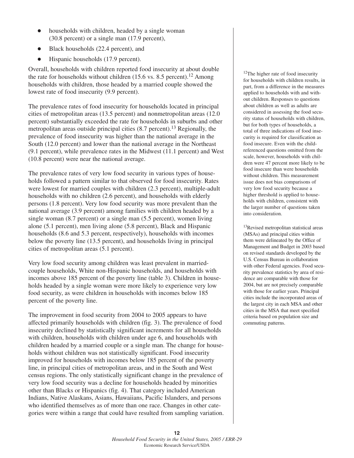- $\bullet$  households with children, headed by a single woman (30.8 percent) or a single man (17.9 percent),
- $\bullet$ Black households (22.4 percent), and
- $\bullet$ Hispanic households (17.9 percent).

Overall, households with children reported food insecurity at about double the rate for households without children (15.6 vs. 8.5 percent).<sup>12</sup> Among households with children, those headed by a married couple showed the lowest rate of food insecurity (9.9 percent).

The prevalence rates of food insecurity for households located in principal cities of metropolitan areas (13.5 percent) and nonmetropolitan areas (12.0 percent) substantially exceeded the rate for households in suburbs and other metropolitan areas outside principal cities  $(8.7 \text{ percent})$ .<sup>13</sup> Regionally, the prevalence of food insecurity was higher than the national average in the South (12.0 percent) and lower than the national average in the Northeast (9.1 percent), while prevalence rates in the Midwest (11.1 percent) and West (10.8 percent) were near the national average.

The prevalence rates of very low food security in various types of households followed a pattern similar to that observed for food insecurity. Rates were lowest for married couples with children (2.3 percent), multiple-adult households with no children (2.6 percent), and households with elderly persons (1.8 percent). Very low food security was more prevalent than the national average (3.9 percent) among families with children headed by a single woman (8.7 percent) or a single man (5.5 percent), women living alone (5.1 percent), men living alone (5.8 percent), Black and Hispanic households (8.6 and 5.3 percent, respectively), households with incomes below the poverty line (13.5 percent), and households living in principal cities of metropolitan areas (5.1 percent).

Very low food security among children was least prevalent in marriedcouple households, White non-Hispanic households, and households with incomes above 185 percent of the poverty line (table 3). Children in households headed by a single woman were more likely to experience very low food security, as were children in households with incomes below 185 percent of the poverty line.

The improvement in food security from 2004 to 2005 appears to have affected primarily households with children (fig. 3). The prevalence of food insecurity declined by statistically significant increments for all households with children, households with children under age 6, and households with children headed by a married couple or a single man. The change for households without children was not statistically significant. Food insecurity improved for households with incomes below 185 percent of the poverty line, in principal cities of metropolitan areas, and in the South and West census regions. The only statistically significant change in the prevalence of very low food security was a decline for households headed by minorities other than Blacks or Hispanics (fig. 4). That category included American Indians, Native Alaskans, Asians, Hawaiians, Pacific Islanders, and persons who identified themselves as of more than one race. Changes in other categories were within a range that could have resulted from sampling variation.

<sup>12</sup>The higher rate of food insecurity for households with children results, in part, from a difference in the measures applied to households with and without children. Responses to questions about children as well as adults are considered in assessing the food security status of households with children, but for both types of households, a total of three indications of food insecurity is required for classification as food insecure. Even with the childreferenced questions omitted from the scale, however, households with children were 47 percent more likely to be food insecure than were households without children. This measurement issue does not bias comparisons of very low food security because a higher threshold is applied to households with children, consistent with the larger number of questions taken into consideration.

13Revised metropolitan statistical areas (MSAs) and principal cities within them were delineated by the Office of Management and Budget in 2003 based on revised standards developed by the U.S. Census Bureau in collaboration with other Federal agencies. Food security prevalence statistics by area of residence are comparable with those for 2004, but are not precisely comparable with those for earlier years. Principal cities include the incorporated areas of the largest city in each MSA and other cities in the MSA that meet specified criteria based on population size and commuting patterns.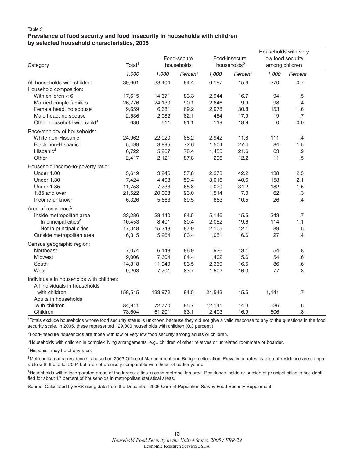| Category                                               | Total <sup>1</sup> |         | Food-secure<br>households |        | Food-insecure<br>households <sup>2</sup> | Households with very<br>low food security<br>among children |           |
|--------------------------------------------------------|--------------------|---------|---------------------------|--------|------------------------------------------|-------------------------------------------------------------|-----------|
|                                                        | 1,000              | 1,000   | Percent                   | 1,000  | Percent                                  | 1,000                                                       | Percent   |
| All households with children<br>Household composition: | 39,601             | 33,404  | 84.4                      | 6,197  | 15.6                                     | 270                                                         | 0.7       |
| With children $< 6$                                    | 17,615             | 14,671  | 83.3                      | 2,944  | 16.7                                     | 94                                                          | $.5\,$    |
| Married-couple families                                | 26,776             | 24,130  | 90.1                      | 2,646  | 9.9                                      | 98                                                          | .4        |
| Female head, no spouse                                 | 9,659              | 6,681   | 69.2                      | 2,978  | 30.8                                     | 153                                                         | 1.6       |
| Male head, no spouse                                   | 2,536              | 2,082   | 82.1                      | 454    | 17.9                                     | 19                                                          | .7        |
| Other household with child <sup>3</sup>                | 630                | 511     | 81.1                      | 119    | 18.9                                     | $\overline{0}$                                              | 0.0       |
| Race/ethnicity of households:                          |                    |         |                           |        |                                          |                                                             |           |
| White non-Hispanic                                     | 24,962             | 22,020  | 88.2                      | 2,942  | 11.8                                     | 111                                                         | .4        |
| Black non-Hispanic                                     | 5,499              | 3,995   | 72.6                      | 1,504  | 27.4                                     | 84                                                          | 1.5       |
| Hispanic <sup>4</sup>                                  | 6,722              | 5,267   | 78.4                      | 1,455  | 21.6                                     | 63                                                          | $.9\,$    |
| Other                                                  | 2,417              | 2,121   | 87.8                      | 296    | 12.2                                     | 11                                                          | .5        |
| Household income-to-poverty ratio:                     |                    |         |                           |        |                                          |                                                             |           |
| <b>Under 1.00</b>                                      | 5,619              | 3,246   | 57.8                      | 2,373  | 42.2                                     | 138                                                         | 2.5       |
| <b>Under 1.30</b>                                      | 7,424              | 4,408   | 59.4                      | 3,016  | 40.6                                     | 158                                                         | 2.1       |
| <b>Under 1.85</b>                                      | 11,753             | 7,733   | 65.8                      | 4,020  | 34.2                                     | 182                                                         | 1.5       |
| 1.85 and over                                          | 21,522             | 20,008  | 93.0                      | 1,514  | 7.0                                      | 62                                                          | .3        |
| Income unknown                                         | 6,326              | 5,663   | 89.5                      | 663    | 10.5                                     | 26                                                          | .4        |
| Area of residence: <sup>5</sup>                        |                    |         |                           |        |                                          |                                                             |           |
| Inside metropolitan area                               | 33,286             | 28,140  | 84.5                      | 5,146  | 15.5                                     | 243                                                         | .7        |
| In principal cities <sup>6</sup>                       | 10,453             | 8,401   | 80.4                      | 2,052  | 19.6                                     | 114                                                         | 1.1       |
| Not in principal cities                                | 17,348             | 15,243  | 87.9                      | 2,105  | 12.1                                     | 89                                                          | $.5\,$    |
| Outside metropolitan area                              | 6,315              | 5,264   | 83.4                      | 1,051  | 16.6                                     | 27                                                          | .4        |
| Census geographic region:                              |                    |         |                           |        |                                          |                                                             |           |
| Northeast                                              | 7,074              | 6,148   | 86.9                      | 926    | 13.1                                     | 54                                                          | .8        |
| Midwest                                                | 9,006              | 7,604   | 84.4                      | 1,402  | 15.6                                     | 54                                                          | $\cdot 6$ |
| South                                                  | 14,318             | 11,949  | 83.5                      | 2,369  | 16.5                                     | 86                                                          | .6        |
| West                                                   | 9,203              | 7,701   | 83.7                      | 1,502  | 16.3                                     | 77                                                          | .8        |
| Individuals in households with children:               |                    |         |                           |        |                                          |                                                             |           |
| All individuals in households                          |                    |         |                           |        |                                          |                                                             |           |
| with children                                          | 158,515            | 133,972 | 84.5                      | 24,543 | 15.5                                     | 1,141                                                       | .7        |
| Adults in households                                   |                    |         |                           |        |                                          |                                                             |           |
| with children                                          | 84,911             | 72,770  | 85.7                      | 12,141 | 14.3                                     | 536                                                         | .6        |
| Children                                               | 73,604             | 61,201  | 83.1                      | 12,403 | 16.9                                     | 606                                                         | .8        |

1Totals exclude households whose food security status is unknown because they did not give a valid response to any of the questions in the food security scale. In 2005, these represented 129,000 households with children (0.3 percent.)

2Food-insecure households are those with low or very low food security among adults or children.

<sup>3</sup>Households with children in complex living arrangements, e.g., children of other relatives or unrelated roommate or boarder.

4Hispanics may be of any race.

5Metropolitan area residence is based on 2003 Office of Management and Budget delineation. Prevalence rates by area of residence are comparable with those for 2004 but are not precisely comparable with those of earlier years.

<sup>6</sup>Households within incorporated areas of the largest cities in each metropolitan area. Residence inside or outside of principal cities is not identified for about 17 percent of households in metropolitan statistical areas.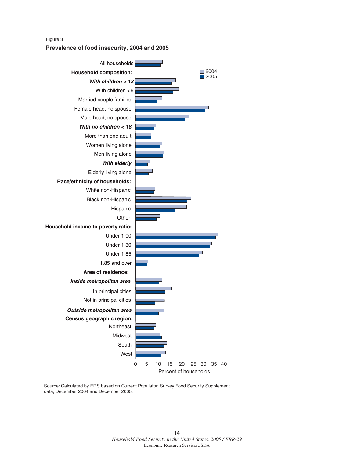#### **Prevalence of food insecurity, 2004 and 2005** Figure 3



Source: Calculated by ERS based on Current Populaton Survey Food Security Supplement data, December 2004 and December 2005.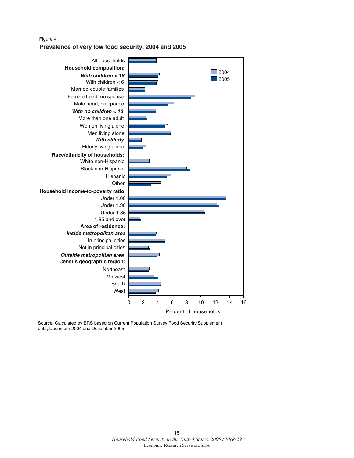#### Figure 4

**Prevalence of very low food security, 2004 and 2005**



Source: Calculated by ERS based on Current Population Survey Food Security Supplement data, December 2004 and December 2005.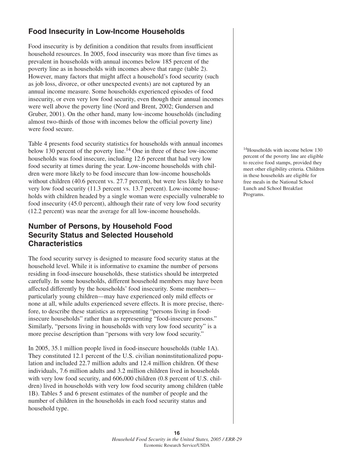## **Food Insecurity in Low-Income Households**

Food insecurity is by definition a condition that results from insufficient household resources. In 2005, food insecurity was more than five times as prevalent in households with annual incomes below 185 percent of the poverty line as in households with incomes above that range (table 2). However, many factors that might affect a household's food security (such as job loss, divorce, or other unexpected events) are not captured by an annual income measure. Some households experienced episodes of food insecurity, or even very low food security, even though their annual incomes were well above the poverty line (Nord and Brent, 2002; Gundersen and Gruber, 2001). On the other hand, many low-income households (including almost two-thirds of those with incomes below the official poverty line) were food secure.

Table 4 presents food security statistics for households with annual incomes below 130 percent of the poverty line.<sup>14</sup> One in three of these low-income households was food insecure, including 12.6 percent that had very low food security at times during the year. Low-income households with children were more likely to be food insecure than low-income households without children (40.6 percent vs. 27.7 percent), but were less likely to have very low food security (11.3 percent vs. 13.7 percent). Low-income households with children headed by a single woman were especially vulnerable to food insecurity (45.0 percent), although their rate of very low food security (12.2 percent) was near the average for all low-income households.

## **Number of Persons, by Household Food Security Status and Selected Household Characteristics**

The food security survey is designed to measure food security status at the household level. While it is informative to examine the number of persons residing in food-insecure households, these statistics should be interpreted carefully. In some households, different household members may have been affected differently by the households' food insecurity. Some members particularly young children—may have experienced only mild effects or none at all, while adults experienced severe effects. It is more precise, therefore, to describe these statistics as representing "persons living in foodinsecure households" rather than as representing "food-insecure persons." Similarly, "persons living in households with very low food security" is a more precise description than "persons with very low food security."

In 2005, 35.1 million people lived in food-insecure households (table 1A). They constituted 12.1 percent of the U.S. civilian noninstitutionalized population and included 22.7 million adults and 12.4 million children. Of these individuals, 7.6 million adults and 3.2 million children lived in households with very low food security, and 606,000 children (0.8 percent of U.S. children) lived in households with very low food security among children (table 1B). Tables 5 and 6 present estimates of the number of people and the number of children in the households in each food security status and household type.

<sup>14</sup>Households with income below 130 percent of the poverty line are eligible to receive food stamps, provided they meet other eligibility criteria. Children in these households are eligible for free meals in the National School Lunch and School Breakfast Programs.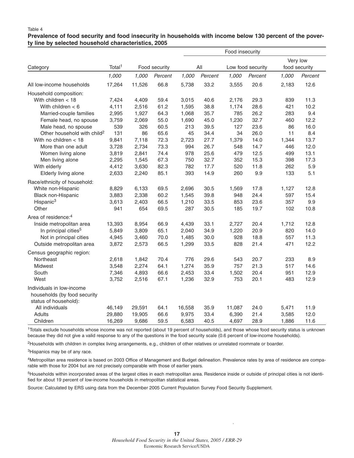#### **Prevalence of food security and food insecurity in households with income below 130 percent of the poverty line by selected household characteristics, 2005**

|                                          |                    |               |         | Food insecurity |         |        |                   |          |               |  |
|------------------------------------------|--------------------|---------------|---------|-----------------|---------|--------|-------------------|----------|---------------|--|
| Category                                 | Total <sup>1</sup> | Food security |         |                 | All     |        | Low food security | Very low | food security |  |
|                                          | 1,000              | 1,000         | Percent | 1,000           | Percent | 1,000  | Percent           | 1,000    | Percent       |  |
| All low-income households                | 17,264             | 11,526        | 66.8    | 5,738           | 33.2    | 3,555  | 20.6              | 2,183    | 12.6          |  |
| Household composition:                   |                    |               |         |                 |         |        |                   |          |               |  |
| With children $<$ 18                     | 7,424              | 4,409         | 59.4    | 3,015           | 40.6    | 2,176  | 29.3              | 839      | 11.3          |  |
| With children $<$ 6                      | 4,111              | 2,516         | 61.2    | 1,595           | 38.8    | 1,174  | 28.6              | 421      | 10.2          |  |
| Married-couple families                  | 2,995              | 1,927         | 64.3    | 1,068           | 35.7    | 785    | 26.2              | 283      | 9.4           |  |
| Female head, no spouse                   | 3,759              | 2,069         | 55.0    | 1,690           | 45.0    | 1,230  | 32.7              | 460      | 12.2          |  |
| Male head, no spouse                     | 539                | 326           | 60.5    | 213             | 39.5    | 127    | 23.6              | 86       | 16.0          |  |
| Other household with child <sup>2</sup>  | 131                | 86            | 65.6    | 45              | 34.4    | 34     | 26.0              | 11       | 8.4           |  |
| With no children $<$ 18                  | 9,841              | 7,118         | 72.3    | 2,723           | 27.7    | 1,379  | 14.0              | 1,344    | 13.7          |  |
| More than one adult                      | 3,728              | 2,734         | 73.3    | 994             | 26.7    | 548    | 14.7              | 446      | 12.0          |  |
| Women living alone                       | 3,819              | 2,841         | 74.4    | 978             | 25.6    | 479    | 12.5              | 499      | 13.1          |  |
| Men living alone                         | 2,295              | 1,545         | 67.3    | 750             | 32.7    | 352    | 15.3              | 398      | 17.3          |  |
| With elderly                             | 4,412              | 3,630         | 82.3    | 782             | 17.7    | 520    | 11.8              | 262      | 5.9           |  |
| Elderly living alone                     | 2,633              | 2,240         | 85.1    | 393             | 14.9    | 260    | 9.9               | 133      | 5.1           |  |
| Race/ethnicity of household:             |                    |               |         |                 |         |        |                   |          |               |  |
| White non-Hispanic                       | 8,829              | 6,133         | 69.5    | 2,696           | 30.5    | 1,569  | 17.8              | 1,127    | 12.8          |  |
| Black non-Hispanic                       | 3,883              | 2,338         | 60.2    | 1,545           | 39.8    | 948    | 24.4              | 597      | 15.4          |  |
| Hispanic <sup>3</sup>                    | 3,613              | 2,403         | 66.5    | 1,210           | 33.5    | 853    | 23.6              | 357      | 9.9           |  |
| Other                                    | 941                | 654           | 69.5    | 287             | 30.5    | 185    | 19.7              | 102      | 10.8          |  |
| Area of residence: <sup>4</sup>          |                    |               |         |                 |         |        |                   |          |               |  |
| Inside metropolitan area                 | 13,393             | 8,954         | 66.9    | 4,439           | 33.1    | 2,727  | 20.4              | 1,712    | 12.8          |  |
| In principal cities <sup>5</sup>         | 5,849              | 3,809         | 65.1    | 2,040           | 34.9    | 1,220  | 20.9              | 820      | 14.0          |  |
| Not in principal cities                  | 4,945              | 3,460         | 70.0    | 1,485           | 30.0    | 928    | 18.8              | 557      | 11.3          |  |
| Outside metropolitan area                | 3,872              | 2,573         | 66.5    | 1,299           | 33.5    | 828    | 21.4              | 471      | 12.2          |  |
| Census geographic region:                |                    |               |         |                 |         |        |                   |          |               |  |
| Northeast                                | 2,618              | 1,842         | 70.4    | 776             | 29.6    | 543    | 20.7              | 233      | 8.9           |  |
| Midwest                                  | 3,548              | 2,274         | 64.1    | 1,274           | 35.9    | 757    | 21.3              | 517      | 14.6          |  |
| South                                    | 7,346              | 4,893         | 66.6    | 2,453           | 33.4    | 1,502  | 20.4              | 951      | 12.9          |  |
| West                                     | 3,752              | 2,516         | 67.1    | 1,236           | 32.9    | 753    | 20.1              | 483      | 12.9          |  |
| Individuals in low-income                |                    |               |         |                 |         |        |                   |          |               |  |
| households (by food security             |                    |               |         |                 |         |        |                   |          |               |  |
| status of household):<br>All individuals | 46,149             | 29,591        | 64.1    | 16,558          | 35.9    | 11,087 | 24.0              | 5,471    | 11.9          |  |
| Adults                                   | 29,880             | 19,905        | 66.6    | 9,975           | 33.4    | 6,390  | 21.4              | 3,585    | 12.0          |  |
| Children                                 | 16,269             | 9,686         | 59.5    | 6,583           | 40.5    | 4,697  | 28.9              | 1,886    | 11.6          |  |
|                                          |                    |               |         |                 |         |        |                   |          |               |  |

1Totals exclude households whose income was not reported (about 19 percent of households), and those whose food security status is unknown because they did not give a valid response to any of the questions in the food security scale (0.6 percent of low-income households).

2Households with children in complex living arrangements, e.g., children of other relatives or unrelated roommate or boarder.

<sup>3</sup>Hispanics may be of any race.

4Metropolitan area residence is based on 2003 Office of Management and Budget delineation. Prevalence rates by area of residence are comparable with those for 2004 but are not precisely comparable with those of earlier years.

5Households within incorporated areas of the largest cities in each metropolitan area. Residence inside or outside of principal cities is not identified for about 19 percent of low-income households in metropolitan statistical areas.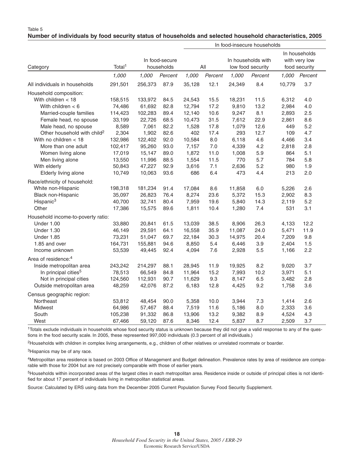#### **Number of individuals by food security status of households and selected household characteristics, 2005**

|                                         |                                                    | In food-insecure households |                                                |        |         |                                                 |         |        |         |
|-----------------------------------------|----------------------------------------------------|-----------------------------|------------------------------------------------|--------|---------|-------------------------------------------------|---------|--------|---------|
| Category                                | In food-secure<br>Total <sup>1</sup><br>households |                             | In households with<br>All<br>low food security |        |         | In households<br>with very low<br>food security |         |        |         |
|                                         | 1,000                                              | 1,000                       | Percent                                        | 1,000  | Percent | 1,000                                           | Percent | 1,000  | Percent |
| All individuals in households           | 291,501                                            | 256,373                     | 87.9                                           | 35,128 | 12.1    | 24,349                                          | 8.4     | 10,779 | 3.7     |
| Household composition:                  |                                                    |                             |                                                |        |         |                                                 |         |        |         |
| With children $<$ 18                    | 158,515                                            | 133,972                     | 84.5                                           | 24,543 | 15.5    | 18,231                                          | 11.5    | 6,312  | 4.0     |
| With children $<$ 6                     | 74,486                                             | 61,692                      | 82.8                                           | 12,794 | 17.2    | 9,810                                           | 13.2    | 2,984  | 4.0     |
| Married-couple families                 | 114,423                                            | 102,283                     | 89.4                                           | 12,140 | 10.6    | 9,247                                           | 8.1     | 2,893  | 2.5     |
| Female head, no spouse                  | 33,199                                             | 22,726                      | 68.5                                           | 10,473 | 31.5    | 7,612                                           | 22.9    | 2,861  | 8.6     |
| Male head, no spouse                    | 8,589                                              | 7,061                       | 82.2                                           | 1,528  | 17.8    | 1,079                                           | 12.6    | 449    | 5.2     |
| Other household with child <sup>2</sup> | 2,304                                              | 1,902                       | 82.6                                           | 402    | 17.4    | 293                                             | 12.7    | 109    | 4.7     |
| With no children $<$ 18                 | 132,986                                            | 122,402                     | 92.0                                           | 10,584 | 8.0     | 6,118                                           | 4.6     | 4,466  | 3.4     |
| More than one adult                     | 102,417                                            | 95,260                      | 93.0                                           | 7,157  | 7.0     | 4,339                                           | 4.2     | 2,818  | 2.8     |
| Women living alone                      | 17,019                                             | 15,147                      | 89.0                                           | 1,872  | 11.0    | 1,008                                           | 5.9     | 864    | 5.1     |
| Men living alone                        | 13,550                                             | 11,996                      | 88.5                                           | 1,554  | 11.5    | 770                                             | 5.7     | 784    | 5.8     |
| With elderly                            | 50,843                                             | 47,227                      | 92.9                                           | 3,616  | 7.1     | 2,636                                           | 5.2     | 980    | 1.9     |
| Elderly living alone                    | 10,749                                             | 10,063                      | 93.6                                           | 686    | 6.4     | 473                                             | 4.4     | 213    | 2.0     |
| Race/ethnicity of household:            |                                                    |                             |                                                |        |         |                                                 |         |        |         |
| White non-Hispanic                      | 198,318                                            | 181,234                     | 91.4                                           | 17,084 | 8.6     | 11,858                                          | 6.0     | 5,226  | 2.6     |
| Black non-Hispanic                      | 35,097                                             | 26,823                      | 76.4                                           | 8,274  | 23.6    | 5,372                                           | 15.3    | 2,902  | 8.3     |
| Hispanic <sup>3</sup>                   | 40,700                                             | 32,741                      | 80.4                                           | 7,959  | 19.6    | 5,840                                           | 14.3    | 2,119  | 5.2     |
| Other                                   | 17,386                                             | 15,575                      | 89.6                                           | 1,811  | 10.4    | 1,280                                           | 7.4     | 531    | 3.1     |
| Household income-to-poverty ratio:      |                                                    |                             |                                                |        |         |                                                 |         |        |         |
| Under 1.00                              | 33,880                                             | 20,841                      | 61.5                                           | 13,039 | 38.5    | 8,906                                           | 26.3    | 4,133  | 12.2    |
| <b>Under 1.30</b>                       | 46,149                                             | 29,591                      | 64.1                                           | 16,558 | 35.9    | 11,087                                          | 24.0    | 5,471  | 11.9    |
| <b>Under 1.85</b>                       | 73,231                                             | 51,047                      | 69.7                                           | 22,184 | 30.3    | 14,975                                          | 20.4    | 7,209  | 9.8     |
| 1.85 and over                           | 164,731                                            | 155,881                     | 94.6                                           | 8,850  | 5.4     | 6,446                                           | 3.9     | 2,404  | 1.5     |
| Income unknown                          | 53,539                                             | 49,445                      | 92.4                                           | 4,094  | 7.6     | 2,928                                           | 5.5     | 1,166  | 2.2     |
| Area of residence: <sup>4</sup>         |                                                    |                             |                                                |        |         |                                                 |         |        |         |
| Inside metropolitan area                | 243,242                                            | 214,297                     | 88.1                                           | 28,945 | 11.9    | 19,925                                          | 8.2     | 9,020  | 3.7     |
| In principal cities <sup>5</sup>        | 78,513                                             | 66,549                      | 84.8                                           | 11,964 | 15.2    | 7,993                                           | 10.2    | 3,971  | 5.1     |
| Not in principal cities                 | 124,560                                            | 112,931                     | 90.7                                           | 11,629 | 9.3     | 8,147                                           | 6.5     | 3,482  | 2.8     |
| Outside metropolitan area               | 48,259                                             | 42,076                      | 87.2                                           | 6,183  | 12.8    | 4,425                                           | 9.2     | 1,758  | 3.6     |
| Census geographic region:               |                                                    |                             |                                                |        |         |                                                 |         |        |         |
| Northeast                               | 53,812                                             | 48,454                      | 90.0                                           | 5,358  | 10.0    | 3,944                                           | 7.3     | 1,414  | 2.6     |
| Midwest                                 | 64,986                                             | 57,467                      | 88.4                                           | 7,519  | 11.6    | 5,186                                           | 8.0     | 2,333  | 3.6     |
| South                                   | 105,238                                            | 91,332                      | 86.8                                           | 13,906 | 13.2    | 9,382                                           | 8.9     | 4,524  | 4.3     |
| West                                    | 67,466                                             | 59,120                      | 87.6                                           | 8,346  | 12.4    | 5,837                                           | 8.7     | 2,509  | 3.7     |
|                                         |                                                    |                             |                                                |        |         |                                                 |         |        |         |

1Totals exclude individuals in households whose food security status is unknown because they did not give a valid response to any of the questions in the food security scale. In 2005, these represented 997,000 individuals (0.3 percent of all individuals.)

2Households with children in complex living arrangements, e.g., children of other relatives or unrelated roommate or boarder.

<sup>3</sup>Hispanics may be of any race.

4Metropolitan area residence is based on 2003 Office of Management and Budget delineation. Prevalence rates by area of residence are comparable with those for 2004 but are not precisely comparable with those of earlier years.

5Households within incorporated areas of the largest cities in each metropolitan area. Residence inside or outside of principal cities is not identified for about 17 percent of individuals living in metropolitan statistical areas.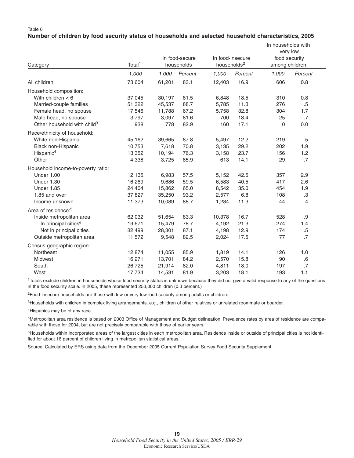|  |  |  |  | Number of children by food security status of households and selected household characteristics, 2005 |  |
|--|--|--|--|-------------------------------------------------------------------------------------------------------|--|
|  |  |  |  |                                                                                                       |  |

|                                         |                    |        |                |                         |                  | In households with<br>very low |         |  |
|-----------------------------------------|--------------------|--------|----------------|-------------------------|------------------|--------------------------------|---------|--|
|                                         |                    |        | In food-secure |                         | In food-insecure | food security                  |         |  |
| Category                                | Total <sup>1</sup> |        | households     | households <sup>2</sup> |                  | among children                 |         |  |
|                                         | 1,000              | 1,000  | Percent        | 1,000                   | Percent          | 1,000                          | Percent |  |
| All children                            | 73,604             | 61,201 | 83.1           | 12,403                  | 16.9             | 606                            | 0.8     |  |
| Household composition:                  |                    |        |                |                         |                  |                                |         |  |
| With children $<$ 6                     | 37,045             | 30,197 | 81.5           | 6,848                   | 18.5             | 310                            | 0.8     |  |
| Married-couple families                 | 51,322             | 45,537 | 88.7           | 5,785                   | 11.3             | 276                            | $.5\,$  |  |
| Female head, no spouse                  | 17,546             | 11,788 | 67.2           | 5,758                   | 32.8             | 304                            | 1.7     |  |
| Male head, no spouse                    | 3,797              | 3,097  | 81.6           | 700                     | 18.4             | 25                             | .7      |  |
| Other household with child <sup>3</sup> | 938                | 778    | 82.9           | 160                     | 17.1             | 0                              | 0.0     |  |
| Race/ethnicity of household:            |                    |        |                |                         |                  |                                |         |  |
| White non-Hispanic                      | 45,162             | 39,665 | 87.8           | 5,497                   | 12.2             | 219                            | $.5\,$  |  |
| Black non-Hispanic                      | 10,753             | 7,618  | 70.8           | 3,135                   | 29.2             | 202                            | 1.9     |  |
| Hispanic <sup>4</sup>                   | 13,352             | 10,194 | 76.3           | 3,158                   | 23.7             | 156                            | 1.2     |  |
| Other                                   | 4,338              | 3,725  | 85.9           | 613                     | 14.1             | 29                             | .7      |  |
| Household income-to-poverty ratio:      |                    |        |                |                         |                  |                                |         |  |
| <b>Under 1.00</b>                       | 12,135             | 6,983  | 57.5           | 5,152                   | 42.5             | 357                            | 2.9     |  |
| <b>Under 1.30</b>                       | 16,269             | 9,686  | 59.5           | 6,583                   | 40.5             | 417                            | 2.6     |  |
| <b>Under 1.85</b>                       | 24,404             | 15,862 | 65.0           | 8,542                   | 35.0             | 454                            | 1.9     |  |
| 1.85 and over                           | 37,827             | 35,250 | 93.2           | 2,577                   | 6.8              | 108                            | .3      |  |
| Income unknown                          | 11,373             | 10,089 | 88.7           | 1,284                   | 11.3             | 44                             | .4      |  |
| Area of residence: <sup>5</sup>         |                    |        |                |                         |                  |                                |         |  |
| Inside metropolitan area                | 62,032             | 51,654 | 83.3           | 10,378                  | 16.7             | 528                            | .9      |  |
| In principal cities <sup>6</sup>        | 19,671             | 15,479 | 78.7           | 4,192                   | 21.3             | 274                            | 1.4     |  |
| Not in principal cities                 | 32,499             | 28,301 | 87.1           | 4,198                   | 12.9             | 174                            | $.5\,$  |  |
| Outside metropolitan area               | 11,572             | 9,548  | 82.5           | 2,024                   | 17.5             | 77                             | .7      |  |
| Census geographic region:               |                    |        |                |                         |                  |                                |         |  |
| Northeast                               | 12,874             | 11,055 | 85.9           | 1,819                   | 14.1             | 126                            | 1.0     |  |
| <b>Midwest</b>                          | 16,271             | 13,701 | 84.2           | 2,570                   | 15.8             | 90                             | $.6\,$  |  |
| South                                   | 26,725             | 21,914 | 82.0           | 4,811                   | 18.0             | 197                            | .7      |  |
| West                                    | 17,734             | 14,531 | 81.9           | 3,203                   | 18.1             | 193                            | 1.1     |  |

<sup>1</sup>Totals exclude children in households whose food security status is unknown because they did not give a valid response to any of the questions in the food security scale. In 2005, these represented 253,000 children (0.3 percent.)

2Food-insecure households are those with low or very low food security among adults or children.

3Households with children in complex living arrangements, e.g., children of other relatives or unrelated roommate or boarder.

4Hispanics may be of any race.

5Metropolitan area residence is based on 2003 Office of Management and Budget delineation. Prevalence rates by area of residence are comparable with those for 2004, but are not precisely comparable with those of earlier years.

<sup>6</sup>Households within incorporated areas of the largest cities in each metropolitan area. Residence inside or outside of principal cities is not identified for about 16 percent of children living in metropolitan statistical areas.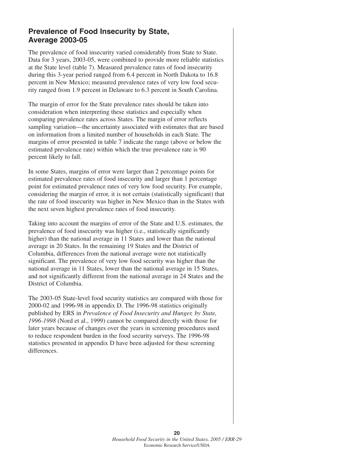## **Prevalence of Food Insecurity by State, Average 2003-05**

The prevalence of food insecurity varied considerably from State to State. Data for 3 years, 2003-05, were combined to provide more reliable statistics at the State level (table 7). Measured prevalence rates of food insecurity during this 3-year period ranged from 6.4 percent in North Dakota to 16.8 percent in New Mexico; measured prevalence rates of very low food security ranged from 1.9 percent in Delaware to 6.3 percent in South Carolina.

The margin of error for the State prevalence rates should be taken into consideration when interpreting these statistics and especially when comparing prevalence rates across States. The margin of error reflects sampling variation—the uncertainty associated with estimates that are based on information from a limited number of households in each State. The margins of error presented in table 7 indicate the range (above or below the estimated prevalence rate) within which the true prevalence rate is 90 percent likely to fall.

In some States, margins of error were larger than 2 percentage points for estimated prevalence rates of food insecurity and larger than 1 percentage point for estimated prevalence rates of very low food security. For example, considering the margin of error, it is not certain (statistically significant) that the rate of food insecurity was higher in New Mexico than in the States with the next seven highest prevalence rates of food insecurity.

Taking into account the margins of error of the State and U.S. estimates, the prevalence of food insecurity was higher (i.e., statistically significantly higher) than the national average in 11 States and lower than the national average in 20 States. In the remaining 19 States and the District of Columbia, differences from the national average were not statistically significant. The prevalence of very low food security was higher than the national average in 11 States, lower than the national average in 15 States, and not significantly different from the national average in 24 States and the District of Columbia.

The 2003-05 State-level food security statistics are compared with those for 2000-02 and 1996-98 in appendix D. The 1996-98 statistics originally published by ERS in *Prevalence of Food Insecurity and Hunger, by State, 1996-1998* (Nord et al., 1999) cannot be compared directly with those for later years because of changes over the years in screening procedures used to reduce respondent burden in the food security surveys. The 1996-98 statistics presented in appendix D have been adjusted for these screening differences.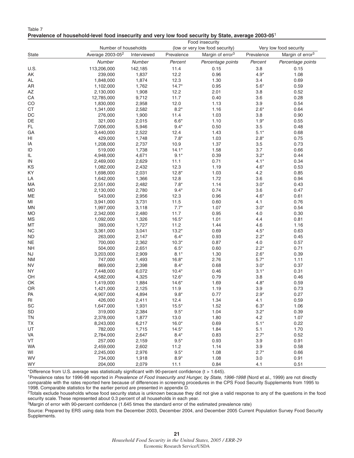| Table 7                                                                                                         |  |
|-----------------------------------------------------------------------------------------------------------------|--|
| Prevalence of household-level food insecurity and very low food security by State, average 2003-05 <sup>1</sup> |  |

| Food insecurity |                              |             |                                 |                              |            |                              |
|-----------------|------------------------------|-------------|---------------------------------|------------------------------|------------|------------------------------|
|                 | Number of households         |             | (low or very low food security) | Very low food security       |            |                              |
| State           | Average 2003-05 <sup>2</sup> | Interviewed | Prevalence                      | Margin of error <sup>3</sup> | Prevalence | Margin of error <sup>3</sup> |
|                 | Number                       | Number      | Percent                         | Percentage points            | Percent    | Percentage points            |
| U.S.            | 113,206,000                  | 142,185     | 11.4                            | 0.15                         | 3.8        | 0.15                         |
| AK              | 239,000                      | 1,837       | 12.2                            | 0.96                         | $4.9*$     | 1.08                         |
| AL              | 1,848,000                    | 1,874       | 12.3                            | 1.30                         | 3.4        | 0.69                         |
| AR              | 1,102,000                    | 1,762       | $14.7*$                         | 0.95                         | $5.6*$     | 0.59                         |
| AZ              | 2,130,000                    | 1,908       | 12.2                            | 2.01                         | 3.8        | 0.52                         |
| ${\sf CA}$      | 12,785,000                   | 9,712       | 11.7                            | 0.40                         | 3.6        | 0.28                         |
| CO              | 1,830,000                    | 2,958       | 12.0                            | 1.13                         | 3.9        | 0.54                         |
| CT              | 1,341,000                    | 2,582       | $8.2*$                          | 1.16                         | $2.6*$     | 0.64                         |
| DC              | 276,000                      | 1,900       | 11.4                            | 1.03                         | 3.8        | 0.90                         |
| DE              | 321,000                      | 2,015       | $6.6*$                          | 1.10                         | $1.9*$     | 0.55                         |
| FL              | 7,006,000                    | 5,946       | $9.4*$                          | 0.50                         | 3.5        | 0.48                         |
| GA              | 3,440,000                    | 2,522       | 12.4                            | 1.43                         | $5.1*$     | 0.68                         |
| HI              | 429,000                      | 1,748       | $7.8*$                          | 1.03                         | $2.8*$     | 0.75                         |
| IA              | 1,208,000                    | 2,737       | 10.9                            | 1.37                         | 3.5        | 0.73                         |
| ID              | 519,000                      | 1,738       | $14.1*$                         | 1.58                         | 3.7        | 0.66                         |
| IL              | 4,948,000                    | 4,671       | $9.1*$                          | 0.39                         | $3.2*$     | 0.44                         |
| IN              | 2,469,000                    | 2,629       | 11.1                            | 0.71                         | $4.1*$     | 0.34                         |
| KS              | 1,082,000                    | 2,432       | 12.3                            | 1.19                         | $4.6*$     | 0.53                         |
| KY              | 1,698,000                    | 2,031       | $12.8*$                         | 1.03                         | 4.2        | 0.85                         |
| LA              | 1,642,000                    | 1,366       | 12.8                            | 1.72                         | 3.6        | 0.94                         |
| MA              | 2,551,000                    | 2,482       | $7.8*$                          | 1.14                         | $3.0*$     | 0.43                         |
| MD              | 2,130,000                    | 2,780       | $9.4*$                          | 0.74                         | 3.6        | 0.47                         |
| ME              | 543,000                      | 2,956       | 12.3                            | 0.96                         | $4.6*$     | 0.61                         |
| MI              | 3,941,000                    | 3,731       | 11.5                            | 0.60                         | 4.1        | 0.76                         |
| ΜN              | 1,997,000                    | 3,118       | $7.7*$                          | 1.07                         | $3.0*$     | 0.54                         |
| <b>MO</b>       | 2,342,000                    | 2,480       | 11.7                            | 0.95                         | 4.0        | 0.30                         |
| <b>MS</b>       | 1,092,000                    | 1,326       | $16.5*$                         | 1.01                         | 4.4        | 0.81                         |
| MT              | 393,000                      | 1,727       | 11.2                            | 1.44                         | 4.6        | 1.16                         |
| <b>NC</b>       | 3,361,000                    | 3,041       | $13.2*$                         | 0.69                         | $4.5*$     | 0.63                         |
| <b>ND</b>       | 263,000                      | 2,147       | $6.4*$                          | 0.93                         | $2.2*$     | 0.45                         |
| <b>NE</b>       | 700,000                      | 2,362       | $10.3*$                         | 0.87                         | 4.0        | 0.57                         |
| <b>NH</b>       | 504,000                      | 2,651       | $6.5*$                          | 0.60                         | $2.2*$     | 0.71                         |
| NJ              | 3,203,000                    | 2,909       | $8.1*$                          | 1.30                         | $2.6*$     | 0.39                         |
| ΝM              | 747,000                      | 1,493       | $16.8*$                         | 2.76                         | $5.7*$     | 1.11                         |
| <b>NV</b>       | 869,000                      | 2,398       | $8.4*$                          | 0.68                         | $3.0*$     | 0.37                         |
| <b>NY</b>       | 7,448,000                    | 6,072       | $10.4*$                         | 0.46                         | $3.1*$     | 0.31                         |
| OH              | 4,582,000                    | 4,325       | $12.6*$                         | 0.79                         | 3.8        | 0.46                         |
| OK              | 1,419,000                    | 1,884       | $14.6*$                         | 1.69                         | $4.8*$     | 0.59                         |
| OR              | 1,421,000                    | 2,125       | 11.9                            | 1.19                         | 3.9        | 0.73                         |
| PA              | 4,907,000                    | 4,894       | $9.8*$                          | 0.77                         | $2.9*$     | 0.27                         |
| $\mathsf{RI}$   | 426,000                      | 2,411       | 12.4                            | 1.34                         | 4.1        | 0.59                         |
| SC              | 1,647,000                    | 1,931       | $15.5*$                         | 1.52                         | $6.3*$     | 1.06                         |
| SD              | 319,000                      | 2,384       | $9.5*$                          | 1.04                         | $3.2*$     | 0.39                         |
| <b>TN</b>       | 2,378,000                    | 1,877       | 13.0                            | 1.80                         | 4.2        | 1.07                         |
| <b>TX</b>       | 8,243,000                    | 6,217       | $16.0*$                         | 0.69                         | $5.1*$     | 0.22                         |
| UT              | 782,000                      | 1,715       | $14.5*$                         | 1.84                         | 5.1        | 1.70                         |
| VA              | 2,784,000                    | 2,647       | $8.4*$                          | 0.83                         | $2.7*$     | 0.52                         |
| VT              | 257,000                      | 2,159       | $9.5*$                          | 0.93                         | 3.9        | 0.91                         |
| <b>WA</b>       | 2,459,000                    | 2,602       | 11.2                            | 1.14                         | 3.9        | 0.58                         |
| WI              | 2,245,000                    | 2,976       | $9.5*$                          | 1.08                         | $2.7*$     | 0.66                         |
| WV              | 734,000                      | 1,918       | $8.9*$                          | 1.08                         | 3.0        | 0.91                         |
| <b>WY</b>       | 204,000                      | 2,079       | 11.1                            | 0.84                         | 4.1        | 0.51                         |

\*Difference from U.S. average was statistically significant with 90-percent confidence (t > 1.645).

<sup>1</sup>Prevalence rates for 1996-98 reported in Prevalence of Food Insecurity and Hunger, by State, 1996-1998 (Nord et al., 1999) are not directly comparable with the rates reported here because of differences in screening procedures in the CPS Food Security Supplements from 1995 to 1998. Comparable statistics for the earlier period are presented in appendix D.

<sup>2</sup>Totals exclude households whose food security status is unknown because they did not give a valid response to any of the questions in the food security scale. These represented about 0.3 percent of all households in each year.

3Margin of error with 90-percent confidence (1.645 times the standard error of the estimated prevalence rate)

Source: Prepared by ERS using data from the December 2003, December 2004, and December 2005 Current Population Survey Food Security Supplements.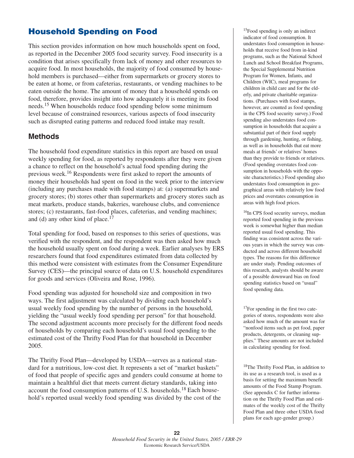## **Household Spending on Food**

This section provides information on how much households spent on food, as reported in the December 2005 food security survey. Food insecurity is a condition that arises specifically from lack of money and other resources to acquire food. In most households, the majority of food consumed by household members is purchased—either from supermarkets or grocery stores to be eaten at home, or from cafeterias, restaurants, or vending machines to be eaten outside the home. The amount of money that a household spends on food, therefore, provides insight into how adequately it is meeting its food needs.<sup>15</sup> When households reduce food spending below some minimum level because of constrained resources, various aspects of food insecurity such as disrupted eating patterns and reduced food intake may result.

## **Methods**

The household food expenditure statistics in this report are based on usual weekly spending for food, as reported by respondents after they were given a chance to reflect on the household's actual food spending during the previous week.<sup>16</sup> Respondents were first asked to report the amounts of money their households had spent on food in the week prior to the interview (including any purchases made with food stamps) at: (a) supermarkets and grocery stores; (b) stores other than supermarkets and grocery stores such as meat markets, produce stands, bakeries, warehouse clubs, and convenience stores; (c) restaurants, fast-food places, cafeterias, and vending machines; and (d) any other kind of place. $17$ 

Total spending for food, based on responses to this series of questions, was verified with the respondent, and the respondent was then asked how much the household usually spent on food during a week. Earlier analyses by ERS researchers found that food expenditures estimated from data collected by this method were consistent with estimates from the Consumer Expenditure Survey (CES)—the principal source of data on U.S. household expenditures for goods and services (Oliveira and Rose, 1996).

Food spending was adjusted for household size and composition in two ways. The first adjustment was calculated by dividing each household's usual weekly food spending by the number of persons in the household, yielding the "usual weekly food spending per person" for that household. The second adjustment accounts more precisely for the different food needs of households by comparing each household's usual food spending to the estimated cost of the Thrifty Food Plan for that household in December 2005.

The Thrifty Food Plan—developed by USDA—serves as a national standard for a nutritious, low-cost diet. It represents a set of "market baskets" of food that people of specific ages and genders could consume at home to maintain a healthful diet that meets current dietary standards, taking into account the food consumption patterns of U.S. households.18 Each household's reported usual weekly food spending was divided by the cost of the

<sup>15</sup>Food spending is only an indirect indicator of food consumption. It understates food consumption in households that receive food from in-kind programs, such as the National School Lunch and School Breakfast Programs, the Special Supplemental Nutrition Program for Women, Infants, and Children (WIC), meal programs for children in child care and for the elderly, and private charitable organizations. (Purchases with food stamps, however, are counted as food spending in the CPS food security survey.) Food spending also understates food consumption in households that acquire a substantial part of their food supply through gardening, hunting, or fishing, as well as in households that eat more meals at friends' or relatives' homes than they provide to friends or relatives. (Food spending overstates food consumption in households with the opposite characteristics.) Food spending also understates food consumption in geographical areas with relatively low food prices and overstates consumption in areas with high food prices.

16In CPS food security surveys, median reported food spending in the previous week is somewhat higher than median reported usual food spending. This finding was consistent across the various years in which the survey was conducted and across different household types. The reasons for this difference are under study. Pending outcomes of this research, analysts should be aware of a possible downward bias on food spending statistics based on "usual" food spending data.

<sup>17</sup>For spending in the first two categories of stores, respondents were also asked how much of the amount was for "nonfood items such as pet food, paper products, detergents, or cleaning supplies." These amounts are not included in calculating spending for food.

18The Thrifty Food Plan, in addition to its use as a research tool, is used as a basis for setting the maximum benefit amounts of the Food Stamp Program. (See appendix C for further information on the Thrifty Food Plan and estimates of the weekly cost of the Thrifty Food Plan and three other USDA food plans for each age-gender group.)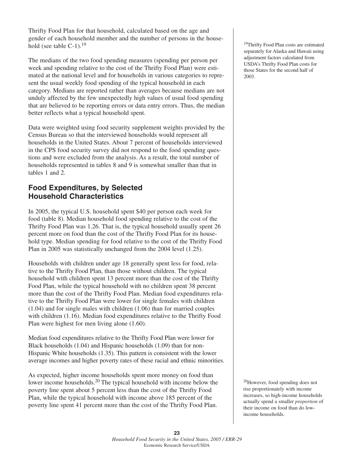Thrifty Food Plan for that household, calculated based on the age and gender of each household member and the number of persons in the household (see table  $C-1$ ).<sup>19</sup>

The medians of the two food spending measures (spending per person per week and spending relative to the cost of the Thrifty Food Plan) were estimated at the national level and for households in various categories to represent the usual weekly food spending of the typical household in each category. Medians are reported rather than averages because medians are not unduly affected by the few unexpectedly high values of usual food spending that are believed to be reporting errors or data entry errors. Thus, the median better reflects what a typical household spent.

Data were weighted using food security supplement weights provided by the Census Bureau so that the interviewed households would represent all households in the United States. About 7 percent of households interviewed in the CPS food security survey did not respond to the food spending questions and were excluded from the analysis. As a result, the total number of households represented in tables 8 and 9 is somewhat smaller than that in tables 1 and 2.

## **Food Expenditures, by Selected Household Characteristics**

In 2005, the typical U.S. household spent \$40 per person each week for food (table 8). Median household food spending relative to the cost of the Thrifty Food Plan was 1.26. That is, the typical household usually spent 26 percent more on food than the cost of the Thrifty Food Plan for its household type. Median spending for food relative to the cost of the Thrifty Food Plan in 2005 was statistically unchanged from the 2004 level (1.25).

Households with children under age 18 generally spent less for food, relative to the Thrifty Food Plan, than those without children. The typical household with children spent 13 percent more than the cost of the Thrifty Food Plan, while the typical household with no children spent 38 percent more than the cost of the Thrifty Food Plan. Median food expenditures relative to the Thrifty Food Plan were lower for single females with children (1.04) and for single males with children (1.06) than for married couples with children (1.16). Median food expenditures relative to the Thrifty Food Plan were highest for men living alone (1.60).

Median food expenditures relative to the Thrifty Food Plan were lower for Black households (1.04) and Hispanic households (1.09) than for non-Hispanic White households (1.35). This pattern is consistent with the lower average incomes and higher poverty rates of these racial and ethnic minorities.

As expected, higher income households spent more money on food than lower income households.20 The typical household with income below the poverty line spent about 5 percent less than the cost of the Thrifty Food Plan, while the typical household with income above 185 percent of the poverty line spent 41 percent more than the cost of the Thrifty Food Plan.

<sup>19</sup>Thrifty Food Plan costs are estimated separately for Alaska and Hawaii using adjustment factors calculated from USDA's Thrifty Food Plan costs for those States for the second half of 2003.

20However, food spending does not rise proportionately with income increases, so high-income households actually spend a smaller *proportion* of their income on food than do lowincome households.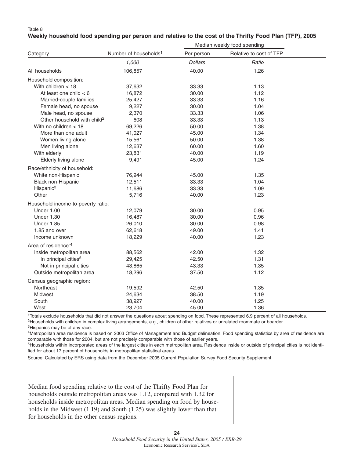#### Table 8

|  | Weekly household food spending per person and relative to the cost of the Thrifty Food Plan (TFP), 2005 |  |  |  |
|--|---------------------------------------------------------------------------------------------------------|--|--|--|

|                                         |                                   | Median weekly food spending |                         |  |
|-----------------------------------------|-----------------------------------|-----------------------------|-------------------------|--|
| Category                                | Number of households <sup>1</sup> | Per person                  | Relative to cost of TFP |  |
|                                         | 1,000                             | <b>Dollars</b>              | Ratio                   |  |
| All households                          | 106,857                           | 40.00                       | 1.26                    |  |
| Household composition:                  |                                   |                             |                         |  |
| With children $<$ 18                    | 37,632                            | 33.33                       | 1.13                    |  |
| At least one child $<$ 6                | 16,872                            | 30.00                       | 1.12                    |  |
| Married-couple families                 | 25,427                            | 33.33                       | 1.16                    |  |
| Female head, no spouse                  | 9,227                             | 30.00                       | 1.04                    |  |
| Male head, no spouse                    | 2,370                             | 33.33                       | 1.06                    |  |
| Other household with child <sup>2</sup> | 608                               | 33.33                       | 1.13                    |  |
| With no children $<$ 18                 | 69,226                            | 50.00                       | 1.38                    |  |
| More than one adult                     | 41,027                            | 45.00                       | 1.34                    |  |
| Women living alone                      | 15,561                            | 50.00                       | 1.38                    |  |
| Men living alone                        | 12,637                            | 60.00                       | 1.60                    |  |
| With elderly                            | 23,831                            | 40.00                       | 1.19                    |  |
| Elderly living alone                    | 9,491                             | 45.00                       | 1.24                    |  |
| Race/ethnicity of household:            |                                   |                             |                         |  |
| White non-Hispanic                      | 76,944                            | 45.00                       | 1.35                    |  |
| Black non-Hispanic                      | 12,511                            | 33.33                       | 1.04                    |  |
| Hispanic <sup>3</sup>                   | 11,686                            | 33.33                       | 1.09                    |  |
| Other                                   | 5,716                             | 40.00                       | 1.23                    |  |
| Household income-to-poverty ratio:      |                                   |                             |                         |  |
| <b>Under 1.00</b>                       | 12,079                            | 30.00                       | 0.95                    |  |
| <b>Under 1.30</b>                       | 16,487                            | 30.00                       | 0.96                    |  |
| <b>Under 1.85</b>                       | 26,010                            | 30.00                       | 0.98                    |  |
| 1.85 and over                           | 62,618                            | 49.00                       | 1.41                    |  |
| Income unknown                          | 18,229                            | 40.00                       | 1.23                    |  |
| Area of residence: <sup>4</sup>         |                                   |                             |                         |  |
| Inside metropolitan area                | 88,562                            | 42.00                       | 1.32                    |  |
| In principal cities <sup>5</sup>        | 29,425                            | 42.50                       | 1.31                    |  |
| Not in principal cities                 | 43,865                            | 43.33                       | 1.35                    |  |
| Outside metropolitan area               | 18,296                            | 37.50                       | 1.12                    |  |
| Census geographic region:               |                                   |                             |                         |  |
| Northeast                               | 19,592                            | 42.50                       | 1.35                    |  |
| Midwest                                 | 24,634                            | 38.50                       | 1.19                    |  |
| South                                   | 38,927                            | 40.00                       | 1.25                    |  |
| West                                    | 23,704                            | 45.00                       | 1.36                    |  |

1Totals exclude households that did not answer the questions about spending on food. These represented 6.9 percent of all households. 2Households with children in complex living arrangements, e.g., children of other relatives or unrelated roommate or boarder. 3Hispanics may be of any race.

4Metropolitan area residence is based on 2003 Office of Management and Budget delineation. Food spending statistics by area of residence are comparable with those for 2004, but are not precisely comparable with those of earlier years.

<sup>5</sup>Households within incorporated areas of the largest cities in each metropolitan area. Residence inside or outside of principal cities is not identified for about 17 percent of households in metropolitan statistical areas.

Source: Calculated by ERS using data from the December 2005 Current Population Survey Food Security Supplement.

Median food spending relative to the cost of the Thrifty Food Plan for households outside metropolitan areas was 1.12, compared with 1.32 for households inside metropolitan areas. Median spending on food by households in the Midwest (1.19) and South (1.25) was slightly lower than that for households in the other census regions.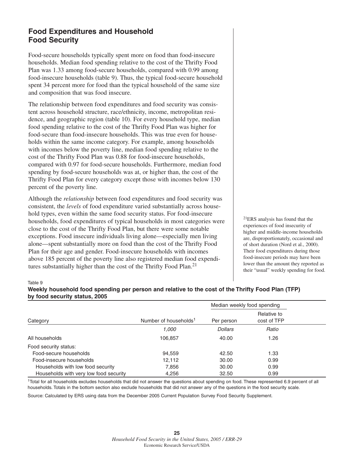## **Food Expenditures and Household Food Security**

Food-secure households typically spent more on food than food-insecure households. Median food spending relative to the cost of the Thrifty Food Plan was 1.33 among food-secure households, compared with 0.99 among food-insecure households (table 9). Thus, the typical food-secure household spent 34 percent more for food than the typical household of the same size and composition that was food insecure.

The relationship between food expenditures and food security was consistent across household structure, race/ethnicity, income, metropolitan residence, and geographic region (table 10). For every household type, median food spending relative to the cost of the Thrifty Food Plan was higher for food-secure than food-insecure households. This was true even for households within the same income category. For example, among households with incomes below the poverty line, median food spending relative to the cost of the Thrifty Food Plan was 0.88 for food-insecure households, compared with 0.97 for food-secure households. Furthermore, median food spending by food-secure households was at, or higher than, the cost of the Thrifty Food Plan for every category except those with incomes below 130 percent of the poverty line.

Although the *relationship* between food expenditures and food security was consistent, the *levels* of food expenditure varied substantially across household types, even within the same food security status. For food-insecure households, food expenditures of typical households in most categories were close to the cost of the Thrifty Food Plan, but there were some notable exceptions. Food insecure individuals living alone—especially men living alone—spent substantially more on food than the cost of the Thrifty Food Plan for their age and gender. Food-insecure households with incomes above 185 percent of the poverty line also registered median food expenditures substantially higher than the cost of the Thrifty Food Plan.<sup>21</sup>

21ERS analysis has found that the experiences of food insecurity of higher and middle-income households are, disproportionately, occasional and of short duration (Nord et al., 2000). Their food expenditures during those food-insecure periods may have been lower than the amount they reported as their "usual" weekly spending for food.

#### Table 9

#### **Weekly household food spending per person and relative to the cost of the Thrifty Food Plan (TFP) by food security status, 2005**

|                                        |                                   | Median weekly food spending |                            |  |
|----------------------------------------|-----------------------------------|-----------------------------|----------------------------|--|
| Category                               | Number of households <sup>1</sup> | Per person                  | Relative to<br>cost of TFP |  |
|                                        | 1.000                             | <b>Dollars</b>              | Ratio                      |  |
| All households                         | 106,857                           | 40.00                       | 1.26                       |  |
| Food security status:                  |                                   |                             |                            |  |
| Food-secure households                 | 94,559                            | 42.50                       | 1.33                       |  |
| Food-insecure households               | 12.112                            | 30.00                       | 0.99                       |  |
| Households with low food security      | 7,856                             | 30.00                       | 0.99                       |  |
| Households with very low food security | 4,256                             | 32.50                       | 0.99                       |  |

<sup>1</sup>Total for all households excludes households that did not answer the questions about spending on food. These represented 6.9 percent of all households. Totals in the bottom section also exclude households that did not answer any of the questions in the food security scale.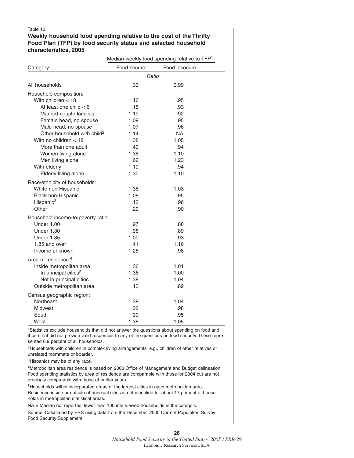#### Table 10

#### **Weekly household food spending relative to the cost of the Thrifty Food Plan (TFP) by food security status and selected household characteristics, 2005**

|                                         | Median weekly food spending relative to TFP <sup>1</sup> |               |  |  |
|-----------------------------------------|----------------------------------------------------------|---------------|--|--|
| Category                                | Food secure                                              | Food insecure |  |  |
|                                         | Ratio                                                    |               |  |  |
| All households                          | 1.33                                                     | 0.99          |  |  |
| Household composition:                  |                                                          |               |  |  |
| With children $<$ 18                    | 1.16                                                     | .95           |  |  |
| At least one child $<$ 6                | 1.15                                                     | .93           |  |  |
| Married-couple families                 | 1.19                                                     | .92           |  |  |
| Female head, no spouse                  | 1.09                                                     | .95           |  |  |
| Male head, no spouse                    | 1.07                                                     | .96           |  |  |
| Other household with child <sup>2</sup> | 1.14                                                     | <b>NA</b>     |  |  |
| With no children $<$ 18                 | 1.38                                                     | 1.05          |  |  |
| More than one adult                     | 1.40                                                     | .94           |  |  |
| Women living alone                      | 1.38                                                     | 1.10          |  |  |
| Men living alone                        | 1.62                                                     | 1.23          |  |  |
| With elderly                            | 1.19                                                     | .94           |  |  |
| Elderly living alone                    | 1.30                                                     | 1.10          |  |  |
| Race/ethnicity of households:           |                                                          |               |  |  |
| White non-Hispanic                      | 1.38                                                     | 1.03          |  |  |
| Black non-Hispanic                      | 1.08                                                     | .95           |  |  |
| Hispanic <sup>3</sup>                   | 1.13                                                     | .96           |  |  |
| Other                                   | 1.29                                                     | .90           |  |  |
| Household income-to-poverty ratio:      |                                                          |               |  |  |
| <b>Under 1.00</b>                       | .97                                                      | .88           |  |  |
| <b>Under 1.30</b>                       | .98                                                      | .89           |  |  |
| <b>Under 1.85</b>                       | 1.00                                                     | .93           |  |  |
| 1.85 and over                           | 1.41                                                     | 1.16          |  |  |
| Income unknown                          | 1.25                                                     | .98           |  |  |
| Area of residence: <sup>4</sup>         |                                                          |               |  |  |
| Inside metropolitan area                | 1.36                                                     | 1.01          |  |  |
| In principal cities <sup>5</sup>        | 1.36                                                     | 1.00          |  |  |
| Not in principal cities                 | 1.38                                                     | 1.04          |  |  |
| Outside metropolitan area               | 1.13                                                     | .89           |  |  |
|                                         |                                                          |               |  |  |
| Census geographic region:               |                                                          |               |  |  |
| Northeast                               | 1.38                                                     | 1.04          |  |  |
| Midwest                                 | 1.22                                                     | .98           |  |  |
| South                                   | 1.30                                                     | .95           |  |  |
| West                                    | 1.38                                                     | 1.05          |  |  |

1Statistics exclude households that did not answer the questions about spending on food and those that did not provide valid responses to any of the questions on food security. These represented 6.9 percent of all households.

2Households with children in complex living arrangements, e.g., children of other relatives or unrelated roommate or boarder.

3Hispanics may be of any race.

4Metropolitan area residence is based on 2003 Office of Management and Budget delineation. Food spending statistics by area of residence are comparable with those for 2004 but are not precisely comparable with those of earlier years.

5Households within incorporated areas of the largest cities in each metropolitan area. Residence inside or outside of principal cities is not identified for about 17 percent of households in metropolitan statistical areas.

NA = Median not reported; fewer than 100 interviewed households in the category. Source: Calculated by ERS using data from the December 2005 Current Population Survey Food Security Supplement.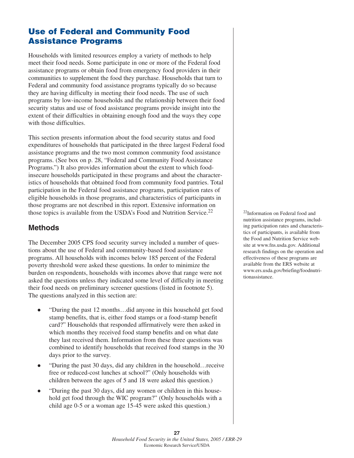## **Use of Federal and Community Food Assistance Programs**

Households with limited resources employ a variety of methods to help meet their food needs. Some participate in one or more of the Federal food assistance programs or obtain food from emergency food providers in their communities to supplement the food they purchase. Households that turn to Federal and community food assistance programs typically do so because they are having difficulty in meeting their food needs. The use of such programs by low-income households and the relationship between their food security status and use of food assistance programs provide insight into the extent of their difficulties in obtaining enough food and the ways they cope with those difficulties.

This section presents information about the food security status and food expenditures of households that participated in the three largest Federal food assistance programs and the two most common community food assistance programs. (See box on p. 28, "Federal and Community Food Assistance Programs.") It also provides information about the extent to which foodinsecure households participated in these programs and about the characteristics of households that obtained food from community food pantries. Total participation in the Federal food assistance programs, participation rates of eligible households in those programs, and characteristics of participants in those programs are not described in this report. Extensive information on those topics is available from the USDA's Food and Nutrition Service.<sup>22</sup>

## **Methods**

The December 2005 CPS food security survey included a number of questions about the use of Federal and community-based food assistance programs. All households with incomes below 185 percent of the Federal poverty threshold were asked these questions. In order to minimize the burden on respondents, households with incomes above that range were not asked the questions unless they indicated some level of difficulty in meeting their food needs on preliminary screener questions (listed in footnote 5). The questions analyzed in this section are:

- $\bullet$  "During the past 12 months…did anyone in this household get food stamp benefits, that is, either food stamps or a food-stamp benefit card?" Households that responded affirmatively were then asked in which months they received food stamp benefits and on what date they last received them. Information from these three questions was combined to identify households that received food stamps in the 30 days prior to the survey.
- $\bullet$  "During the past 30 days, did any children in the household…receive free or reduced-cost lunches at school?" (Only households with children between the ages of 5 and 18 were asked this question.)
- $\bullet$  "During the past 30 days, did any women or children in this household get food through the WIC program?" (Only households with a child age 0-5 or a woman age 15-45 were asked this question.)

22Information on Federal food and nutrition assistance programs, including participation rates and characteristics of participants, is available from the Food and Nutrition Service website at www.fns.usda.gov. Additional research findings on the operation and effectiveness of these programs are available from the ERS website at www.ers.usda.gov/briefing/foodnutritionassistance.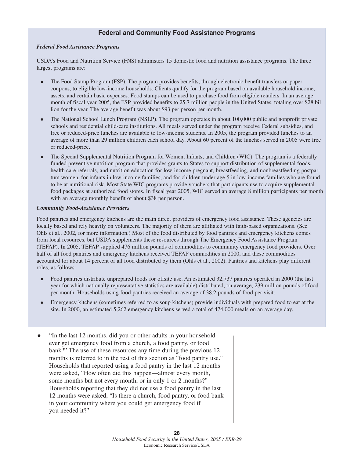#### **Federal and Community Food Assistance Programs**

#### *Federal Food Assistance Programs*

USDA's Food and Nutrition Service (FNS) administers 15 domestic food and nutrition assistance programs. The three largest programs are:

- $\bullet$  The Food Stamp Program (FSP). The program provides benefits, through electronic benefit transfers or paper coupons, to eligible low-income households. Clients qualify for the program based on available household income, assets, and certain basic expenses. Food stamps can be used to purchase food from eligible retailers. In an average month of fiscal year 2005, the FSP provided benefits to 25.7 million people in the United States, totaling over \$28 bil lion for the year. The average benefit was about \$93 per person per month.
- $\bullet$  The National School Lunch Program (NSLP). The program operates in about 100,000 public and nonprofit private schools and residential child-care institutions. All meals served under the program receive Federal subsidies, and free or reduced-price lunches are available to low-income students. In 2005, the program provided lunches to an average of more than 29 million children each school day. About 60 percent of the lunches served in 2005 were free or reduced-price.
- $\bullet$  The Special Supplemental Nutrition Program for Women, Infants, and Children (WIC). The program is a federally funded preventive nutrition program that provides grants to States to support distribution of supplemental foods, health care referrals, and nutrition education for low-income pregnant, breastfeeding, and nonbreastfeeding postpartum women, for infants in low-income families, and for children under age 5 in low-income families who are found to be at nutritional risk. Most State WIC programs provide vouchers that participants use to acquire supplemental food packages at authorized food stores. In fiscal year 2005, WIC served an average 8 million participants per month with an average monthly benefit of about \$38 per person.

#### *Community Food-Assistance Providers*

Food pantries and emergency kitchens are the main direct providers of emergency food assistance. These agencies are locally based and rely heavily on volunteers. The majority of them are affiliated with faith-based organizations. (See Ohls et al., 2002, for more information.) Most of the food distributed by food pantries and emergency kitchens comes from local resources, but USDA supplements these resources through The Emergency Food Assistance Program (TEFAP). In 2005, TEFAP supplied 476 million pounds of commodities to community emergency food providers. Over half of all food pantries and emergency kitchens received TEFAP commodities in 2000, and these commodities accounted for about 14 percent of all food distributed by them (Ohls et al., 2002). Pantries and kitchens play different roles, as follows:

- $\bullet$  Food pantries distribute unprepared foods for offsite use. An estimated 32,737 pantries operated in 2000 (the last year for which nationally representative statistics are available) distributed, on average, 239 million pounds of food per month. Households using food pantries received an average of 38.2 pounds of food per visit.
- $\bullet$  Emergency kitchens (sometimes referred to as soup kitchens) provide individuals with prepared food to eat at the site. In 2000, an estimated 5,262 emergency kitchens served a total of 474,000 meals on an average day.
- $\bullet$  "In the last 12 months, did you or other adults in your household ever get emergency food from a church, a food pantry, or food bank?" The use of these resources any time during the previous 12 months is referred to in the rest of this section as "food pantry use." Households that reported using a food pantry in the last 12 months were asked, "How often did this happen—almost every month, some months but not every month, or in only 1 or 2 months?" Households reporting that they did not use a food pantry in the last 12 months were asked, "Is there a church, food pantry, or food bank in your community where you could get emergency food if you needed it?"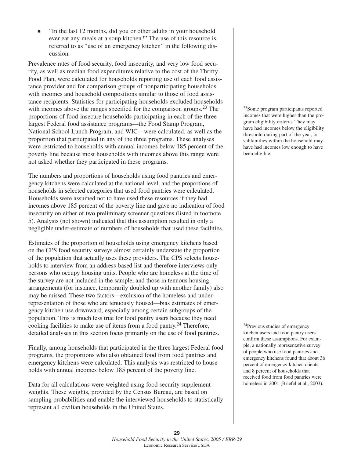$\bullet$  "In the last 12 months, did you or other adults in your household ever eat any meals at a soup kitchen?" The use of this resource is referred to as "use of an emergency kitchen" in the following discussion.

Prevalence rates of food security, food insecurity, and very low food security, as well as median food expenditures relative to the cost of the Thrifty Food Plan, were calculated for households reporting use of each food assistance provider and for comparison groups of nonparticipating households with incomes and household compositions similar to those of food assistance recipients. Statistics for participating households excluded households with incomes above the ranges specified for the comparison groups.<sup>23</sup> The proportions of food-insecure households participating in each of the three largest Federal food assistance programs—the Food Stamp Program, National School Lunch Program, and WIC—were calculated, as well as the proportion that participated in any of the three programs. These analyses were restricted to households with annual incomes below 185 percent of the poverty line because most households with incomes above this range were not asked whether they participated in these programs.

The numbers and proportions of households using food pantries and emergency kitchens were calculated at the national level, and the proportions of households in selected categories that used food pantries were calculated. Households were assumed not to have used these resources if they had incomes above 185 percent of the poverty line and gave no indication of food insecurity on either of two preliminary screener questions (listed in footnote 5). Analysis (not shown) indicated that this assumption resulted in only a negligible under-estimate of numbers of households that used these facilities.

Estimates of the proportion of households using emergency kitchens based on the CPS food security surveys almost certainly understate the proportion of the population that actually uses these providers. The CPS selects households to interview from an address-based list and therefore interviews only persons who occupy housing units. People who are homeless at the time of the survey are not included in the sample, and those in tenuous housing arrangements (for instance, temporarily doubled up with another family) also may be missed. These two factors—exclusion of the homeless and underrepresentation of those who are tenuously housed—bias estimates of emergency kitchen use downward, especially among certain subgroups of the population. This is much less true for food pantry users because they need cooking facilities to make use of items from a food pantry.24 Therefore, detailed analyses in this section focus primarily on the use of food pantries.

Finally, among households that participated in the three largest Federal food programs, the proportions who also obtained food from food pantries and emergency kitchens were calculated. This analysis was restricted to households with annual incomes below 185 percent of the poverty line.

Data for all calculations were weighted using food security supplement weights. These weights, provided by the Census Bureau, are based on sampling probabilities and enable the interviewed households to statistically represent all civilian households in the United States.

23Some program participants reported incomes that were higher than the program eligibility criteria. They may have had incomes below the eligibility threshold during part of the year, or subfamilies within the household may have had incomes low enough to have been eligible.

24Previous studies of emergency kitchen users and food pantry users confirm these assumptions. For example, a nationally representative survey of people who use food pantries and emergency kitchens found that about 36 percent of emergency kitchen clients and 8 percent of households that received food from food pantries were homeless in 2001 (Briefel et al., 2003).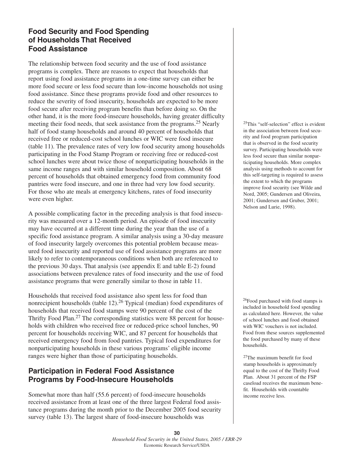## **Food Security and Food Spending of Households That Received Food Assistance**

The relationship between food security and the use of food assistance programs is complex. There are reasons to expect that households that report using food assistance programs in a one-time survey can either be more food secure or less food secure than low-income households not using food assistance. Since these programs provide food and other resources to reduce the severity of food insecurity, households are expected to be more food secure after receiving program benefits than before doing so. On the other hand, it is the more food-insecure households, having greater difficulty meeting their food needs, that seek assistance from the programs.<sup>25</sup> Nearly half of food stamp households and around 40 percent of households that received free or reduced-cost school lunches or WIC were food insecure (table 11). The prevalence rates of very low food security among households participating in the Food Stamp Program or receiving free or reduced-cost school lunches were about twice those of nonparticipating households in the same income ranges and with similar household composition. About 68 percent of households that obtained emergency food from community food pantries were food insecure, and one in three had very low food security. For those who ate meals at emergency kitchens, rates of food insecurity were even higher.

A possible complicating factor in the preceding analysis is that food insecurity was measured over a 12-month period. An episode of food insecurity may have occurred at a different time during the year than the use of a specific food assistance program. A similar analysis using a 30-day measure of food insecurity largely overcomes this potential problem because measured food insecurity and reported use of food assistance programs are more likely to refer to contemporaneous conditions when both are referenced to the previous 30 days. That analysis (see appendix E and table E-2) found associations between prevalence rates of food insecurity and the use of food assistance programs that were generally similar to those in table 11.

Households that received food assistance also spent less for food than nonrecipient households (table 12). $26$  Typical (median) food expenditures of households that received food stamps were 90 percent of the cost of the Thrifty Food Plan.<sup>27</sup> The corresponding statistics were 88 percent for households with children who received free or reduced-price school lunches, 90 percent for households receiving WIC, and 87 percent for households that received emergency food from food pantries. Typical food expenditures for nonparticipating households in these various programs' eligible income ranges were higher than those of participating households.

## **Participation in Federal Food Assistance Programs by Food-Insecure Households**

Somewhat more than half (55.6 percent) of food-insecure households received assistance from at least one of the three largest Federal food assistance programs during the month prior to the December 2005 food security survey (table 13). The largest share of food-insecure households was

25This "self-selection" effect is evident in the association between food security and food program participation that is observed in the food security survey. Participating households were less food secure than similar nonparticipating households. More complex analysis using methods to account for this self-targeting is required to assess the extent to which the programs improve food security (see Wilde and Nord, 2005; Gundersen and Oliveira, 2001; Gundersen and Gruber, 2001; Nelson and Lurie, 1998).

<sup>26</sup>Food purchased with food stamps is included in household food spending as calculated here. However, the value of school lunches and food obtained with WIC vouchers is not included. Food from these sources supplemented the food purchased by many of these households.

27The maximum benefit for food stamp households is approximately equal to the cost of the Thrifty Food Plan. About 31 percent of the FSP caseload receives the maximum benefit. Households with countable income receive less.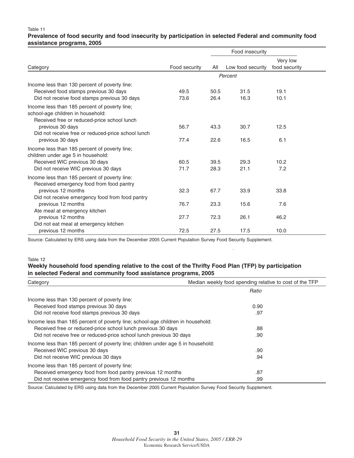#### Table 11

#### **Prevalence of food security and food insecurity by participation in selected Federal and community food assistance programs, 2005**

| Food insecurity                                                                                                                        |               |              |                   |                           |
|----------------------------------------------------------------------------------------------------------------------------------------|---------------|--------------|-------------------|---------------------------|
| Category                                                                                                                               | Food security | All          | Low food security | Very low<br>food security |
|                                                                                                                                        |               |              | Percent           |                           |
| Income less than 130 percent of poverty line:<br>Received food stamps previous 30 days<br>Did not receive food stamps previous 30 days | 49.5<br>73.6  | 50.5<br>26.4 | 31.5<br>16.3      | 19.1<br>10.1              |
| Income less than 185 percent of poverty line;<br>school-age children in household:<br>Received free or reduced-price school lunch      |               |              |                   |                           |
| previous 30 days<br>Did not receive free or reduced-price school lunch<br>previous 30 days                                             | 56.7<br>77.4  | 43.3<br>22.6 | 30.7<br>16.5      | 12.5<br>6.1               |
| Income less than 185 percent of poverty line;<br>children under age 5 in household:<br>Received WIC previous 30 days                   | 60.5          | 39.5         | 29.3              | 10.2                      |
| Did not receive WIC previous 30 days                                                                                                   | 71.7          | 28.3         | 21.1              | 7.2                       |
| Income less than 185 percent of poverty line:<br>Received emergency food from food pantry                                              |               |              |                   |                           |
| previous 12 months<br>Did not receive emergency food from food pantry                                                                  | 32.3          | 67.7         | 33.9              | 33.8                      |
| previous 12 months<br>Ate meal at emergency kitchen                                                                                    | 76.7          | 23.3         | 15.6              | 7.6                       |
| previous 12 months<br>Did not eat meal at emergency kitchen                                                                            | 27.7          | 72.3         | 26.1              | 46.2                      |
| previous 12 months                                                                                                                     | 72.5          | 27.5         | 17.5              | 10.0                      |

Source: Calculated by ERS using data from the December 2005 Current Population Survey Food Security Supplement.

#### Table 12

#### **Weekly household food spending relative to the cost of the Thrifty Food Plan (TFP) by participation in selected Federal and community food assistance programs, 2005**

| Category                                                                         | Median weekly food spending relative to cost of the TFP |  |  |
|----------------------------------------------------------------------------------|---------------------------------------------------------|--|--|
|                                                                                  | Ratio                                                   |  |  |
| Income less than 130 percent of poverty line:                                    |                                                         |  |  |
| Received food stamps previous 30 days                                            | 0.90                                                    |  |  |
| Did not receive food stamps previous 30 days                                     | .97                                                     |  |  |
| Income less than 185 percent of poverty line; school-age children in household:  |                                                         |  |  |
| Received free or reduced-price school lunch previous 30 days                     | .88                                                     |  |  |
| Did not receive free or reduced-price school lunch previous 30 days              | .90                                                     |  |  |
| Income less than 185 percent of poverty line; children under age 5 in household: |                                                         |  |  |
| Received WIC previous 30 days                                                    | .90                                                     |  |  |
| Did not receive WIC previous 30 days                                             | .94                                                     |  |  |
| Income less than 185 percent of poverty line:                                    |                                                         |  |  |
| Received emergency food from food pantry previous 12 months                      | .87                                                     |  |  |
| Did not receive emergency food from food pantry previous 12 months               | .99                                                     |  |  |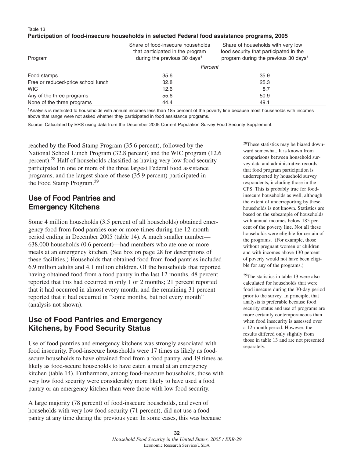#### Table 13 **Participation of food-insecure households in selected Federal food assistance programs, 2005**

| Program                            | Share of food-insecure households<br>that participated in the program<br>during the previous 30 days <sup>1</sup> | Share of households with very low<br>food security that participated in the<br>program during the previous 30 days <sup>1</sup> |
|------------------------------------|-------------------------------------------------------------------------------------------------------------------|---------------------------------------------------------------------------------------------------------------------------------|
|                                    | Percent                                                                                                           |                                                                                                                                 |
| Food stamps                        | 35.6                                                                                                              | 35.9                                                                                                                            |
| Free or reduced-price school lunch | 32.8                                                                                                              | 25.3                                                                                                                            |
| <b>WIC</b>                         | 12.6                                                                                                              | 8.7                                                                                                                             |
| Any of the three programs          | 55.6                                                                                                              | 50.9                                                                                                                            |
| None of the three programs         | 44.4                                                                                                              | 49.1                                                                                                                            |

1Analysis is restricted to households with annual incomes less than 185 percent of the poverty line because most households with incomes above that range were not asked whether they participated in food assistance programs.

Source: Calculated by ERS using data from the December 2005 Current Population Survey Food Security Supplement.

reached by the Food Stamp Program (35.6 percent), followed by the National School Lunch Program (32.8 percent) and the WIC program (12.6 percent).<sup>28</sup> Half of households classified as having very low food security participated in one or more of the three largest Federal food assistance programs, and the largest share of these (35.9 percent) participated in the Food Stamp Program.<sup>29</sup>

## **Use of Food Pantries and Emergency Kitchens**

Some 4 million households (3.5 percent of all households) obtained emergency food from food pantries one or more times during the 12-month period ending in December 2005 (table 14). A much smaller number— 638,000 households (0.6 percent)—had members who ate one or more meals at an emergency kitchen. (See box on page 28 for descriptions of these facilities.) Households that obtained food from food pantries included 6.9 million adults and 4.1 million children. Of the households that reported having obtained food from a food pantry in the last 12 months, 48 percent reported that this had occurred in only 1 or 2 months; 21 percent reported that it had occurred in almost every month; and the remaining 31 percent reported that it had occurred in "some months, but not every month" (analysis not shown).

## **Use of Food Pantries and Emergency Kitchens, by Food Security Status**

Use of food pantries and emergency kitchens was strongly associated with food insecurity. Food-insecure households were 17 times as likely as foodsecure households to have obtained food from a food pantry, and 19 times as likely as food-secure households to have eaten a meal at an emergency kitchen (table 14). Furthermore, among food-insecure households, those with very low food security were considerably more likely to have used a food pantry or an emergency kitchen than were those with low food security.

A large majority (78 percent) of food-insecure households, and even of households with very low food security (71 percent), did not use a food pantry at any time during the previous year. In some cases, this was because 28These statistics may be biased downward somewhat. It is known from comparisons between household survey data and administrative records that food program participation is underreported by household survey respondents, including those in the CPS. This is probably true for foodinsecure households as well, although the extent of underreporting by these households is not known. Statistics are based on the subsample of households with annual incomes below 185 percent of the poverty line. Not all these households were eligible for certain of the programs. (For example, those without pregnant women or children and with incomes above 130 percent of poverty would not have been eligible for any of the programs.)

29The statistics in table 13 were also calculated for households that were food insecure during the 30-day period prior to the survey. In principle, that analysis is preferable because food security status and use of programs are more certainly contemporaneous than when food insecurity is assessed over a 12-month period. However, the results differed only slightly from those in table 13 and are not presented separately.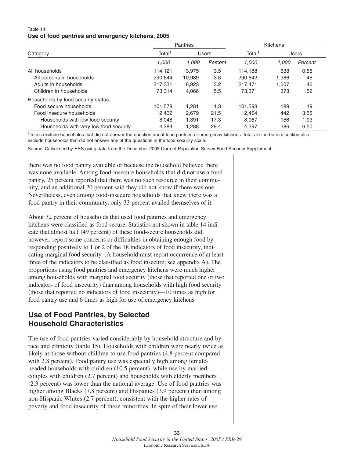#### Table 14 **Use of food pantries and emergency kitchens, 2005**

|                                        | <b>Pantries</b>    |              |         | Kitchens           |       |         |  |  |
|----------------------------------------|--------------------|--------------|---------|--------------------|-------|---------|--|--|
| Category                               | Total <sup>1</sup> | <b>Users</b> |         | Total <sup>1</sup> | Users |         |  |  |
|                                        | 1,000              | 1.000        | Percent | 1,000              | 1.000 | Percent |  |  |
| All households                         | 114,121            | 3.975        | 3.5     | 114.188            | 638   | 0.56    |  |  |
| All persons in households              | 290.644            | 10.989       | 3.8     | 290,842            | 1.386 | .48     |  |  |
| Adults in households                   | 217.331            | 6,923        | 3.2     | 217.471            | 1.007 | .46     |  |  |
| Children in households                 | 73.314             | 4.066        | 5.5     | 73.371             | 378   | .52     |  |  |
| Households by food security status:    |                    |              |         |                    |       |         |  |  |
| Food secure households                 | 101,578            | 1.281        | 1.3     | 101.593            | 189   | .19     |  |  |
| Food insecure households               | 12.432             | 2.679        | 21.5    | 12.464             | 442   | 3.55    |  |  |
| Households with low food security      | 8.048              | 1.391        | 17.3    | 8.067              | 156   | 1.93    |  |  |
| Households with very low food security | 4.384              | 1.288        | 29.4    | 4.397              | 286   | 6.50    |  |  |

1Totals exclude households that did not answer the question about food pantries or emergency kitchens. Totals in the bottom section also exclude households that did not answer any of the questions in the food security scale.

Source: Calculated by ERS using data from the December 2005 Current Population Survey Food Security Supplement.

there was no food pantry available or because the household believed there was none available. Among food-insecure households that did not use a food pantry, 25 percent reported that there was no such resource in their community, and an additional 20 percent said they did not know if there was one. Nevertheless, even among food-insecure households that knew there was a food pantry in their community, only 33 percent availed themselves of it.

About 32 percent of households that used food pantries and emergency kitchens were classified as food secure. Statistics not shown in table 14 indicate that almost half (49 percent) of these food-secure households did, however, report some concerns or difficulties in obtaining enough food by responding positively to 1 or 2 of the 18 indicators of food insecurity, indicating marginal food security. (A household must report occurrence of at least three of the indicators to be classified as food insecure; see appendix A). The proportions using food pantries and emergency kitchens were much higher among households with marginal food security (those that reported one or two indicators of food insecurity) than among households with high food security (those that reported no indicators of food insecurity)—10 times as high for food pantry use and 6 times as high for use of emergency kitchens.

## **Use of Food Pantries, by Selected Household Characteristics**

The use of food pantries varied considerably by household structure and by race and ethnicity (table 15). Households with children were nearly twice as likely as those without children to use food pantries (4.8 percent compared with 2.8 percent). Food pantry use was especially high among femaleheaded households with children (10.5 percent), while use by married couples with children (2.7 percent) and households with elderly members (2.3 percent) was lower than the national average. Use of food pantries was higher among Blacks (7.8 percent) and Hispanics (3.9 percent) than among non-Hispanic Whites (2.7 percent), consistent with the higher rates of poverty and food insecurity of these minorities. In spite of their lower use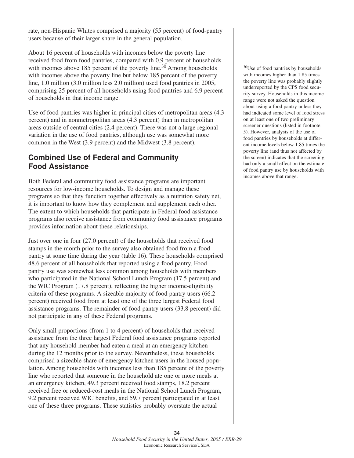rate, non-Hispanic Whites comprised a majority (55 percent) of food-pantry users because of their larger share in the general population.

About 16 percent of households with incomes below the poverty line received food from food pantries, compared with 0.9 percent of households with incomes above 185 percent of the poverty line.<sup>30</sup> Among households with incomes above the poverty line but below 185 percent of the poverty line, 1.0 million (3.0 million less 2.0 million) used food pantries in 2005, comprising 25 percent of all households using food pantries and 6.9 percent of households in that income range.

Use of food pantries was higher in principal cities of metropolitan areas (4.3 percent) and in nonmetropolitan areas (4.3 percent) than in metropolitan areas outside of central cities (2.4 percent). There was not a large regional variation in the use of food pantries, although use was somewhat more common in the West (3.9 percent) and the Midwest (3.8 percent).

## **Combined Use of Federal and Community Food Assistance**

Both Federal and community food assistance programs are important resources for low-income households. To design and manage these programs so that they function together effectively as a nutrition safety net, it is important to know how they complement and supplement each other. The extent to which households that participate in Federal food assistance programs also receive assistance from community food assistance programs provides information about these relationships.

Just over one in four (27.0 percent) of the households that received food stamps in the month prior to the survey also obtained food from a food pantry at some time during the year (table 16). These households comprised 48.6 percent of all households that reported using a food pantry. Food pantry use was somewhat less common among households with members who participated in the National School Lunch Program (17.5 percent) and the WIC Program (17.8 percent), reflecting the higher income-eligibility criteria of these programs. A sizeable majority of food pantry users (66.2 percent) received food from at least one of the three largest Federal food assistance programs. The remainder of food pantry users (33.8 percent) did not participate in any of these Federal programs.

Only small proportions (from 1 to 4 percent) of households that received assistance from the three largest Federal food assistance programs reported that any household member had eaten a meal at an emergency kitchen during the 12 months prior to the survey. Nevertheless, these households comprised a sizeable share of emergency kitchen users in the housed population. Among households with incomes less than 185 percent of the poverty line who reported that someone in the household ate one or more meals at an emergency kitchen, 49.3 percent received food stamps, 18.2 percent received free or reduced-cost meals in the National School Lunch Program, 9.2 percent received WIC benefits, and 59.7 percent participated in at least one of these three programs. These statistics probably overstate the actual

30Use of food pantries by households with incomes higher than 1.85 times the poverty line was probably slightly underreported by the CPS food security survey. Households in this income range were not asked the question about using a food pantry unless they had indicated some level of food stress on at least one of two preliminary screener questions (listed in footnote 5). However, analysis of the use of food pantries by households at different income levels below 1.85 times the poverty line (and thus not affected by the screen) indicates that the screening had only a small effect on the estimate of food pantry use by households with incomes above that range.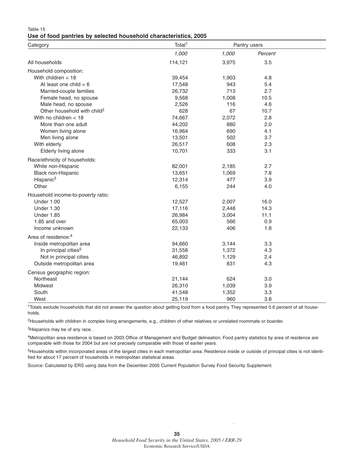| Table 15 |  |  |                                                                  |  |
|----------|--|--|------------------------------------------------------------------|--|
|          |  |  | Use of food pantries by selected household characteristics, 2005 |  |

| Category                                | Total <sup>1</sup> |       | Pantry users |  |  |
|-----------------------------------------|--------------------|-------|--------------|--|--|
|                                         | 1,000              | 1,000 | Percent      |  |  |
| All households                          | 114,121            | 3,975 | 3.5          |  |  |
| Household composition:                  |                    |       |              |  |  |
| With children $<$ 18                    | 39,454             | 1,903 | 4.8          |  |  |
| At least one child $< 6$                | 17,548             | 943   | 5.4          |  |  |
| Married-couple families                 | 26,732             | 713   | 2.7          |  |  |
| Female head, no spouse                  | 9,568              | 1,008 | 10.5         |  |  |
| Male head, no spouse                    | 2,526              | 116   | 4.6          |  |  |
| Other household with child <sup>2</sup> | 628                | 67    | 10.7         |  |  |
| With no children $<$ 18                 | 74,667             | 2,072 | 2.8          |  |  |
| More than one adult                     | 44,202             | 880   | 2.0          |  |  |
| Women living alone                      | 16,964             | 690   | 4.1          |  |  |
| Men living alone                        | 13,501             | 502   | 3.7          |  |  |
| With elderly                            | 26,517             | 608   | 2.3          |  |  |
| Elderly living alone                    | 10,701             | 333   | 3.1          |  |  |
| Race/ethnicity of households:           |                    |       |              |  |  |
| White non-Hispanic                      | 82,001             | 2,185 | 2.7          |  |  |
| Black non-Hispanic                      | 13,651             | 1,069 | 7.8          |  |  |
| Hispanic <sup>3</sup>                   | 12,314             | 477   | 3.9          |  |  |
| Other                                   | 6,155              | 244   | 4.0          |  |  |
| Household income-to-poverty ratio:      |                    |       |              |  |  |
| Under 1.00                              | 12,527             | 2,007 | 16.0         |  |  |
| Under 1.30                              | 17,116             | 2,448 | 14.3         |  |  |
| Under 1.85                              | 26,984             | 3,004 | 11.1         |  |  |
| 1.85 and over                           | 65,003             | 566   | 0.9          |  |  |
| Income unknown                          | 22,133             | 406   | 1.8          |  |  |
| Area of residence: <sup>4</sup>         |                    |       |              |  |  |
| Inside metropolitan area                | 94,660             | 3,144 | 3.3          |  |  |
| In principal cities <sup>5</sup>        | 31,558             | 1,372 | 4.3          |  |  |
| Not in principal cities                 | 46,892             | 1,129 | 2.4          |  |  |
| Outside metropolitan area               | 19,461             | 831   | 4.3          |  |  |
| Census geographic region:               |                    |       |              |  |  |
| Northeast                               | 21,144             | 624   | 3.0          |  |  |
| Midwest                                 | 26,310             | 1,039 | 3.9          |  |  |
| South                                   | 41,548             | 1,352 | 3.3          |  |  |
| West                                    | 25,119             | 960   | 3.8          |  |  |

<sup>1</sup>Totals exclude households that did not answer the question about getting food from a food pantry. They represented 0.6 percent of all households.

<sup>2</sup>Households with children in complex living arrangements, e.g., children of other relatives or unrelated roommate or boarder.

<sup>3</sup>Hispanics may be of any race..

4Metropolitan area residence is based on 2003 Office of Management and Budget delineation. Food pantry statistics by area of residence are comparable with those for 2004 but are not precisely comparable with those of earlier years.

<sup>5</sup>Households within incorporated areas of the largest cities in each metropolitan area. Residence inside or outside of principal cities is not identified for about 17 percent of households in metropolitan statistical areas.

Source: Calculated by ERS using data from the December 2005 Current Population Survey Food Security Supplement.

 $\bar{z}$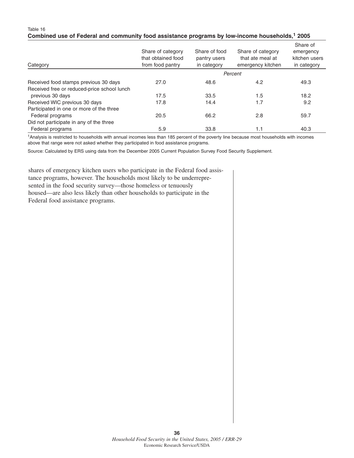#### Table 16 **Combined use of Federal and community food assistance programs by low-income households, <sup>1</sup> 2005**

| Category                                    | Share of category<br>that obtained food<br>from food pantry | Share of food<br>pantry users<br>in category | Share of category<br>that ate meal at<br>emergency kitchen | Share of<br>emergency<br>kitchen users<br>in category |
|---------------------------------------------|-------------------------------------------------------------|----------------------------------------------|------------------------------------------------------------|-------------------------------------------------------|
|                                             |                                                             |                                              | Percent                                                    |                                                       |
| Received food stamps previous 30 days       | 27.0                                                        | 48.6                                         | 4.2                                                        | 49.3                                                  |
| Received free or reduced-price school lunch |                                                             |                                              |                                                            |                                                       |
| previous 30 days                            | 17.5                                                        | 33.5                                         | 1.5                                                        | 18.2                                                  |
| Received WIC previous 30 days               | 17.8                                                        | 14.4                                         | 1.7                                                        | 9.2                                                   |
| Participated in one or more of the three    |                                                             |                                              |                                                            |                                                       |
| Federal programs                            | 20.5                                                        | 66.2                                         | 2.8                                                        | 59.7                                                  |
| Did not participate in any of the three     |                                                             |                                              |                                                            |                                                       |
| Federal programs                            | 5.9                                                         | 33.8                                         | 1.1                                                        | 40.3                                                  |

1Analysis is restricted to households with annual incomes less than 185 percent of the poverty line because most households with incomes above that range were not asked whether they participated in food assistance programs.

Source: Calculated by ERS using data from the December 2005 Current Population Survey Food Security Supplement.

shares of emergency kitchen users who participate in the Federal food assistance programs, however. The households most likely to be underrepresented in the food security survey—those homeless or tenuously housed—are also less likely than other households to participate in the Federal food assistance programs.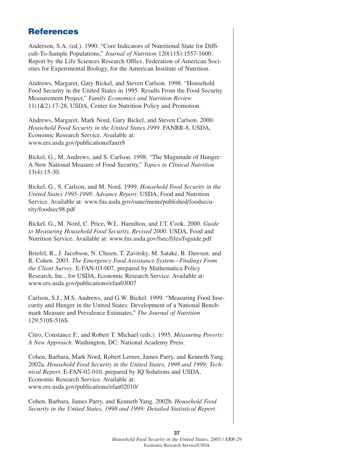## **References**

Anderson, S.A. (ed.). 1990. "Core Indicators of Nutritional State for Difficult-To-Sample Populations," *Journal of Nutrition* 120(11S):1557-1600. Report by the Life Sciences Research Office, Federation of American Societies for Experimental Biology, for the American Institute of Nutrition.

Andrews, Margaret, Gary Bickel, and Steven Carlson. 1998. "Household Food Security in the United States in 1995: Results From the Food Security Measurement Project," *Family Economics and Nutrition Review* 11(1&2):17-28, USDA, Center for Nutrition Policy and Promotion.

Andrews, Margaret, Mark Nord, Gary Bickel, and Steven Carlson. 2000. *Household Food Security in the United States,1999*. FANRR-8, USDA, Economic Research Service. Available at: www.ers.usda.gov/publications/fanrr8

Bickel, G., M. Andrews, and S. Carlson. 1998. "The Magnitude of Hunger: A New National Measure of Food Security," *Topics in Clinical Nutrition* 13(4):15-30.

Bickel, G., S. Carlson, and M. Nord. 1999. *Household Food Security in the United States 1995-1998: Advance Report*. USDA, Food and Nutrition Service. Available at: www.fns.usda.gov/oane/menu/published/foodsecurity/foodsec98.pdf

Bickel, G., M. Nord, C. Price, W.L. Hamilton, and J.T. Cook. 2000. *Guide to Measuring Household Food Security, Revised 2000*. USDA, Food and Nutrition Service. Available at: www.fns.usda.gov/fsec/files/fsguide.pdf

Briefel, R., J. Jacobson, N. Clusen, T. Zavitsky, M. Satake, B. Dawsen, and R. Cohen. 2003. *The Emergency Food Assistance System—Findings From the Client Survey*. E-FAN-03-007, prepared by Mathematica Policy Research, Inc., for USDA, Economic Research Service. Available at: www.ers.usda.gov/publications/efan03007

Carlson, S.J., M.S. Andrews, and G.W. Bickel. 1999. "Measuring Food Insecurity and Hunger in the United States: Development of a National Benchmark Measure and Prevalence Estimates," *The Journal of Nutrition* 129:510S-516S.

Citro, Constance F., and Robert T. Michael (eds.). 1995. *Measuring Poverty: A New Approach*. Washington, DC: National Academy Press.

Cohen, Barbara, Mark Nord, Robert Lerner, James Parry, and Kenneth Yang. 2002a. *Household Food Security in the United States, 1998 and 1999: Technical Report*. E-FAN-02-010, prepared by IQ Solutions and USDA, Economic Research Service. Available at: www.ers.usda.gov/publications/efan02010/

Cohen, Barbara, James Parry, and Kenneth Yang. 2002b. *Household Food Security in the United States, 1998 and 1999: Detailed Statistical Report*.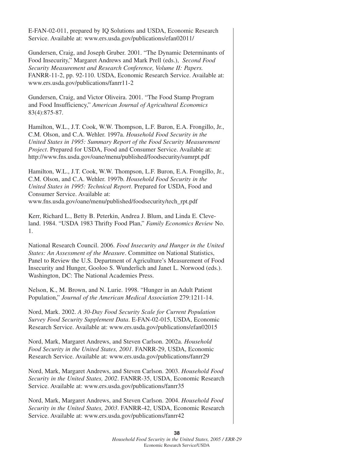E-FAN-02-011, prepared by IQ Solutions and USDA, Economic Research Service. Available at: www.ers.usda.gov/publications/efan02011/

Gundersen, Craig, and Joseph Gruber. 2001. "The Dynamic Determinants of Food Insecurity," Margaret Andrews and Mark Prell (eds.), *Second Food Security Measurement and Research Conference, Volume II: Papers.* FANRR-11-2, pp. 92-110. USDA, Economic Research Service. Available at: www.ers.usda.gov/publications/fanrr11-2

Gundersen, Craig, and Victor Oliveira. 2001. "The Food Stamp Program and Food Insufficiency," *American Journal of Agricultural Economics* 83(4):875-87.

Hamilton, W.L., J.T. Cook, W.W. Thompson, L.F. Buron, E.A. Frongillo, Jr., C.M. Olson, and C.A. Wehler. 1997a. *Household Food Security in the United States in 1995: Summary Report of the Food Security Measurement Project*. Prepared for USDA, Food and Consumer Service. Available at: http://www.fns.usda.gov/oane/menu/published/foodsecurity/sumrpt.pdf

Hamilton, W.L., J.T. Cook, W.W. Thompson, L.F. Buron, E.A. Frongillo, Jr., C.M. Olson, and C.A. Wehler. 1997b. *Household Food Security in the United States in 1995: Technical Report*. Prepared for USDA, Food and Consumer Service. Available at: www.fns.usda.gov/oane/menu/published/foodsecurity/tech\_rpt.pdf

Kerr, Richard L., Betty B. Peterkin, Andrea J. Blum, and Linda E. Cleveland. 1984. "USDA 1983 Thrifty Food Plan," *Family Economics Review* No. 1.

National Research Council. 2006. *Food Insecurity and Hunger in the United States: An Assessment of the Measure*. Committee on National Statistics, Panel to Review the U.S. Department of Agriculture's Measurement of Food Insecurity and Hunger, Gooloo S. Wunderlich and Janet L. Norwood (eds.). Washington, DC: The National Academies Press.

Nelson, K., M. Brown, and N. Lurie. 1998. "Hunger in an Adult Patient Population," *Journal of the American Medical Association* 279:1211-14.

Nord, Mark. 2002. *A 30-Day Food Security Scale for Current Population Survey Food Security Supplement Data*. E-FAN-02-015, USDA, Economic Research Service. Available at: www.ers.usda.gov/publications/efan02015

Nord, Mark, Margaret Andrews, and Steven Carlson. 2002a. *Household Food Security in the United States, 2001*. FANRR-29, USDA, Economic Research Service. Available at: www.ers.usda.gov/publications/fanrr29

Nord, Mark, Margaret Andrews, and Steven Carlson. 2003. *Household Food Security in the United States, 2002*. FANRR-35, USDA, Economic Research Service. Available at: www.ers.usda.gov/publications/fanrr35

Nord, Mark, Margaret Andrews, and Steven Carlson. 2004. *Household Food Security in the United States, 2003*. FANRR-42, USDA, Economic Research Service. Available at: www.ers.usda.gov/publications/fanrr42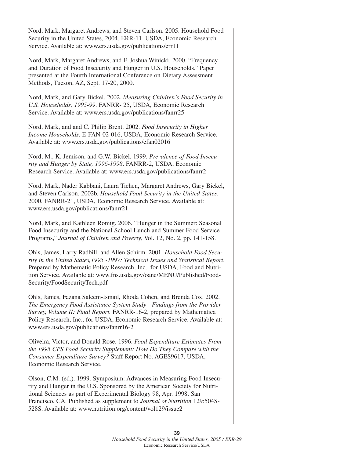Nord, Mark, Margaret Andrews, and Steven Carlson. 2005. Household Food Security in the United States, 2004. ERR-11, USDA, Economic Research Service. Available at: www.ers.usda.gov/publications/err11

Nord, Mark, Margaret Andrews, and F. Joshua Winicki. 2000. "Frequency and Duration of Food Insecurity and Hunger in U.S. Households." Paper presented at the Fourth International Conference on Dietary Assessment Methods, Tucson, AZ, Sept. 17-20, 2000.

Nord, Mark, and Gary Bickel. 2002. *Measuring Children's Food Security in U.S. Households, 1995-99*. FANRR- 25, USDA, Economic Research Service. Available at: www.ers.usda.gov/publications/fanrr25

Nord, Mark, and and C. Philip Brent. 2002. *Food Insecurity in Higher Income Households*. E-FAN-02-016, USDA, Economic Research Service. Available at: www.ers.usda.gov/publications/efan02016

Nord, M., K. Jemison, and G.W. Bickel. 1999. *Prevalence of Food Insecurity and Hunger by State, 1996-1998*. FANRR-2, USDA, Economic Research Service. Available at: www.ers.usda.gov/publications/fanrr2

Nord, Mark, Nader Kabbani, Laura Tiehen, Margaret Andrews, Gary Bickel, and Steven Carlson. 2002b. *Household Food Security in the United States*, 2000. FANRR-21, USDA, Economic Research Service. Available at: www.ers.usda.gov/publications/fanrr21

Nord, Mark, and Kathleen Romig. 2006. "Hunger in the Summer: Seasonal Food Insecurity and the National School Lunch and Summer Food Service Programs," *Journal of Children and Poverty*, Vol. 12, No. 2, pp. 141-158.

Ohls, James, Larry Radbill, and Allen Schirm. 2001. *Household Food Security in the United States,1995 -1997: Technical Issues and Statistical Report*. Prepared by Mathematic Policy Research, Inc., for USDA, Food and Nutrition Service. Available at: www.fns.usda.gov/oane/MENU/Published/Food-Security/FoodSecurityTech.pdf

Ohls, James, Fazana Saleem-Ismail, Rhoda Cohen, and Brenda Cox. 2002. *The Emergency Food Assistance System Study—Findings from the Provider Survey, Volume II: Final Report.* FANRR-16-2, prepared by Mathematica Policy Research, Inc., for USDA, Economic Research Service. Available at: www.ers.usda.gov/publications/fanrr16-2

Oliveira, Victor, and Donald Rose. 1996. *Food Expenditure Estimates From the 1995 CPS Food Security Supplement: How Do They Compare with the Consumer Expenditure Survey?* Staff Report No. AGES9617, USDA, Economic Research Service.

Olson, C.M. (ed.). 1999. Symposium: Advances in Measuring Food Insecurity and Hunger in the U.S. Sponsored by the American Society for Nutritional Sciences as part of Experimental Biology 98, Apr. 1998, San Francisco, CA. Published as supplement to *Journal of Nutrition* 129:504S-528S. Available at: www.nutrition.org/content/vol129/issue2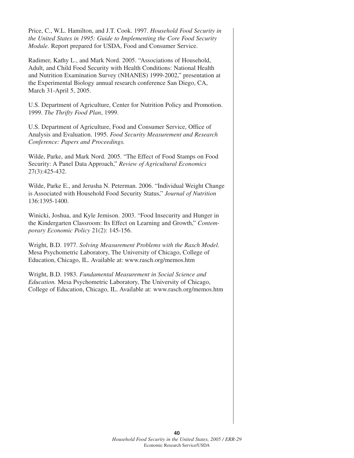Price, C., W.L. Hamilton, and J.T. Cook. 1997. *Household Food Security in the United States in 1995: Guide to Implementing the Core Food Security Module*. Report prepared for USDA, Food and Consumer Service.

Radimer, Kathy L., and Mark Nord. 2005. "Associations of Household, Adult, and Child Food Security with Health Conditions: National Health and Nutrition Examination Survey (NHANES) 1999-2002," presentation at the Experimental Biology annual research conference San Diego, CA, March 31-April 5, 2005.

U.S. Department of Agriculture, Center for Nutrition Policy and Promotion. 1999. *The Thrifty Food Plan*, 1999.

U.S. Department of Agriculture, Food and Consumer Service, Office of Analysis and Evaluation. 1995. *Food Security Measurement and Research Conference: Papers and Proceedings.*

Wilde, Parke, and Mark Nord. 2005. "The Effect of Food Stamps on Food Security: A Panel Data Approach," *Review of Agricultural Economics* 27(3):425-432.

Wilde, Parke E., and Jerusha N. Peterman. 2006. "Individual Weight Change is Associated with Household Food Security Status," *Journal of Nutrition* 136:1395-1400.

Winicki, Joshua, and Kyle Jemison. 2003. "Food Insecurity and Hunger in the Kindergarten Classroom: Its Effect on Learning and Growth," *Contemporary Economic Policy* 21(2): 145-156.

Wright, B.D. 1977. *Solving Measurement Problems with the Rasch Model*. Mesa Psychometric Laboratory, The University of Chicago, College of Education, Chicago, IL. Available at: www.rasch.org/memos.htm

Wright, B.D. 1983. *Fundamental Measurement in Social Science and Education.* Mesa Psychometric Laboratory, The University of Chicago, College of Education, Chicago, IL. Available at: www.rasch.org/memos.htm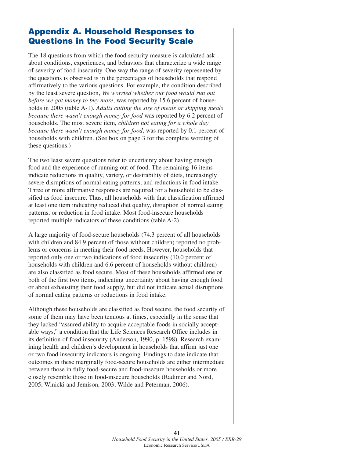## **Appendix A. Household Responses to Questions in the Food Security Scale**

The 18 questions from which the food security measure is calculated ask about conditions, experiences, and behaviors that characterize a wide range of severity of food insecurity. One way the range of severity represented by the questions is observed is in the percentages of households that respond affirmatively to the various questions. For example, the condition described by the least severe question, *We worried whether our food would run out before we got money to buy more*, was reported by 15.6 percent of households in 2005 (table A-1). *Adults cutting the size of meals or skipping meals because there wasn't enough money for food* was reported by 6.2 percent of households. The most severe item, *children not eating for a whole day because there wasn't enough money for food*, was reported by 0.1 percent of households with children. (See box on page 3 for the complete wording of these questions.)

The two least severe questions refer to uncertainty about having enough food and the experience of running out of food. The remaining 16 items indicate reductions in quality, variety, or desirability of diets, increasingly severe disruptions of normal eating patterns, and reductions in food intake. Three or more affirmative responses are required for a household to be classified as food insecure. Thus, all households with that classification affirmed at least one item indicating reduced diet quality, disruption of normal eating patterns, or reduction in food intake. Most food-insecure households reported multiple indicators of these conditions (table A-2).

A large majority of food-secure households (74.3 percent of all households with children and 84.9 percent of those without children) reported no problems or concerns in meeting their food needs. However, households that reported only one or two indications of food insecurity (10.0 percent of households with children and 6.6 percent of households without children) are also classified as food secure. Most of these households affirmed one or both of the first two items, indicating uncertainty about having enough food or about exhausting their food supply, but did not indicate actual disruptions of normal eating patterns or reductions in food intake.

Although these households are classified as food secure, the food security of some of them may have been tenuous at times, especially in the sense that they lacked "assured ability to acquire acceptable foods in socially acceptable ways," a condition that the Life Sciences Research Office includes in its definition of food insecurity (Anderson, 1990, p. 1598). Research examining health and children's development in households that affirm just one or two food insecurity indicators is ongoing. Findings to date indicate that outcomes in these marginally food-secure households are either intermediate between those in fully food-secure and food-insecure households or more closely resemble those in food-insecure households (Radimer and Nord, 2005; Winicki and Jemison, 2003; Wilde and Peterman, 2006).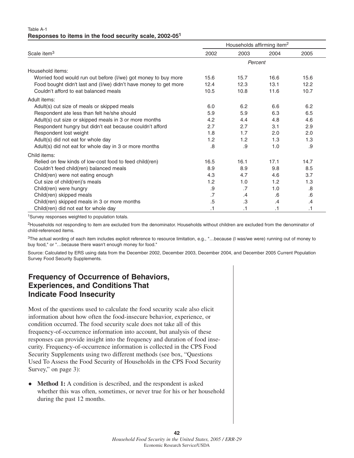#### Table A-1 **Responses to items in the food security scale, 2002-051**

|                                                                  | Households affirming item <sup>2</sup> |         |      |           |  |
|------------------------------------------------------------------|----------------------------------------|---------|------|-----------|--|
| Scale item <sup>3</sup>                                          | 2002                                   | 2003    | 2004 | 2005      |  |
|                                                                  |                                        | Percent |      |           |  |
| Household items:                                                 |                                        |         |      |           |  |
| Worried food would run out before (I/we) got money to buy more   | 15.6                                   | 15.7    | 16.6 | 15.6      |  |
| Food bought didn't last and (I/we) didn't have money to get more | 12.4                                   | 12.3    | 13.1 | 12.2      |  |
| Couldn't afford to eat balanced meals                            | 10.5                                   | 10.8    | 11.6 | 10.7      |  |
| Adult items:                                                     |                                        |         |      |           |  |
| Adult(s) cut size of meals or skipped meals                      | 6.0                                    | 6.2     | 6.6  | 6.2       |  |
| Respondent ate less than felt he/she should                      | 5.9                                    | 5.9     | 6.3  | 6.5       |  |
| Adult(s) cut size or skipped meals in 3 or more months           | 4.2                                    | 4.4     | 4.8  | 4.6       |  |
| Respondent hungry but didn't eat because couldn't afford         | 2.7                                    | 2.7     | 3.1  | 2.9       |  |
| Respondent lost weight                                           | 1.8                                    | 1.7     | 2.0  | 2.0       |  |
| Adult(s) did not eat for whole day                               | 1.2                                    | 1.2     | 1.3  | 1.3       |  |
| Adult(s) did not eat for whole day in 3 or more months           | .8                                     | .9      | 1.0  | .9        |  |
| Child items:                                                     |                                        |         |      |           |  |
| Relied on few kinds of low-cost food to feed child(ren)          | 16.5                                   | 16.1    | 17.1 | 14.7      |  |
| Couldn't feed child(ren) balanced meals                          | 8.9                                    | 8.9     | 9.8  | 8.5       |  |
| Child(ren) were not eating enough                                | 4.3                                    | 4.7     | 4.6  | 3.7       |  |
| Cut size of child(ren)'s meals                                   | 1.2                                    | 1.0     | 1.2  | 1.3       |  |
| Child(ren) were hungry                                           | .9                                     | .7      | 1.0  | .8        |  |
| Child(ren) skipped meals                                         | .7                                     | .4      | .6   | .6        |  |
| Child(ren) skipped meals in 3 or more months                     | .5                                     | .3      | .4   | .4        |  |
| Child(ren) did not eat for whole day                             | .1                                     | .1      | .1   | $\cdot$ 1 |  |

1Survey responses weighted to population totals.

<sup>2</sup>Households not responding to item are excluded from the denominator. Households without children are excluded from the denominator of child-referenced items.

<sup>3</sup>The actual wording of each item includes explicit reference to resource limitation, e.g., "...because (I was/we were) running out of money to buy food," or "…because there wasn't enough money for food."

Source: Calculated by ERS using data from the December 2002, December 2003, December 2004, and December 2005 Current Population Survey Food Security Supplements.

## **Frequency of Occurrence of Behaviors, Experiences, and Conditions That Indicate Food Insecurity**

Most of the questions used to calculate the food security scale also elicit information about how often the food-insecure behavior, experience, or condition occurred. The food security scale does not take all of this frequency-of-occurrence information into account, but analysis of these responses can provide insight into the frequency and duration of food insecurity. Frequency-of-occurrence information is collected in the CPS Food Security Supplements using two different methods (see box, "Questions Used To Assess the Food Security of Households in the CPS Food Security Survey," on page 3):

 $\bullet$  **Method 1:** A condition is described, and the respondent is asked whether this was often, sometimes, or never true for his or her household during the past 12 months.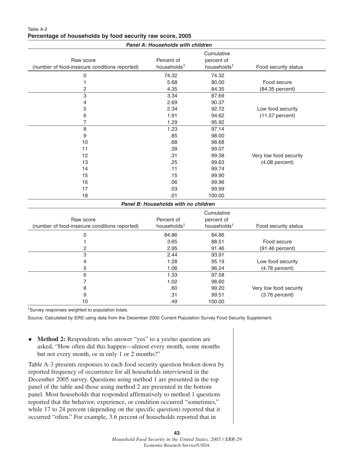| Panel A: Households with children                          |                                       |                                                     |                        |  |  |  |  |
|------------------------------------------------------------|---------------------------------------|-----------------------------------------------------|------------------------|--|--|--|--|
| Raw score<br>(number of food-insecure conditions reported) | Percent of<br>households <sup>1</sup> | Cumulative<br>percent of<br>households <sup>1</sup> | Food security status   |  |  |  |  |
| $\mathsf 0$                                                | 74.32                                 | 74.32                                               |                        |  |  |  |  |
| 1                                                          | 5.68                                  | 80.00                                               | Food secure            |  |  |  |  |
| 2                                                          | 4.35                                  | 84.35                                               | (84.35 percent)        |  |  |  |  |
| 3                                                          | 3.34                                  | 87.69                                               |                        |  |  |  |  |
| 4                                                          | 2.69                                  | 90.37                                               |                        |  |  |  |  |
| 5                                                          | 2.34                                  | 92.72                                               | Low food security      |  |  |  |  |
| 6                                                          | 1.91                                  | 94.62                                               | (11.57 percent)        |  |  |  |  |
| 7                                                          | 1.29                                  | 95.92                                               |                        |  |  |  |  |
| 8                                                          | 1.23                                  | 97.14                                               |                        |  |  |  |  |
| 9                                                          | .85                                   | 98.00                                               |                        |  |  |  |  |
| 10                                                         | .68                                   | 98.68                                               |                        |  |  |  |  |
| 11                                                         | .39                                   | 99.07                                               |                        |  |  |  |  |
| 12                                                         | .31                                   | 99.38                                               | Very low food security |  |  |  |  |
| 13                                                         | .25                                   | 99.63                                               | $(4.08$ percent)       |  |  |  |  |
| 14                                                         | .11                                   | 99.74                                               |                        |  |  |  |  |
| 15                                                         | .15                                   | 99.90                                               |                        |  |  |  |  |
| 16                                                         | .06                                   | 99.96                                               |                        |  |  |  |  |
| 17                                                         | .03                                   | 99.99                                               |                        |  |  |  |  |
| 18                                                         | .01                                   | 100.00                                              |                        |  |  |  |  |
|                                                            | Panel B: Households with no children  |                                                     |                        |  |  |  |  |
|                                                            |                                       | Cumulative                                          |                        |  |  |  |  |
| Raw score                                                  | Percent of                            | percent of                                          |                        |  |  |  |  |
| (number of food-insecure conditions reported)              | households <sup>1</sup>               | households <sup>1</sup>                             | Food security status   |  |  |  |  |
| $\pmb{0}$                                                  | 84.86                                 | 84.86                                               |                        |  |  |  |  |
| 1                                                          | 3.65                                  | 88.51                                               | Food secure            |  |  |  |  |
| 2                                                          | 2.95                                  | 91.46                                               | $(91.46$ percent)      |  |  |  |  |
| $\overline{3}$                                             | 2.44                                  | 93.91                                               |                        |  |  |  |  |
| 4                                                          | 1.28                                  | 95.19                                               | Low food security      |  |  |  |  |
| 5                                                          | 1.06                                  | 96.24                                               | $(4.78$ percent)       |  |  |  |  |
| 6                                                          | 1.33                                  | 97.58                                               |                        |  |  |  |  |
| $\overline{7}$                                             | 1.02                                  | 98.60                                               |                        |  |  |  |  |
| 8                                                          | .60                                   | 99.20                                               | Very low food security |  |  |  |  |
| 9                                                          | .31                                   | 99.51                                               | $(3.76$ percent)       |  |  |  |  |

#### Table A-2 **Percentage of households by food security raw score, 2005**

1Survey responses weighted to population totals.

Source: Calculated by ERS using data from the December 2005 Current Population Survey Food Security Supplement.

10 .49 100.00

 $\bullet$  **Method 2:** Respondents who answer "yes" to a yes/no question are asked, "How often did this happen—almost every month, some months but not every month, or in only 1 or 2 months?"

Table A-3 presents responses to each food security question broken down by reported frequency of occurrence for all households interviewed in the December 2005 survey. Questions using method 1 are presented in the top panel of the table and those using method 2 are presented in the bottom panel. Most households that responded affirmatively to method 1 questions reported that the behavior, experience, or condition occurred "sometimes," while 17 to 24 percent (depending on the specific question) reported that it occurred "often." For example, 3.6 percent of households reported that in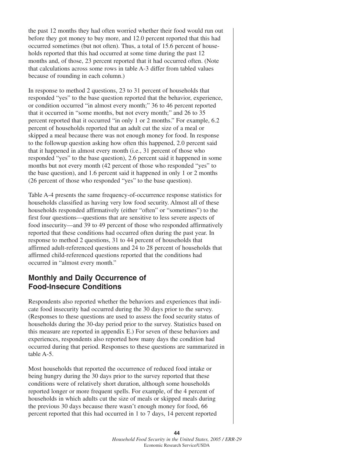the past 12 months they had often worried whether their food would run out before they got money to buy more, and 12.0 percent reported that this had occurred sometimes (but not often). Thus, a total of 15.6 percent of households reported that this had occurred at some time during the past 12 months and, of those, 23 percent reported that it had occurred often. (Note that calculations across some rows in table A-3 differ from tabled values because of rounding in each column.)

In response to method 2 questions, 23 to 31 percent of households that responded "yes" to the base question reported that the behavior, experience, or condition occurred "in almost every month;" 36 to 46 percent reported that it occurred in "some months, but not every month;" and 26 to 35 percent reported that it occurred "in only 1 or 2 months." For example, 6.2 percent of households reported that an adult cut the size of a meal or skipped a meal because there was not enough money for food. In response to the followup question asking how often this happened, 2.0 percent said that it happened in almost every month (i.e., 31 percent of those who responded "yes" to the base question), 2.6 percent said it happened in some months but not every month (42 percent of those who responded "yes" to the base question), and 1.6 percent said it happened in only 1 or 2 months (26 percent of those who responded "yes" to the base question).

Table A-4 presents the same frequency-of-occurrence response statistics for households classified as having very low food security. Almost all of these households responded affirmatively (either "often" or "sometimes") to the first four questions—questions that are sensitive to less severe aspects of food insecurity—and 39 to 49 percent of those who responded affirmatively reported that these conditions had occurred often during the past year. In response to method 2 questions, 31 to 44 percent of households that affirmed adult-referenced questions and 24 to 28 percent of households that affirmed child-referenced questions reported that the conditions had occurred in "almost every month."

### **Monthly and Daily Occurrence of Food-Insecure Conditions**

Respondents also reported whether the behaviors and experiences that indicate food insecurity had occurred during the 30 days prior to the survey. (Responses to these questions are used to assess the food security status of households during the 30-day period prior to the survey. Statistics based on this measure are reported in appendix E.) For seven of these behaviors and experiences, respondents also reported how many days the condition had occurred during that period. Responses to these questions are summarized in table A-5.

Most households that reported the occurrence of reduced food intake or being hungry during the 30 days prior to the survey reported that these conditions were of relatively short duration, although some households reported longer or more frequent spells. For example, of the 4 percent of households in which adults cut the size of meals or skipped meals during the previous 30 days because there wasn't enough money for food, 66 percent reported that this had occurred in 1 to 7 days, 14 percent reported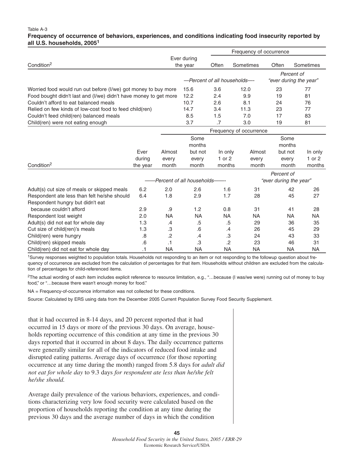#### Table A-3

#### **Frequency of occurrence of behaviors, experiences, and conditions indicating food insecurity reported by all U.S. households, 2005<sup>1</sup>**

|                                                                  |           |           |                             |                         | Frequency of occurrence |                        |                        |  |
|------------------------------------------------------------------|-----------|-----------|-----------------------------|-------------------------|-------------------------|------------------------|------------------------|--|
|                                                                  |           |           | Ever during                 |                         |                         |                        |                        |  |
| Condition <sup>2</sup>                                           |           |           | the year                    | Often                   | Sometimes               | Often                  | Sometimes              |  |
|                                                                  |           |           |                             |                         |                         |                        | Percent of             |  |
|                                                                  |           |           | -Percent of all households- |                         |                         |                        | "ever during the year" |  |
| Worried food would run out before (I/we) got money to buy more   |           |           | 15.6                        | 3.6                     | 12.0                    | 23                     | 77                     |  |
| Food bought didn't last and (I/we) didn't have money to get more |           |           | 12.2                        | 2.4                     | 9.9                     | 19                     | 81                     |  |
| Couldn't afford to eat balanced meals                            |           |           | 10.7                        | 2.6                     | 8.1                     | 24                     | 76                     |  |
| Relied on few kinds of low-cost food to feed child(ren)          |           |           | 14.7                        | 3.4                     | 11.3                    | 23                     | 77                     |  |
| Couldn't feed child(ren) balanced meals                          |           |           | 8.5                         | 1.5                     | 7.0                     | 17                     | 83                     |  |
| Child(ren) were not eating enough                                |           |           | 3.7                         | .7                      | 3.0                     | 19                     | 81                     |  |
|                                                                  |           |           |                             | Frequency of occurrence |                         |                        |                        |  |
|                                                                  |           |           | Some                        |                         |                         | Some                   |                        |  |
|                                                                  |           |           | months                      |                         |                         | months                 |                        |  |
|                                                                  | Ever      | Almost    | but not                     | In only                 | Almost                  | but not                | In only                |  |
|                                                                  | during    | every     | every                       | $1$ or $2$              | every                   | every                  | 1 or $2$               |  |
| Condition <sup>2</sup>                                           | the year  | month     | month                       | months                  | month                   | month                  | months                 |  |
|                                                                  |           |           |                             |                         |                         | Percent of             |                        |  |
|                                                                  |           |           | -Percent of all households- |                         |                         | "ever during the year" |                        |  |
| Adult(s) cut size of meals or skipped meals                      | 6.2       | 2.0       | 2.6                         | 1.6                     | 31                      | 42                     | 26                     |  |
| Respondent ate less than felt he/she should                      | 6.4       | 1.8       | 2.9                         | 1.7                     | 28                      | 45                     | 27                     |  |
| Respondent hungry but didn't eat                                 |           |           |                             |                         |                         |                        |                        |  |
| because couldn't afford                                          | 2.9       | .9        | 1.2                         | 0.8                     | 31                      | 41                     | 28                     |  |
| Respondent lost weight                                           | 2.0       | <b>NA</b> | <b>NA</b>                   | <b>NA</b>               | <b>NA</b>               | <b>NA</b>              | <b>NA</b>              |  |
| Adult(s) did not eat for whole day                               | 1.3       | .4        | .5                          | .5                      | 29                      | 36                     | 35                     |  |
| Cut size of child(ren)'s meals                                   | 1.3       | .3        | .6                          | .4                      | 26                      | 45                     | 29                     |  |
| Child(ren) were hungry                                           | .8        | .2        | .4                          | .3                      | 24                      | 43                     | 33                     |  |
| Child(ren) skipped meals                                         | .6        | .1        | .3                          | $\overline{2}$          | 23                      | 46                     | 31                     |  |
| Child(ren) did not eat for whole day                             | $\cdot$ 1 | <b>NA</b> | <b>NA</b>                   | <b>NA</b>               | <b>NA</b>               | <b>NA</b>              | <b>NA</b>              |  |

1Survey responses weighted to population totals. Households not responding to an item or not responding to the followup question about frequency of occurrence are excluded from the calculation of percentages for that item. Households without children are excluded from the calculation of percentages for child-referenced items.

<sup>2</sup>The actual wording of each item includes explicit reference to resource limitation, e.g., "...because (I was/we were) running out of money to buy food," or "…because there wasn't enough money for food."

NA = Frequency-of-occurrence information was not collected for these conditions.

Source: Calculated by ERS using data from the December 2005 Current Population Survey Food Security Supplement.

that it had occurred in 8-14 days, and 20 percent reported that it had occurred in 15 days or more of the previous 30 days. On average, households reporting occurrence of this condition at any time in the previous 30 days reported that it occurred in about 8 days. The daily occurrence patterns were generally similar for all of the indicators of reduced food intake and disrupted eating patterns. Average days of occurrence (for those reporting occurrence at any time during the month) ranged from 5.8 days for *adult did not eat for whole day* to 9.3 days *for respondent ate less than he/she felt he/she should.*

Average daily prevalence of the various behaviors, experiences, and conditions characterizing very low food security were calculated based on the proportion of households reporting the condition at any time during the previous 30 days and the average number of days in which the condition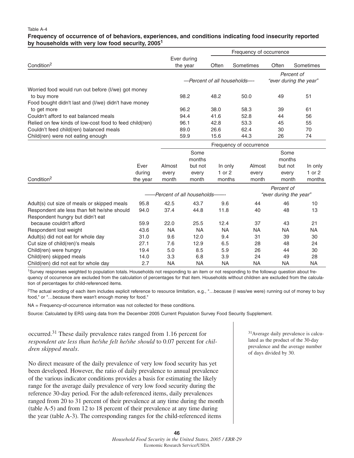#### Table A-4

#### **Frequency of occurrence of of behaviors, experiences, and conditions indicating food insecurity reported by households with very low food security, 20051**

|                                                         |          | Frequency of occurrence     |             |                             |                         |                        |                        |
|---------------------------------------------------------|----------|-----------------------------|-------------|-----------------------------|-------------------------|------------------------|------------------------|
|                                                         |          |                             | Ever during |                             |                         |                        |                        |
| Condition <sup>2</sup>                                  |          |                             | the year    | Often                       | Sometimes               | Often                  | Sometimes              |
|                                                         |          |                             |             |                             |                         |                        | Percent of             |
|                                                         |          |                             |             | -Percent of all households- |                         |                        | "ever during the year" |
| Worried food would run out before (I/we) got money      |          |                             |             |                             |                         |                        |                        |
| to buy more                                             |          |                             | 98.2        | 48.2                        | 50.0                    | 49                     | 51                     |
| Food bought didn't last and (I/we) didn't have money    |          |                             |             |                             |                         |                        |                        |
| to get more                                             |          |                             | 96.2        | 38.0                        | 58.3                    | 39                     | 61                     |
| Couldn't afford to eat balanced meals                   |          |                             | 94.4        | 41.6                        | 52.8                    | 44                     | 56                     |
| Relied on few kinds of low-cost food to feed child(ren) |          |                             | 96.1        | 42.8                        | 53.3                    | 45                     | 55                     |
| Couldn't feed child(ren) balanced meals                 |          |                             | 89.0        | 26.6                        | 62.4                    | 30                     | 70                     |
| Child(ren) were not eating enough                       |          |                             | 59.9        | 15.6                        | 44.3                    | 26                     | 74                     |
|                                                         |          |                             |             |                             | Frequency of occurrence |                        |                        |
|                                                         |          |                             | Some        |                             |                         | Some                   |                        |
|                                                         |          |                             | months      |                             |                         | months                 |                        |
|                                                         | Ever     | Almost                      | but not     | In only                     | Almost                  | but not                | In only                |
|                                                         | during   | every                       | every       | 1 or $2$                    | every                   | every                  | 1 or 2                 |
| Condition <sup>2</sup>                                  | the year | month                       | month       | months                      | month                   | month                  | months                 |
|                                                         |          |                             |             |                             |                         | Percent of             |                        |
|                                                         |          | -Percent of all households- |             |                             |                         | "ever during the year" |                        |
| Adult(s) cut size of meals or skipped meals             | 95.8     | 42.5                        | 43.7        | 9.6                         | 44                      | 46                     | 10                     |
| Respondent ate less than felt he/she should             | 94.0     | 37.4                        | 44.8        | 11.8                        | 40                      | 48                     | 13                     |
| Respondent hungry but didn't eat                        |          |                             |             |                             |                         |                        |                        |
| because couldn't afford                                 | 59.9     | 22.0                        | 25.5        | 12.4                        | 37                      | 43                     | 21                     |
| Respondent lost weight                                  | 43.6     | <b>NA</b>                   | <b>NA</b>   | <b>NA</b>                   | <b>NA</b>               | <b>NA</b>              | <b>NA</b>              |
| Adult(s) did not eat for whole day                      | 31.0     | 9.6                         | 12.0        | 9.4                         | 31                      | 39                     | 30                     |
| Cut size of child(ren)'s meals                          | 27.1     | 7.6                         | 12.9        | 6.5                         | 28                      | 48                     | 24                     |
| Child(ren) were hungry                                  | 19.4     | 5.0                         | 8.5         | 5.9                         | 26                      | 44                     | 30                     |

1Survey responses weighted to population totals. Households not responding to an item or not responding to the followup question about frequency of occurrence are excluded from the calculation of percentages for that item. Households without children are excluded from the calculation of percentages for child-referenced items.

Child(ren) skipped meals 14.0 3.3 6.8 3.9 24 49 28 Child(ren) did not eat for whole day 2.7 NA NA NA NA NA NA

2The actual wording of each item includes explicit reference to resource limitation, e.g., "…because (I was/we were) running out of money to buy food," or "…because there wasn't enough money for food."

NA = Frequency-of-occurrence information was not collected for these conditions.

Source: Calculated by ERS using data from the December 2005 Current Population Survey Food Security Supplement.

occurred.31 These daily prevalence rates ranged from 1.16 percent for *respondent ate less than he/she felt he/she should* to 0.07 percent for *children skipped meals*.

No direct measure of the daily prevalence of very low food security has yet been developed. However, the ratio of daily prevalence to annual prevalence of the various indicator conditions provides a basis for estimating the likely range for the average daily prevalence of very low food security during the reference 30-day period. For the adult-referenced items, daily prevalences ranged from 20 to 31 percent of their prevalence at any time during the month (table A-5) and from 12 to 18 percent of their prevalence at any time during the year (table A-3). The corresponding ranges for the child-referenced items

31Average daily prevalence is calculated as the product of the 30-day prevalence and the average number of days divided by 30.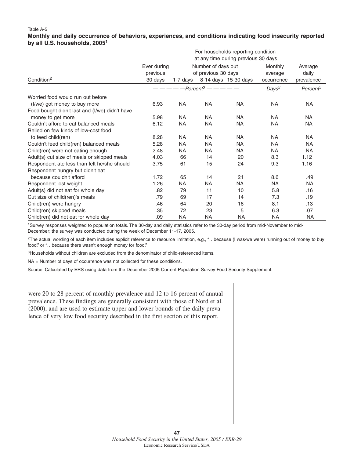#### Table A-5 **Monthly and daily occurrence of behaviors, experiences, and conditions indicating food insecurity reported by all U.S. households, 20051**

|                                                |                         | For households reporting condition<br>at any time during previous 30 days |                                           |                      |                    |                      |
|------------------------------------------------|-------------------------|---------------------------------------------------------------------------|-------------------------------------------|----------------------|--------------------|----------------------|
|                                                | Ever during<br>previous |                                                                           | Number of days out<br>of previous 30 days |                      | Monthly<br>average | Average<br>daily     |
| Condition <sup>2</sup>                         | 30 days                 | 1-7 days                                                                  |                                           | 8-14 days 15-30 days | occurrence         | prevalence           |
|                                                |                         |                                                                           | $-$ Percent <sup>3</sup> — — — — —        |                      | Days <sup>3</sup>  | Percent <sup>3</sup> |
| Worried food would run out before              |                         |                                                                           |                                           |                      |                    |                      |
| (I/we) got money to buy more                   | 6.93                    | <b>NA</b>                                                                 | <b>NA</b>                                 | <b>NA</b>            | <b>NA</b>          | <b>NA</b>            |
| Food bought didn't last and (I/we) didn't have |                         |                                                                           |                                           |                      |                    |                      |
| money to get more                              | 5.98                    | <b>NA</b>                                                                 | <b>NA</b>                                 | <b>NA</b>            | <b>NA</b>          | <b>NA</b>            |
| Couldn't afford to eat balanced meals          | 6.12                    | <b>NA</b>                                                                 | <b>NA</b>                                 | <b>NA</b>            | <b>NA</b>          | <b>NA</b>            |
| Relied on few kinds of low-cost food           |                         |                                                                           |                                           |                      |                    |                      |
| to feed child(ren)                             | 8.28                    | <b>NA</b>                                                                 | <b>NA</b>                                 | <b>NA</b>            | <b>NA</b>          | <b>NA</b>            |
| Couldn't feed child(ren) balanced meals        | 5.28                    | <b>NA</b>                                                                 | <b>NA</b>                                 | <b>NA</b>            | <b>NA</b>          | <b>NA</b>            |
| Child(ren) were not eating enough              | 2.48                    | <b>NA</b>                                                                 | <b>NA</b>                                 | <b>NA</b>            | <b>NA</b>          | <b>NA</b>            |
| Adult(s) cut size of meals or skipped meals    | 4.03                    | 66                                                                        | 14                                        | 20                   | 8.3                | 1.12                 |
| Respondent ate less than felt he/she should    | 3.75                    | 61                                                                        | 15                                        | 24                   | 9.3                | 1.16                 |
| Respondent hungry but didn't eat               |                         |                                                                           |                                           |                      |                    |                      |
| because couldn't afford                        | 1.72                    | 65                                                                        | 14                                        | 21                   | 8.6                | .49                  |
| Respondent lost weight                         | 1.26                    | <b>NA</b>                                                                 | <b>NA</b>                                 | <b>NA</b>            | <b>NA</b>          | <b>NA</b>            |
| Adult(s) did not eat for whole day             | .82                     | 79                                                                        | 11                                        | 10                   | 5.8                | .16                  |
| Cut size of child(ren)'s meals                 | .79                     | 69                                                                        | 17                                        | 14                   | 7.3                | .19                  |
| Child(ren) were hungry                         | .46                     | 64                                                                        | 20                                        | 16                   | 8.1                | .13                  |
| Child(ren) skipped meals                       | .35                     | 72                                                                        | 23                                        | 5                    | 6.3                | .07                  |
| Child(ren) did not eat for whole day           | .09                     | <b>NA</b>                                                                 | <b>NA</b>                                 | <b>NA</b>            | <b>NA</b>          | <b>NA</b>            |

1Survey responses weighted to population totals. The 30-day and daily statistics refer to the 30-day period from mid-November to mid-December; the survey was conducted during the week of December 11-17, 2005.

2The actual wording of each item includes explicit reference to resource limitation, e.g., "…because (I was/we were) running out of money to buy food," or "…because there wasn't enough money for food."

3Households without children are excluded from the denominator of child-referenced items.

NA = Number of days of occurrence was not collected for these conditions.

Source: Calculated by ERS using data from the December 2005 Current Population Survey Food Security Supplement.

were 20 to 28 percent of monthly prevalence and 12 to 16 percent of annual prevalence. These findings are generally consistent with those of Nord et al. (2000), and are used to estimate upper and lower bounds of the daily prevalence of very low food security described in the first section of this report.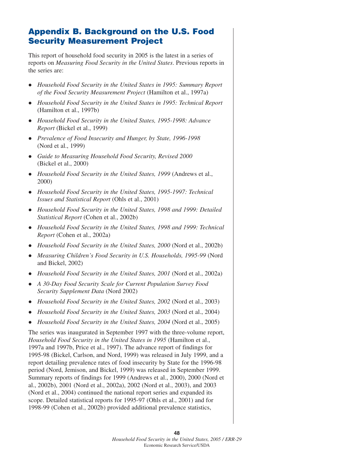## **Appendix B. Background on the U.S. Food Security Measurement Project**

This report of household food security in 2005 is the latest in a series of reports on *Measuring Food Security in the United States*. Previous reports in the series are:

- *Household Food Security in the United States in 1995: Summary Report of the Food Security Measurement Project* (Hamilton et al., 1997a)
- *Household Food Security in the United States in 1995: Technical Report* (Hamilton et al., 1997b)
- *Household Food Security in the United States, 1995-1998: Advance Report* (Bickel et al., 1999)
- *Prevalence of Food Insecurity and Hunger, by State, 1996-1998* (Nord et al., 1999)
- *Guide to Measuring Household Food Security, Revised 2000*  (Bickel et al., 2000)
- *Household Food Security in the United States, 1999* (Andrews et al., 2000)
- *Household Food Security in the United States, 1995-1997: Technical Issues and Statistical Report* (Ohls et al., 2001)
- *Household Food Security in the United States, 1998 and 1999: Detailed Statistical Report* (Cohen et al., 2002b)
- $\bullet$  Household Food Security in the United States, 1998 and 1999: Technical *Report* (Cohen et al., 2002a)
- *Household Food Security in the United States, 2000* (Nord et al., 2002b)
- *Measuring Children's Food Security in U.S. Households, 1995-99* (Nord and Bickel, 2002)
- *Household Food Security in the United States, 2001* (Nord et al., 2002a)
- *A 30-Day Food Security Scale for Current Population Survey Food Security Supplement Data* (Nord 2002)
- *Household Food Security in the United States, 2002* (Nord et al., 2003)
- $\bullet$ *Household Food Security in the United States, 2003* (Nord et al., 2004)
- *Household Food Security in the United States, 2004* (Nord et al., 2005)

The series was inaugurated in September 1997 with the three-volume report, *Household Food Security in the United States in 1995* (Hamilton et al., 1997a and 1997b, Price et al., 1997). The advance report of findings for 1995-98 (Bickel, Carlson, and Nord, 1999) was released in July 1999, and a report detailing prevalence rates of food insecurity by State for the 1996-98 period (Nord, Jemison, and Bickel, 1999) was released in September 1999. Summary reports of findings for 1999 (Andrews et al., 2000), 2000 (Nord et al., 2002b), 2001 (Nord et al., 2002a), 2002 (Nord et al., 2003), and 2003 (Nord et al., 2004) continued the national report series and expanded its scope. Detailed statistical reports for 1995-97 (Ohls et al., 2001) and for 1998-99 (Cohen et al., 2002b) provided additional prevalence statistics,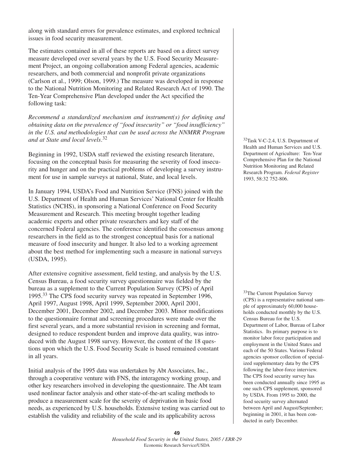along with standard errors for prevalence estimates, and explored technical issues in food security measurement.

The estimates contained in all of these reports are based on a direct survey measure developed over several years by the U.S. Food Security Measurement Project, an ongoing collaboration among Federal agencies, academic researchers, and both commercial and nonprofit private organizations (Carlson et al., 1999; Olson, 1999.) The measure was developed in response to the National Nutrition Monitoring and Related Research Act of 1990. The Ten-Year Comprehensive Plan developed under the Act specified the following task:

*Recommend a standardized mechanism and instrument(s) for defining and obtaining data on the prevalence of "food insecurity" or "food insufficiency" in the U.S. and methodologies that can be used across the NNMRR Program and at State and local levels*. 32

Beginning in 1992, USDA staff reviewed the existing research literature, focusing on the conceptual basis for measuring the severity of food insecurity and hunger and on the practical problems of developing a survey instrument for use in sample surveys at national, State, and local levels.

In January 1994, USDA's Food and Nutrition Service (FNS) joined with the U.S. Department of Health and Human Services' National Center for Health Statistics (NCHS), in sponsoring a National Conference on Food Security Measurement and Research. This meeting brought together leading academic experts and other private researchers and key staff of the concerned Federal agencies. The conference identified the consensus among researchers in the field as to the strongest conceptual basis for a national measure of food insecurity and hunger. It also led to a working agreement about the best method for implementing such a measure in national surveys (USDA, 1995).

After extensive cognitive assessment, field testing, and analysis by the U.S. Census Bureau, a food security survey questionnaire was fielded by the bureau as a supplement to the Current Population Survey (CPS) of April 1995.33 The CPS food security survey was repeated in September 1996, April 1997, August 1998, April 1999, September 2000, April 2001, December 2001, December 2002, and December 2003. Minor modifications to the questionnaire format and screening procedures were made over the first several years, and a more substantial revision in screening and format, designed to reduce respondent burden and improve data quality, was introduced with the August 1998 survey. However, the content of the 18 questions upon which the U.S. Food Security Scale is based remained constant in all years.

Initial analysis of the 1995 data was undertaken by Abt Associates, Inc., through a cooperative venture with FNS, the interagency working group, and other key researchers involved in developing the questionnaire. The Abt team used nonlinear factor analysis and other state-of-the-art scaling methods to produce a measurement scale for the severity of deprivation in basic food needs, as experienced by U.S. households. Extensive testing was carried out to establish the validity and reliability of the scale and its applicability across

32Task V-C-2.4, U.S. Department of Health and Human Services and U.S. Department of Agriculture: Ten-Year Comprehensive Plan for the National Nutrition Monitoring and Related Research Program. *Federal Register* 1993, 58:32 752-806.

33The Current Population Survey (CPS) is a representative national sample of approximately 60,000 households conducted monthly by the U.S. Census Bureau for the U.S. Department of Labor, Bureau of Labor Statistics. Its primary purpose is to monitor labor force participation and employment in the United States and each of the 50 States. Various Federal agencies sponsor collection of specialized supplementary data by the CPS following the labor-force interview. The CPS food security survey has been conducted annually since 1995 as one such CPS supplement, sponsored by USDA. From 1995 to 2000, the food security survey alternated between April and August/September; beginning in 2001, it has been conducted in early December.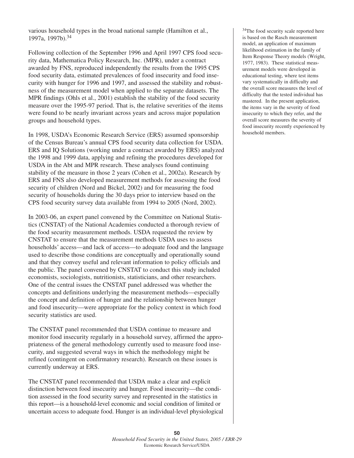various household types in the broad national sample (Hamilton et al., 1997a, 1997b).34

Following collection of the September 1996 and April 1997 CPS food security data, Mathematica Policy Research, Inc. (MPR), under a contract awarded by FNS, reproduced independently the results from the 1995 CPS food security data, estimated prevalences of food insecurity and food insecurity with hunger for 1996 and 1997, and assessed the stability and robustness of the measurement model when applied to the separate datasets. The MPR findings (Ohls et al., 2001) establish the stability of the food security measure over the 1995-97 period. That is, the relative severities of the items were found to be nearly invariant across years and across major population groups and household types.

In 1998, USDA's Economic Research Service (ERS) assumed sponsorship of the Census Bureau's annual CPS food security data collection for USDA. ERS and IQ Solutions (working under a contract awarded by ERS) analyzed the 1998 and 1999 data, applying and refining the procedures developed for USDA in the Abt and MPR research. These analyses found continuing stability of the measure in those 2 years (Cohen et al., 2002a). Research by ERS and FNS also developed measurement methods for assessing the food security of children (Nord and Bickel, 2002) and for measuring the food security of households during the 30 days prior to interview based on the CPS food security survey data available from 1994 to 2005 (Nord, 2002).

In 2003-06, an expert panel convened by the Committee on National Statistics (CNSTAT) of the National Academies conducted a thorough review of the food security measurement methods. USDA requested the review by CNSTAT to ensure that the measurement methods USDA uses to assess households' access—and lack of access—to adequate food and the language used to describe those conditions are conceptually and operationally sound and that they convey useful and relevant information to policy officials and the public. The panel convened by CNSTAT to conduct this study included economists, sociologists, nutritionists, statisticians, and other researchers. One of the central issues the CNSTAT panel addressed was whether the concepts and definitions underlying the measurement methods—especially the concept and definition of hunger and the relationship between hunger and food insecurity—were appropriate for the policy context in which food security statistics are used.

The CNSTAT panel recommended that USDA continue to measure and monitor food insecurity regularly in a household survey, affirmed the appropriateness of the general methodology currently used to measure food insecurity, and suggested several ways in which the methodology might be refined (contingent on confirmatory research). Research on these issues is currently underway at ERS.

The CNSTAT panel recommended that USDA make a clear and explicit distinction between food insecurity and hunger. Food insecurity—the condition assessed in the food security survey and represented in the statistics in this report—is a household-level economic and social condition of limited or uncertain access to adequate food. Hunger is an individual-level physiological

34The food security scale reported here is based on the Rasch measurement model, an application of maximum likelihood estimation in the family of Item Response Theory models (Wright, 1977, 1983). These statistical measurement models were developed in educational testing, where test items vary systematically in difficulty and the overall score measures the level of difficulty that the tested individual has mastered. In the present application, the items vary in the severity of food insecurity to which they refer, and the overall score measures the severity of food insecurity recently experienced by household members.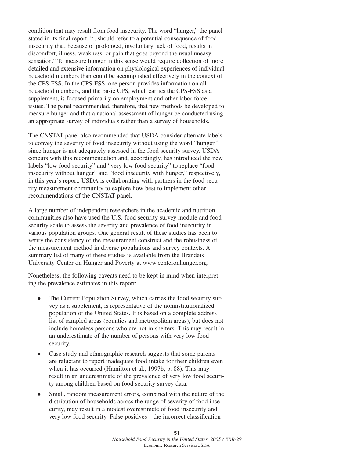condition that may result from food insecurity. The word "hunger," the panel stated in its final report, "...should refer to a potential consequence of food insecurity that, because of prolonged, involuntary lack of food, results in discomfort, illness, weakness, or pain that goes beyond the usual uneasy sensation." To measure hunger in this sense would require collection of more detailed and extensive information on physiological experiences of individual household members than could be accomplished effectively in the context of the CPS-FSS. In the CPS-FSS, one person provides information on all household members, and the basic CPS, which carries the CPS-FSS as a supplement, is focused primarily on employment and other labor force issues. The panel recommended, therefore, that new methods be developed to measure hunger and that a national assessment of hunger be conducted using an appropriate survey of individuals rather than a survey of households.

The CNSTAT panel also recommended that USDA consider alternate labels to convey the severity of food insecurity without using the word "hunger," since hunger is not adequately assessed in the food security survey. USDA concurs with this recommendation and, accordingly, has introduced the new labels "low food security" and "very low food security" to replace "food insecurity without hunger" and "food insecurity with hunger," respectively, in this year's report. USDA is collaborating with partners in the food security measurement community to explore how best to implement other recommendations of the CNSTAT panel.

A large number of independent researchers in the academic and nutrition communities also have used the U.S. food security survey module and food security scale to assess the severity and prevalence of food insecurity in various population groups. One general result of these studies has been to verify the consistency of the measurement construct and the robustness of the measurement method in diverse populations and survey contexts. A summary list of many of these studies is available from the Brandeis University Center on Hunger and Poverty at www.centeronhunger.org.

Nonetheless, the following caveats need to be kept in mind when interpreting the prevalence estimates in this report:

- $\bullet$  The Current Population Survey, which carries the food security survey as a supplement, is representative of the noninstitutionalized population of the United States. It is based on a complete address list of sampled areas (counties and metropolitan areas), but does not include homeless persons who are not in shelters. This may result in an underestimate of the number of persons with very low food security.
- $\bullet$  Case study and ethnographic research suggests that some parents are reluctant to report inadequate food intake for their children even when it has occurred (Hamilton et al., 1997b, p. 88). This may result in an underestimate of the prevalence of very low food security among children based on food security survey data.
- $\bullet$  Small, random measurement errors, combined with the nature of the distribution of households across the range of severity of food insecurity, may result in a modest overestimate of food insecurity and very low food security. False positives—the incorrect classification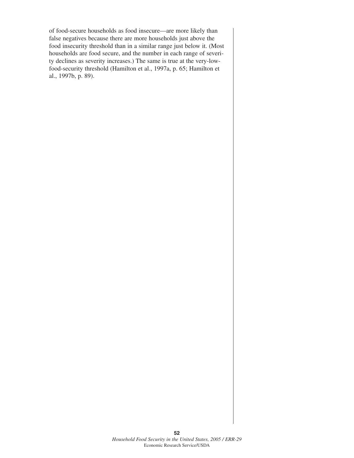of food-secure households as food insecure—are more likely than false negatives because there are more households just above the food insecurity threshold than in a similar range just below it. (Most households are food secure, and the number in each range of severity declines as severity increases.) The same is true at the very-lowfood-security threshold (Hamilton et al., 1997a, p. 65; Hamilton et al., 1997b, p. 89).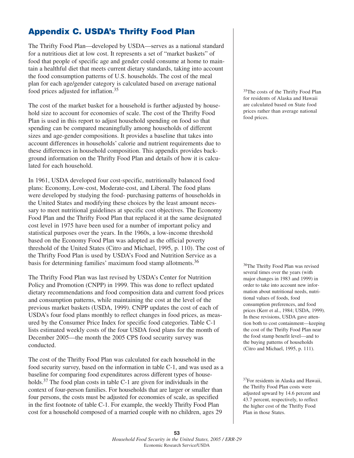## **Appendix C. USDA's Thrifty Food Plan**

The Thrifty Food Plan—developed by USDA—serves as a national standard for a nutritious diet at low cost. It represents a set of "market baskets" of food that people of specific age and gender could consume at home to maintain a healthful diet that meets current dietary standards, taking into account the food consumption patterns of U.S. households. The cost of the meal plan for each age/gender category is calculated based on average national food prices adjusted for inflation.<sup>35</sup>

The cost of the market basket for a household is further adjusted by household size to account for economies of scale. The cost of the Thrifty Food Plan is used in this report to adjust household spending on food so that spending can be compared meaningfully among households of different sizes and age-gender compositions. It provides a baseline that takes into account differences in households' calorie and nutrient requirements due to these differences in household composition. This appendix provides background information on the Thrifty Food Plan and details of how it is calculated for each household.

In 1961, USDA developed four cost-specific, nutritionally balanced food plans: Economy, Low-cost, Moderate-cost, and Liberal. The food plans were developed by studying the food- purchasing patterns of households in the United States and modifying these choices by the least amount necessary to meet nutritional guidelines at specific cost objectives. The Economy Food Plan and the Thrifty Food Plan that replaced it at the same designated cost level in 1975 have been used for a number of important policy and statistical purposes over the years. In the 1960s, a low-income threshold based on the Economy Food Plan was adopted as the official poverty threshold of the United States (Citro and Michael, 1995, p. 110). The cost of the Thrifty Food Plan is used by USDA's Food and Nutrition Service as a basis for determining families' maximum food stamp allotments.<sup>36</sup>

The Thrifty Food Plan was last revised by USDA's Center for Nutrition Policy and Promotion (CNPP) in 1999. This was done to reflect updated dietary recommendations and food composition data and current food prices and consumption patterns, while maintaining the cost at the level of the previous market baskets (USDA, 1999). CNPP updates the cost of each of USDA's four food plans monthly to reflect changes in food prices, as measured by the Consumer Price Index for specific food categories. Table C-1 lists estimated weekly costs of the four USDA food plans for the month of December 2005—the month the 2005 CPS food security survey was conducted.

The cost of the Thrifty Food Plan was calculated for each household in the food security survey, based on the information in table C-1, and was used as a baseline for comparing food expenditures across different types of households.<sup>37</sup> The food plan costs in table C-1 are given for individuals in the context of four-person families. For households that are larger or smaller than four persons, the costs must be adjusted for economies of scale, as specified in the first footnote of table C-1. For example, the weekly Thrifty Food Plan cost for a household composed of a married couple with no children, ages 29

<sup>35</sup>The costs of the Thrifty Food Plan for residents of Alaska and Hawaii are calculated based on State food prices rather than average national food prices.

<sup>36</sup>The Thrifty Food Plan was revised several times over the years (with major changes in 1983 and 1999) in order to take into account new information about nutritional needs, nutritional values of foods, food consumption preferences, and food prices (Kerr et al., 1984; USDA, 1999). In these revisions, USDA gave attention both to cost containment—keeping the cost of the Thrifty Food Plan near the food stamp benefit level—and to the buying patterns of households (Citro and Michael, 1995, p. 111).

37For residents in Alaska and Hawaii, the Thrifty Food Plan costs were adjusted upward by 14.6 percent and 43.7 percent, respectively, to reflect the higher cost of the Thrifty Food Plan in those States.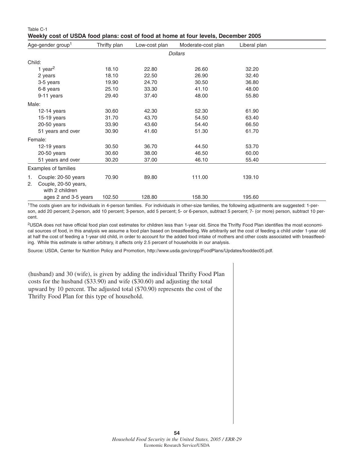| Weekly cost of USDA food plans: cost of food at home at four levels, December 2005 |              |               |                    |              |  |  |  |  |  |
|------------------------------------------------------------------------------------|--------------|---------------|--------------------|--------------|--|--|--|--|--|
| Age-gender group <sup>1</sup>                                                      | Thrifty plan | Low-cost plan | Moderate-cost plan | Liberal plan |  |  |  |  |  |
|                                                                                    |              |               | <b>Dollars</b>     |              |  |  |  |  |  |
| Child:                                                                             |              |               |                    |              |  |  |  |  |  |
| 1 year <sup>2</sup>                                                                | 18.10        | 22.80         | 26.60              | 32.20        |  |  |  |  |  |
| 2 years                                                                            | 18.10        | 22.50         | 26.90              | 32.40        |  |  |  |  |  |
| 3-5 years                                                                          | 19.90        | 24.70         | 30.50              | 36.80        |  |  |  |  |  |
| 6-8 years                                                                          | 25.10        | 33.30         | 41.10              | 48.00        |  |  |  |  |  |
| 9-11 years                                                                         | 29.40        | 37.40         | 48.00              | 55.80        |  |  |  |  |  |
| Male:                                                                              |              |               |                    |              |  |  |  |  |  |
| $12-14$ years                                                                      | 30.60        | 42.30         | 52.30              | 61.90        |  |  |  |  |  |
| $15-19$ years                                                                      | 31.70        | 43.70         | 54.50              | 63.40        |  |  |  |  |  |
| $20-50$ years                                                                      | 33.90        | 43.60         | 54.40              | 66.50        |  |  |  |  |  |
| 51 years and over                                                                  | 30.90        | 41.60         | 51.30              | 61.70        |  |  |  |  |  |
| Female:                                                                            |              |               |                    |              |  |  |  |  |  |
| $12-19$ years                                                                      | 30.50        | 36.70         | 44.50              | 53.70        |  |  |  |  |  |
| $20-50$ years                                                                      | 30.60        | 38.00         | 46.50              | 60.00        |  |  |  |  |  |
| 51 years and over                                                                  | 30.20        | 37.00         | 46.10              | 55.40        |  |  |  |  |  |
| Examples of families                                                               |              |               |                    |              |  |  |  |  |  |
| Couple: 20-50 years<br>1.<br>Couple, 20-50 years,<br>2.<br>with 2 children         | 70.90        | 89.80         | 111.00             | 139.10       |  |  |  |  |  |
| ages 2 and 3-5 years                                                               | 102.50       | 128.80        | 158.30             | 195.60       |  |  |  |  |  |

1The costs given are for individuals in 4-person families. For individuals in other-size families, the following adjustments are suggested: 1-person, add 20 percent; 2-person, add 10 percent; 3-person, add 5 percent; 5- or 6-person, subtract 5 percent; 7- (or more) person, subtract 10 percent.

2USDA does not have official food plan cost estimates for children less than 1-year old. Since the Thrifty Food Plan identifies the most economical sources of food, in this analysis we assume a food plan based on breastfeeding. We arbitrarily set the cost of feeding a child under 1-year old at half the cost of feeding a 1-year old child, in order to account for the added food intake of mothers and other costs associated with breastfeeding. While this estimate is rather arbitrary, it affects only 2.5 percent of households in our analysis.

Source: USDA, Center for Nutrition Policy and Promotion, http://www.usda.gov/cnpp/FoodPlans/Updates/fooddec05.pdf.

(husband) and 30 (wife), is given by adding the individual Thrifty Food Plan costs for the husband (\$33.90) and wife (\$30.60) and adjusting the total upward by 10 percent. The adjusted total (\$70.90) represents the cost of the Thrifty Food Plan for this type of household.

Table C-1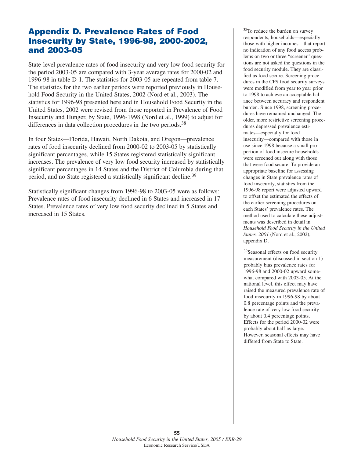## **Appendix D. Prevalence Rates of Food Insecurity by State, 1996-98, 2000-2002, and 2003-05**

State-level prevalence rates of food insecurity and very low food security for the period 2003-05 are compared with 3-year average rates for 2000-02 and 1996-98 in table D-1. The statistics for 2003-05 are repeated from table 7. The statistics for the two earlier periods were reported previously in Household Food Security in the United States, 2002 (Nord et al., 2003). The statistics for 1996-98 presented here and in Household Food Security in the United States, 2002 were revised from those reported in Prevalence of Food Insecurity and Hunger, by State, 1996-1998 (Nord et al., 1999) to adjust for differences in data collection procedures in the two periods.<sup>38</sup>

In four States—Florida, Hawaii, North Dakota, and Oregon—prevalence rates of food insecurity declined from 2000-02 to 2003-05 by statistically significant percentages, while 15 States registered statistically significant increases. The prevalence of very low food security increased by statistically significant percentages in 14 States and the District of Columbia during that period, and no State registered a statistically significant decline.<sup>39</sup>

Statistically significant changes from 1996-98 to 2003-05 were as follows: Prevalence rates of food insecurity declined in 6 States and increased in 17 States. Prevalence rates of very low food security declined in 5 States and increased in 15 States.

38To reduce the burden on survey respondents, households—especially those with higher incomes—that report no indication of any food access problems on two or three "screener" questions are not asked the questions in the food security module. They are classified as food secure. Screening procedures in the CPS food security surveys were modified from year to year prior to 1998 to achieve an acceptable balance between accuracy and respondent burden. Since 1998, screening procedures have remained unchanged. The older, more restrictive screening procedures depressed prevalence estimates—especially for food insecurity—compared with those in use since 1998 because a small proportion of food insecure households were screened out along with those that were food secure. To provide an appropriate baseline for assessing changes in State prevalence rates of food insecurity, statistics from the 1996-98 report were adjusted upward to offset the estimated the effects of the earlier screening procedures on each States' prevalence rates. The method used to calculate these adjustments was described in detail in *Household Food Security in the United States, 2001* (Nord et al., 2002), appendix D.

<sup>39</sup>Seasonal effects on food security measurement (discussed in section 1) probably bias prevalence rates for 1996-98 and 2000-02 upward somewhat compared with 2003-05. At the national level, this effect may have raised the measured prevalence rate of food insecurity in 1996-98 by about 0.8 percentage points and the prevalence rate of very low food security by about 0.4 percentage points. Effects for the period 2000-02 were probably about half as large. However, seasonal effects may have differed from State to State.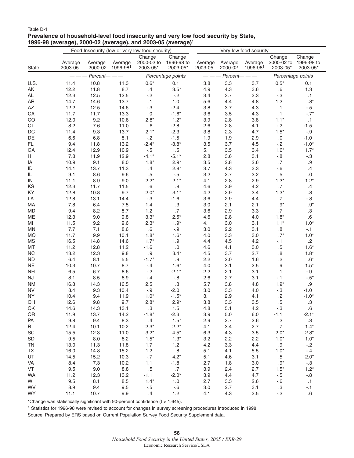#### Table D-1 **Prevalence of household-level food insecurity and very low food security by State, 1996-98 (average), 2000-02 (average), and 2003-05 (average)1**

|                        | Food Insecurity (low or very low food security) |                    |                     | Very low food security           |                                  |                    |                    |                     |                                             |                    |
|------------------------|-------------------------------------------------|--------------------|---------------------|----------------------------------|----------------------------------|--------------------|--------------------|---------------------|---------------------------------------------|--------------------|
| <b>State</b>           | Average<br>2003-05                              | Average<br>2000-02 | Average<br>1996-981 | Change<br>2000-02 to<br>2003-05* | Change<br>1996-98 to<br>2003-05* | Average<br>2003-05 | Average<br>2000-02 | Average<br>1996-981 | Change<br>2000-02 to 1996-98 to<br>2003-05* | Change<br>2003-05* |
|                        |                                                 | Percent-           |                     |                                  | Percentage points                |                    | Percent-           |                     | Percentage points                           |                    |
| U.S.                   | 11.4                                            | 10.8               | 11.3                | $0.6*$                           | 0.1                              | 3.8                | 3.3                | 3.7                 | $0.5*$                                      | 0.1                |
| AK                     | 12.2                                            | 11.8               | 8.7                 | .4                               | $3.5*$                           | 4.9                | 4.3                | 3.6                 | .6                                          | 1.3                |
| AL                     | 12.3                                            | 12.5               | 12.5                | $-.2$                            | $-.2$                            | 3.4                | 3.7                | 3.3                 | $-0.3$                                      | .1                 |
| AR                     | 14.7                                            | 14.6               | 13.7                | $\cdot$ 1                        | 1.0                              | 5.6                | 4.4                | 4.8                 | 1.2                                         | $.8*$              |
| $\mathsf{A}\mathsf{Z}$ | 12.2                                            | 12.5               | 14.6                | $-.3$                            | $-2.4$                           | 3.8                | 3.7                | 4.3                 | $\cdot$ 1                                   | $-.5$              |
| ${\sf CA}$             | 11.7                                            | 11.7               | 13.3                | $.0\,$                           | $-1.6*$                          | 3.6                | 3.5                | 4.3                 | $\cdot$ 1                                   | $-.7*$             |
| CO                     | 12.0                                            | 9.2                | 10.8                | $2.8*$                           | $1.2*$                           | 3.9                | 2.8                | 3.8                 | $1.1*$                                      | $\cdot$ 1          |
| <b>CT</b>              | 8.2                                             | 7.6                | 11.0                | .6                               | $-2.8$                           | 2.6                | 2.8                | 4.1                 | $-2$                                        | $-1.5$             |
| $\mathsf{DC}$          | 11.4                                            | 9.3                | 13.7                | $2.1*$                           | $-2.3$                           | 3.8                | 2.3                | 4.7                 | $1.5*$                                      | $-0.9$             |
| DE                     | 6.6                                             | 6.8                | 8.1                 | $-2$                             | $-1.5$                           | 1.9                | 1.9                | 2.9                 | $.0 \,$                                     | $-1.0$             |
| FL.                    | 9.4                                             | 11.8               | 13.2                | $-2.4*$                          | $-3.8*$                          | 3.5                | 3.7                | 4.5                 | $-.2$                                       | $-1.0*$            |
| GA                     | 12.4                                            | 12.9               | 10.9                | $-.5$                            | 1.5                              | 5.1                | 3.5                | 3.4                 | $1.6*$                                      | $1.7*$             |
| HI                     | 7.8                                             | 11.9               | 12.9                | $-4.1*$                          | $-5.1*$                          | 2.8                | 3.6                | 3.1                 | $-0.8$                                      | $-3$               |
| IA                     | 10.9                                            | 9.1                | 8.0                 | $1.8*$                           | $2.9*$                           | 3.5                | 2.8                | 2.6                 | $.7\,$                                      | $.9\,$             |
| ID                     | 14.1                                            | 13.7               | 11.3                | .4                               | $2.8*$                           | 3.7                | 4.3                | 3.3                 | $-6$                                        | .4                 |
| IL                     | 9.1                                             | 8.6                | 9.6                 | .5                               | $-.5$                            | 3.2                | 2.7                | 3.2                 | $.5\,$                                      | .0                 |
| ${\sf IN}$             | 11.1                                            | 8.9                | 9.0                 | $2.2*$                           | $2.1*$                           | 4.1                | 2.8                | 2.9                 | $1.3*$                                      | $1.2*$             |
| KS                     | 12.3                                            | 11.7               | 11.5                | .6                               | .8                               | 4.6                | 3.9                | 4.2                 | $.7\,$                                      | .4                 |
| KY                     | 12.8                                            | 10.8               | 9.7                 | $2.0*$                           | $3.1*$                           | 4.2                | 2.9                | 3.4                 | $1.3*$                                      | .8                 |
| LA                     | 12.8                                            | 13.1               | 14.4                | $-.3$                            | $-1.6$                           | 3.6                | 2.9                | 4.4                 | .7                                          | $-0.8$             |
| MA                     | 7.8                                             | 6.4                | 7.5                 | 1.4                              | $.3\,$                           | 3.0                | 2.1                | 2.1                 | $.9*$                                       | .9 $^{\star}$      |
| <b>MD</b>              | 9.4                                             | 8.2                | 8.7                 | 1.2                              | .7                               | 3.6                | 2.9                | 3.3                 | .7                                          | $.3\,$             |
| ME                     | 12.3                                            | 9.0                | 9.8                 | $3.3*$                           | $2.5*$                           | 4.6                | 2.8                | 4.0                 | $1.8*$                                      | .6                 |
| MI                     | 11.5                                            | 9.2                | 9.6                 | $2.3*$                           | $1.9*$                           | 4.1                | 3.0                | 3.1                 | $1.1*$                                      | $1.0*$             |
| <b>MN</b>              | 7.7                                             | 7.1                | 8.6                 | ${\bf .6}$                       | $-.9$                            | 3.0                | 2.2                | 3.1                 | $\boldsymbol{.8}$                           | $-1$               |
| <b>MO</b>              | 11.7                                            | 9.9                | 10.1                | $1.8*$                           | $1.6*$                           | 4.0                | 3.3                | 3.0                 | $.7^*$                                      | $1.0*$             |
| <b>MS</b>              | 16.5                                            | 14.8               | 14.6                | $1.7*$                           | 1.9                              | 4.4                | 4.5                | 4.2                 | $-1$                                        | $.2\,$             |
| MT                     | 11.2                                            | 12.8               | 11.2                | $-1.6$                           | $.0\,$                           | 4.6                | 4.1                | 3.0                 | $.5\,$                                      | $1.6*$             |
| NC                     | 13.2                                            | 12.3               | 9.8                 | .9                               | $3.4*$                           | 4.5                | 3.7                | 2.7                 | $\boldsymbol{.8}$                           | $1.8*$             |
| <b>ND</b>              | 6.4                                             | 8.1                | 5.5                 | $-1.7*$                          | $.9\,$                           | 2.2                | 2.0                | 1.6                 | $\cdot$                                     | $.6*$              |
| <b>NE</b>              | 10.3                                            | 10.7               | 8.7                 | $-4$                             | $1.6*$                           | 4.0                | 3.1                | 2.5                 | .9                                          | $1.5*$             |
| <b>NH</b>              | 6.5                                             | 6.7                | 8.6                 | $-.2$                            | $-2.1*$                          | 2.2                | 2.1                | 3.1                 | $\cdot$ 1                                   | $-.9$              |
| $\mathsf{N}\mathsf{J}$ | 8.1                                             | 8.5                | 8.9                 | $-4$                             | $-.8$                            | 2.6                | 2.7                | 3.1                 | $-1$                                        | $-.5*$             |
| <b>NM</b>              | 16.8                                            | 14.3               | 16.5                | 2.5                              | .3                               | 5.7                | 3.8                | 4.8                 | $1.9*$                                      | $.9\,$             |
| <b>NV</b>              | 8.4                                             | 9.3                | 10.4                | $-0.9$                           | $-2.0$                           | 3.0                | 3.3                | 4.0                 | $-3$                                        | $-1.0$             |
| <b>NY</b>              | 10.4                                            | 9.4                | 11.9<br>9.7         | $1.0*$                           | $-1.5*$<br>$2.9*$                | 3.1<br>3.8         | 2.9                | 4.1<br>3.5          | $\cdot$<br>$.5\,$                           | $-1.0*$<br>.3      |
| OH<br>OK               | 12.6<br>14.6                                    | 9.8<br>14.3        | 13.1                | $2.8*$<br>$.3\,$                 | 1.5                              | 4.8                | 3.3<br>5.1         | 4.2                 | $-.3$                                       | $\cdot 6$          |
| OR                     | 11.9                                            | 13.7               | 14.2                | $-1.8*$                          | $-2.3$                           | 3.9                | 5.0                | 6.0                 | $-1.1$                                      | $-2.1*$            |
| PA                     | 9.8                                             | 9.4                | 8.3                 | .4                               | $1.5*$                           | 2.9                | 2.7                | 2.6                 | $\cdot$                                     | $.3\,$             |
| RI                     | 12.4                                            | 10.1               | 10.2                | $2.3*$                           | $2.2*$                           | 4.1                | 3.4                | 2.7                 | .7                                          | $1.4*$             |
| SC                     | 15.5                                            | 12.3               | 11.0                | $3.2*$                           | $4.5*$                           | 6.3                | 4.3                | 3.5                 | $2.0*$                                      | $2.8*$             |
| SD                     | 9.5                                             | $8.0\,$            | 8.2                 | $1.5*$                           | $1.3*$                           | 3.2                | 2.2                | 2.2                 | $1.0*$                                      | $1.0*$             |
| <b>TN</b>              | 13.0                                            | 11.3               | 11.8                | 1.7                              | $1.2$                            | 4.2                | 3.3                | 4.4                 | $.9\,$                                      | $-.2$              |
| TX                     | 16.0                                            | 14.8               | 15.2                | 1.2                              | $\boldsymbol{.8}$                | 5.1                | 4.1                | $5.5\,$             | $1.0*$                                      | $-.4$              |
| UT                     | 14.5                                            | 15.2               | 10.3                | $-.7$                            | $4.2*$                           | 5.1                | 4.6                | 3.1                 | $.5\,$                                      | $2.0*$             |
| VA                     | 8.4                                             | $7.3$              | 10.2                | 1.1                              | $-1.8$                           | 2.7                | 1.8                | 3.0                 | .9 $^{\star}$                               | $-.3$              |
| VT                     | 9.5                                             | 9.0                | 8.8                 | $.5\,$                           | .7                               | 3.9                | 2.4                | 2.7                 | $1.5*$                                      | $1.2*$             |
| <b>WA</b>              | 11.2                                            | 12.3               | 13.2                | $-1.1$                           | $-2.0*$                          | 3.9                | 4.4                | 4.7                 | $-.5$                                       | $-0.8$             |
| WI                     | 9.5                                             | 8.1                | 8.5                 | $1.4*$                           | 1.0                              | 2.7                | 3.3                | 2.6                 | $-6$                                        | $\cdot$ 1          |
| <b>WV</b>              | 8.9                                             | 9.4                | 9.5                 | $-.5$                            | $-0.6$                           | 3.0                | 2.7                | 3.1                 | .3                                          | $-.1$              |
| <b>WY</b>              | 11.1                                            | 10.7               | 9.9                 | .4                               | 1.2                              | 4.1                | 4.3                | 3.5                 | $-.2$                                       | .6                 |

\*Change was statistically significant with 90-percent confidence (t > 1.645).

<sup>1</sup> Statistics for 1996-98 were revised to account for changes in survey screening procedures introduced in 1998.

Source: Prepared by ERS based on Current Population Survey Food Security Supplement data.

**56** *Household Food Security in the United States, 2005 / ERR-29* Economic Research Service/USDA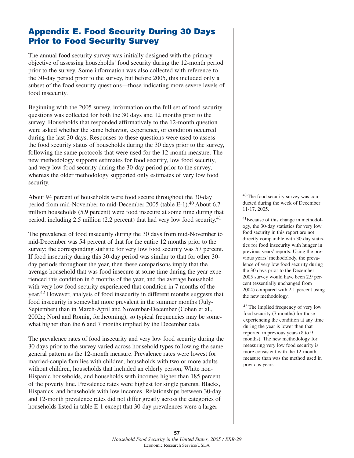## **Appendix E. Food Security During 30 Days Prior to Food Security Survey**

The annual food security survey was initially designed with the primary objective of assessing households' food security during the 12-month period prior to the survey. Some information was also collected with reference to the 30-day period prior to the survey, but before 2005, this included only a subset of the food security questions—those indicating more severe levels of food insecurity.

Beginning with the 2005 survey, information on the full set of food security questions was collected for both the 30 days and 12 months prior to the survey. Households that responded affirmatively to the 12-month question were asked whether the same behavior, experience, or condition occurred during the last 30 days. Responses to these questions were used to assess the food security status of households during the 30 days prior to the survey, following the same protocols that were used for the 12-month measure. The new methodology supports estimates for food security, low food security, and very low food security during the 30-day period prior to the survey, whereas the older methodology supported only estimates of very low food security.

About 94 percent of households were food secure throughout the 30-day period from mid-November to mid-December 2005 (table E-1).<sup>40</sup> About 6.7 million households (5.9 percent) were food insecure at some time during that period, including 2.5 million (2.2 percent) that had very low food security.41

The prevalence of food insecurity during the 30 days from mid-November to mid-December was 54 percent of that for the entire 12 months prior to the survey; the corresponding statistic for very low food security was 57 percent. If food insecurity during this 30-day period was similar to that for other 30 day periods throughout the year, then these comparisons imply that the average household that was food insecure at some time during the year experienced this condition in 6 months of the year, and the average household with very low food security experienced that condition in 7 months of the year.42 However, analysis of food insecurity in different months suggests that food insecurity is somewhat more prevalent in the summer months (July-September) than in March-April and November-December (Cohen et al., 2002a; Nord and Romig, forthcoming), so typical frequencies may be somewhat higher than the 6 and 7 months implied by the December data.

The prevalence rates of food insecurity and very low food security during the 30 days prior to the survey varied across household types following the same general pattern as the 12-month measure. Prevalence rates were lowest for married-couple families with children, households with two or more adults without children, households that included an elderly person, White non-Hispanic households, and households with incomes higher than 185 percent of the poverty line. Prevalence rates were highest for single parents, Blacks, Hispanics, and households with low incomes. Relationships between 30-day and 12-month prevalence rates did not differ greatly across the categories of households listed in table E-1 except that 30-day prevalences were a larger

40 The food security survey was conducted during the week of December 11-17, 2005.

41Because of this change in methodology, the 30-day statistics for very low food security in this report are not directly comparable with 30-day statistics for food insecurity with hunger in previous years' reports. Using the previous years' methodolody, the prevalence of very low food security during the 30 days prior to the December 2005 survey would have been 2.9 percent (essentially unchanged from 2004) compared with 2.1 percent using the new methodology.

<sup>42</sup> The implied frequency of very low food security (7 months) for those experiencing the condition at any time during the year is lower than that reported in previous years (8 to 9 months). The new methodology for measuring very low food security is more consistent with the 12-month measure than was the method used in previous years.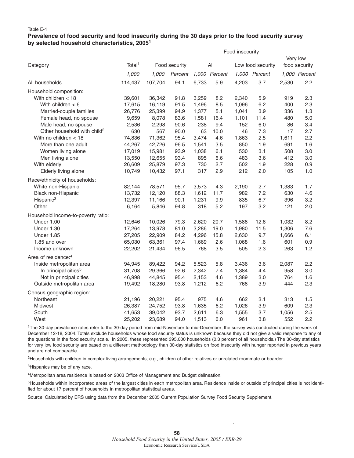#### **Prevalence of food security and food insecurity during the 30 days prior to the food security survey by selected household characteristics, 20051**

|                                         |                    |         |               |       |               | Food insecurity |                   |       |               |
|-----------------------------------------|--------------------|---------|---------------|-------|---------------|-----------------|-------------------|-------|---------------|
|                                         |                    |         |               |       |               |                 |                   |       | Very low      |
| Category                                | Total <sup>1</sup> |         | Food security |       | All           |                 | Low food security |       | food security |
|                                         | 1,000              | 1,000   | Percent       |       | 1,000 Percent |                 | 1,000 Percent     |       | 1,000 Percent |
| All households                          | 114,437            | 107,704 | 94.1          | 6,733 | 5.9           | 4,203           | 3.7               | 2,530 | 2.2           |
| Household composition:                  |                    |         |               |       |               |                 |                   |       |               |
| With children $<$ 18                    | 39,601             | 36,342  | 91.8          | 3,259 | 8.2           | 2,340           | 5.9               | 919   | 2.3           |
| With children $< 6$                     | 17,615             | 16,119  | 91.5          | 1,496 | 8.5           | 1,096           | 6.2               | 400   | 2.3           |
| Married-couple families                 | 26,776             | 25,399  | 94.9          | 1,377 | 5.1           | 1,041           | 3.9               | 336   | 1.3           |
| Female head, no spouse                  | 9,659              | 8,078   | 83.6          | 1,581 | 16.4          | 1,101           | 11.4              | 480   | 5.0           |
| Male head, no spouse                    | 2,536              | 2,298   | 90.6          | 238   | 9.4           | 152             | 6.0               | 86    | 3.4           |
| Other household with child <sup>2</sup> | 630                | 567     | 90.0          | 63    | 10.0          | 46              | 7.3               | 17    | 2.7           |
| With no children < 18                   | 74,836             | 71,362  | 95.4          | 3,474 | 4.6           | 1,863           | 2.5               | 1,611 | 2.2           |
| More than one adult                     | 44,267             | 42,726  | 96.5          | 1,541 | 3.5           | 850             | 1.9               | 691   | 1.6           |
| Women living alone                      | 17,019             | 15,981  | 93.9          | 1,038 | 6.1           | 530             | 3.1               | 508   | 3.0           |
| Men living alone                        | 13,550             | 12,655  | 93.4          | 895   | 6.6           | 483             | 3.6               | 412   | 3.0           |
| With elderly                            | 26,609             | 25,879  | 97.3          | 730   | 2.7           | 502             | 1.9               | 228   | 0.9           |
| Elderly living alone                    | 10,749             | 10,432  | 97.1          | 317   | 2.9           | 212             | 2.0               | 105   | 1.0           |
| Race/ethnicity of households:           |                    |         |               |       |               |                 |                   |       |               |
| White non-Hispanic                      | 82,144             | 78,571  | 95.7          | 3,573 | 4.3           | 2,190           | 2.7               | 1,383 | 1.7           |
| Black non-Hispanic                      | 13,732             | 12,120  | 88.3          | 1,612 | 11.7          | 982             | 7.2               | 630   | 4.6           |
| Hispanic <sup>3</sup>                   | 12,397             | 11,166  | 90.1          | 1,231 | 9.9           | 835             | 6.7               | 396   | 3.2           |
| Other                                   | 6,164              | 5,846   | 94.8          | 318   | 5.2           | 197             | 3.2               | 121   | 2.0           |
| Household income-to-poverty ratio:      |                    |         |               |       |               |                 |                   |       |               |
| Under 1.00                              | 12,646             | 10,026  | 79.3          | 2,620 | 20.7          | 1,588           | 12.6              | 1,032 | 8.2           |
| <b>Under 1.30</b>                       | 17,264             | 13,978  | 81.0          | 3,286 | 19.0          | 1,980           | 11.5              | 1,306 | 7.6           |
| <b>Under 1.85</b>                       | 27,205             | 22,909  | 84.2          | 4,296 | 15.8          | 2,630           | 9.7               | 1,666 | 6.1           |
| 1.85 and over                           | 65,030             | 63,361  | 97.4          | 1,669 | 2.6           | 1,068           | 1.6               | 601   | 0.9           |
| Income unknown                          | 22,202             | 21,434  | 96.5          | 768   | 3.5           | 505             | 2.3               | 263   | 1.2           |
| Area of residence: <sup>4</sup>         |                    |         |               |       |               |                 |                   |       |               |
| Inside metropolitan area                | 94,945             | 89,422  | 94.2          | 5,523 | 5.8           | 3,436           | 3.6               | 2,087 | 2.2           |
| In principal cities <sup>5</sup>        | 31,708             | 29,366  | 92.6          | 2,342 | 7.4           | 1,384           | 4.4               | 958   | 3.0           |
| Not in principal cities                 | 46,998             | 44,845  | 95.4          | 2,153 | 4.6           | 1,389           | 3.0               | 764   | 1.6           |
| Outside metropolitan area               | 19,492             | 18,280  | 93.8          | 1,212 | 6.2           | 768             | 3.9               | 444   | 2.3           |
| Census geographic region:               |                    |         |               |       |               |                 |                   |       |               |
| Northeast                               | 21,196             | 20,221  | 95.4          | 975   | 4.6           | 662             | 3.1               | 313   | 1.5           |
| Midwest                                 | 26,387             | 24,752  | 93.8          | 1,635 | 6.2           | 1,026           | 3.9               | 609   | 2.3           |
| South                                   | 41,653             | 39,042  | 93.7          | 2,611 | 6.3           | 1,555           | 3.7               | 1,056 | 2.5           |
| West                                    | 25,202             | 23,689  | 94.0          | 1,513 | 6.0           | 961             | 3.8               | 552   | 2.2           |

1The 30-day prevalence rates refer to the 30-day period from mid-November to mid-December; the survey was conducted during the week of December 12-18, 2004. Totals exclude households whose food security status is unknown because they did not give a valid response to any of the questions in the food security scale. In 2005, these represented 395,000 households (0.3 percent of all households.) The 30-day statistics for very low food security are based on a different methodology than 30-day statistics on food insecurity with hunger reported in previous years and are not comparable.

2Households with children in complex living arrangements, e.g., children of other relatives or unrelated roommate or boarder.

3Hispanics may be of any race.

4Metropolitan area residence is based on 2003 Office of Management and Budget delineation.

<sup>5</sup>Households within incorporated areas of the largest cities in each metropolitan area. Residence inside or outside of principal cities is not identified for about 17 percent of households in metropolitan statistical areas.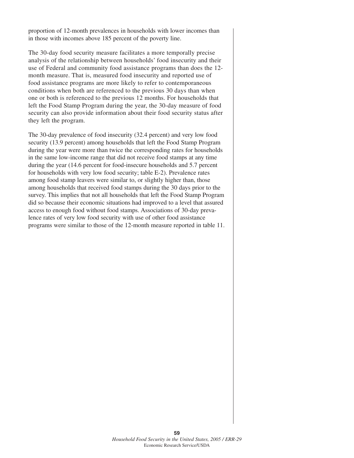proportion of 12-month prevalences in households with lower incomes than in those with incomes above 185 percent of the poverty line.

The 30-day food security measure facilitates a more temporally precise analysis of the relationship between households' food insecurity and their use of Federal and community food assistance programs than does the 12 month measure. That is, measured food insecurity and reported use of food assistance programs are more likely to refer to contemporaneous conditions when both are referenced to the previous 30 days than when one or both is referenced to the previous 12 months. For households that left the Food Stamp Program during the year, the 30-day measure of food security can also provide information about their food security status after they left the program.

The 30-day prevalence of food insecurity (32.4 percent) and very low food security (13.9 percent) among households that left the Food Stamp Program during the year were more than twice the corresponding rates for households in the same low-income range that did not receive food stamps at any time during the year (14.6 percent for food-insecure households and 5.7 percent for households with very low food security; table E-2). Prevalence rates among food stamp leavers were similar to, or slightly higher than, those among households that received food stamps during the 30 days prior to the survey. This implies that not all households that left the Food Stamp Program did so because their economic situations had improved to a level that assured access to enough food without food stamps. Associations of 30-day prevalence rates of very low food security with use of other food assistance programs were similar to those of the 12-month measure reported in table 11.